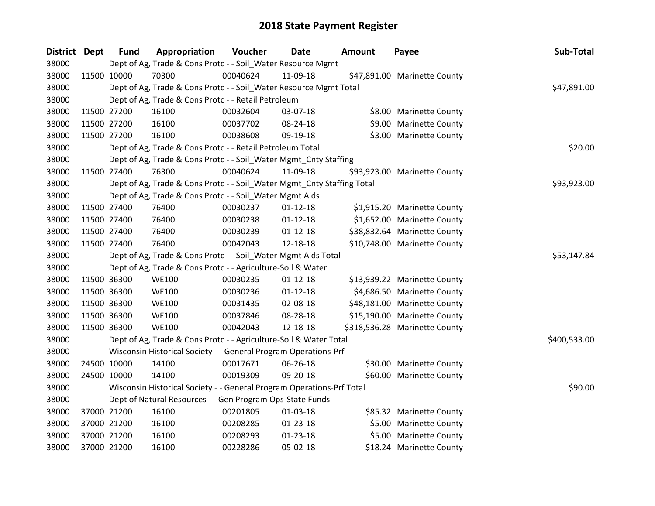| District Dept |             | <b>Fund</b> | Appropriation                                                          | Voucher  | Date           | <b>Amount</b> | Payee                         | Sub-Total    |
|---------------|-------------|-------------|------------------------------------------------------------------------|----------|----------------|---------------|-------------------------------|--------------|
| 38000         |             |             | Dept of Ag, Trade & Cons Protc - - Soil_Water Resource Mgmt            |          |                |               |                               |              |
| 38000         | 11500 10000 |             | 70300                                                                  | 00040624 | 11-09-18       |               | \$47,891.00 Marinette County  |              |
| 38000         |             |             | Dept of Ag, Trade & Cons Protc - - Soil_Water Resource Mgmt Total      |          |                |               |                               | \$47,891.00  |
| 38000         |             |             | Dept of Ag, Trade & Cons Protc - - Retail Petroleum                    |          |                |               |                               |              |
| 38000         |             | 11500 27200 | 16100                                                                  | 00032604 | 03-07-18       |               | \$8.00 Marinette County       |              |
| 38000         |             | 11500 27200 | 16100                                                                  | 00037702 | 08-24-18       |               | \$9.00 Marinette County       |              |
| 38000         |             | 11500 27200 | 16100                                                                  | 00038608 | 09-19-18       |               | \$3.00 Marinette County       |              |
| 38000         |             |             | Dept of Ag, Trade & Cons Protc - - Retail Petroleum Total              |          |                |               |                               | \$20.00      |
| 38000         |             |             | Dept of Ag, Trade & Cons Protc - - Soil_Water Mgmt_Cnty Staffing       |          |                |               |                               |              |
| 38000         | 11500 27400 |             | 76300                                                                  | 00040624 | 11-09-18       |               | \$93,923.00 Marinette County  |              |
| 38000         |             |             | Dept of Ag, Trade & Cons Protc - - Soil_Water Mgmt_Cnty Staffing Total |          |                |               |                               | \$93,923.00  |
| 38000         |             |             | Dept of Ag, Trade & Cons Protc - - Soil_Water Mgmt Aids                |          |                |               |                               |              |
| 38000         |             | 11500 27400 | 76400                                                                  | 00030237 | $01 - 12 - 18$ |               | \$1,915.20 Marinette County   |              |
| 38000         | 11500 27400 |             | 76400                                                                  | 00030238 | $01-12-18$     |               | \$1,652.00 Marinette County   |              |
| 38000         |             | 11500 27400 | 76400                                                                  | 00030239 | $01-12-18$     |               | \$38,832.64 Marinette County  |              |
| 38000         | 11500 27400 |             | 76400                                                                  | 00042043 | 12-18-18       |               | \$10,748.00 Marinette County  |              |
| 38000         |             |             | Dept of Ag, Trade & Cons Protc - - Soil_Water Mgmt Aids Total          |          |                |               |                               | \$53,147.84  |
| 38000         |             |             | Dept of Ag, Trade & Cons Protc - - Agriculture-Soil & Water            |          |                |               |                               |              |
| 38000         | 11500 36300 |             | <b>WE100</b>                                                           | 00030235 | $01 - 12 - 18$ |               | \$13,939.22 Marinette County  |              |
| 38000         |             | 11500 36300 | <b>WE100</b>                                                           | 00030236 | $01 - 12 - 18$ |               | \$4,686.50 Marinette County   |              |
| 38000         |             | 11500 36300 | <b>WE100</b>                                                           | 00031435 | 02-08-18       |               | \$48,181.00 Marinette County  |              |
| 38000         |             | 11500 36300 | <b>WE100</b>                                                           | 00037846 | 08-28-18       |               | \$15,190.00 Marinette County  |              |
| 38000         | 11500 36300 |             | <b>WE100</b>                                                           | 00042043 | 12-18-18       |               | \$318,536.28 Marinette County |              |
| 38000         |             |             | Dept of Ag, Trade & Cons Protc - - Agriculture-Soil & Water Total      |          |                |               |                               | \$400,533.00 |
| 38000         |             |             | Wisconsin Historical Society - - General Program Operations-Prf        |          |                |               |                               |              |
| 38000         | 24500 10000 |             | 14100                                                                  | 00017671 | 06-26-18       |               | \$30.00 Marinette County      |              |
| 38000         |             | 24500 10000 | 14100                                                                  | 00019309 | 09-20-18       |               | \$60.00 Marinette County      |              |
| 38000         |             |             | Wisconsin Historical Society - - General Program Operations-Prf Total  |          |                |               |                               | \$90.00      |
| 38000         |             |             | Dept of Natural Resources - - Gen Program Ops-State Funds              |          |                |               |                               |              |
| 38000         |             | 37000 21200 | 16100                                                                  | 00201805 | 01-03-18       |               | \$85.32 Marinette County      |              |
| 38000         |             | 37000 21200 | 16100                                                                  | 00208285 | $01 - 23 - 18$ |               | \$5.00 Marinette County       |              |
| 38000         |             | 37000 21200 | 16100                                                                  | 00208293 | $01 - 23 - 18$ |               | \$5.00 Marinette County       |              |
| 38000         | 37000 21200 |             | 16100                                                                  | 00228286 | 05-02-18       |               | \$18.24 Marinette County      |              |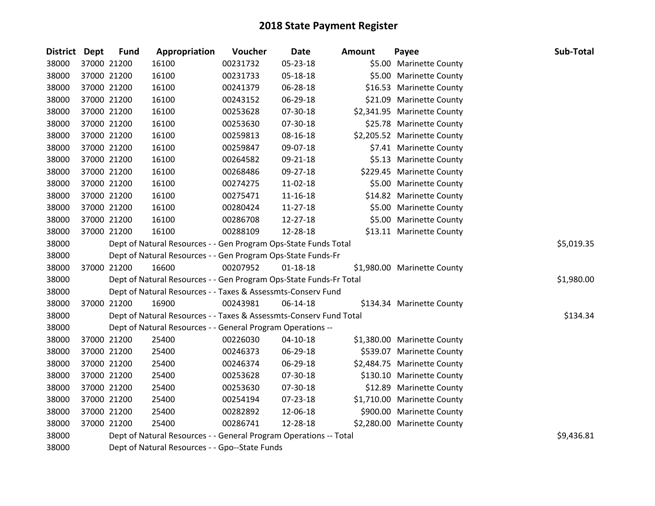| District Dept | <b>Fund</b> | Appropriation                                                      | Voucher  | Date           | <b>Amount</b> | Payee                       | Sub-Total  |
|---------------|-------------|--------------------------------------------------------------------|----------|----------------|---------------|-----------------------------|------------|
| 38000         | 37000 21200 | 16100                                                              | 00231732 | 05-23-18       |               | \$5.00 Marinette County     |            |
| 38000         | 37000 21200 | 16100                                                              | 00231733 | 05-18-18       |               | \$5.00 Marinette County     |            |
| 38000         | 37000 21200 | 16100                                                              | 00241379 | 06-28-18       |               | \$16.53 Marinette County    |            |
| 38000         | 37000 21200 | 16100                                                              | 00243152 | 06-29-18       |               | \$21.09 Marinette County    |            |
| 38000         | 37000 21200 | 16100                                                              | 00253628 | 07-30-18       |               | \$2,341.95 Marinette County |            |
| 38000         | 37000 21200 | 16100                                                              | 00253630 | 07-30-18       |               | \$25.78 Marinette County    |            |
| 38000         | 37000 21200 | 16100                                                              | 00259813 | 08-16-18       |               | \$2,205.52 Marinette County |            |
| 38000         | 37000 21200 | 16100                                                              | 00259847 | 09-07-18       |               | \$7.41 Marinette County     |            |
| 38000         | 37000 21200 | 16100                                                              | 00264582 | 09-21-18       |               | \$5.13 Marinette County     |            |
| 38000         | 37000 21200 | 16100                                                              | 00268486 | 09-27-18       |               | \$229.45 Marinette County   |            |
| 38000         | 37000 21200 | 16100                                                              | 00274275 | 11-02-18       |               | \$5.00 Marinette County     |            |
| 38000         | 37000 21200 | 16100                                                              | 00275471 | $11 - 16 - 18$ |               | \$14.82 Marinette County    |            |
| 38000         | 37000 21200 | 16100                                                              | 00280424 | 11-27-18       |               | \$5.00 Marinette County     |            |
| 38000         | 37000 21200 | 16100                                                              | 00286708 | 12-27-18       |               | \$5.00 Marinette County     |            |
| 38000         | 37000 21200 | 16100                                                              | 00288109 | 12-28-18       |               | \$13.11 Marinette County    |            |
| 38000         |             | Dept of Natural Resources - - Gen Program Ops-State Funds Total    |          |                |               |                             | \$5,019.35 |
| 38000         |             | Dept of Natural Resources - - Gen Program Ops-State Funds-Fr       |          |                |               |                             |            |
| 38000         | 37000 21200 | 16600                                                              | 00207952 | $01 - 18 - 18$ |               | \$1,980.00 Marinette County |            |
| 38000         |             | Dept of Natural Resources - - Gen Program Ops-State Funds-Fr Total |          |                |               |                             | \$1,980.00 |
| 38000         |             | Dept of Natural Resources - - Taxes & Assessmts-Conserv Fund       |          |                |               |                             |            |
| 38000         | 37000 21200 | 16900                                                              | 00243981 | 06-14-18       |               | \$134.34 Marinette County   |            |
| 38000         |             | Dept of Natural Resources - - Taxes & Assessmts-Conserv Fund Total |          |                |               |                             | \$134.34   |
| 38000         |             | Dept of Natural Resources - - General Program Operations --        |          |                |               |                             |            |
| 38000         | 37000 21200 | 25400                                                              | 00226030 | $04 - 10 - 18$ |               | \$1,380.00 Marinette County |            |
| 38000         | 37000 21200 | 25400                                                              | 00246373 | 06-29-18       |               | \$539.07 Marinette County   |            |
| 38000         | 37000 21200 | 25400                                                              | 00246374 | 06-29-18       |               | \$2,484.75 Marinette County |            |
| 38000         | 37000 21200 | 25400                                                              | 00253628 | 07-30-18       |               | \$130.10 Marinette County   |            |
| 38000         | 37000 21200 | 25400                                                              | 00253630 | 07-30-18       |               | \$12.89 Marinette County    |            |
| 38000         | 37000 21200 | 25400                                                              | 00254194 | 07-23-18       |               | \$1,710.00 Marinette County |            |
| 38000         | 37000 21200 | 25400                                                              | 00282892 | 12-06-18       |               | \$900.00 Marinette County   |            |
| 38000         | 37000 21200 | 25400                                                              | 00286741 | 12-28-18       |               | \$2,280.00 Marinette County |            |
| 38000         |             | Dept of Natural Resources - - General Program Operations -- Total  |          |                |               |                             | \$9,436.81 |
| 38000         |             | Dept of Natural Resources - - Gpo--State Funds                     |          |                |               |                             |            |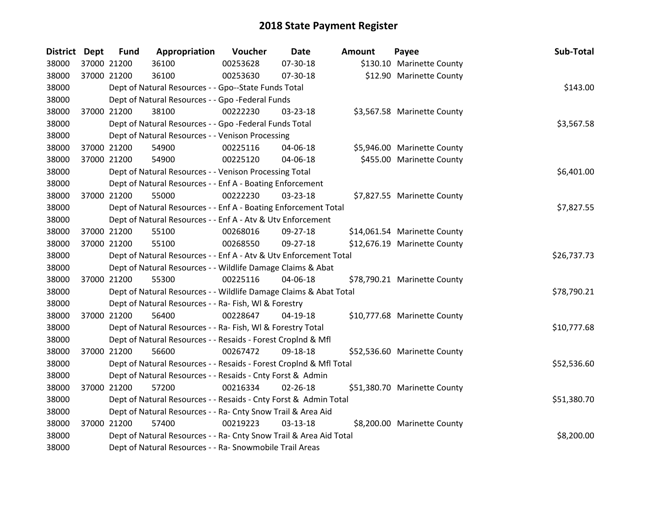| <b>District Dept</b> |             | <b>Fund</b> | Appropriation                                                      | Voucher  | <b>Date</b>    | <b>Amount</b> | Payee                        | Sub-Total   |
|----------------------|-------------|-------------|--------------------------------------------------------------------|----------|----------------|---------------|------------------------------|-------------|
| 38000                |             | 37000 21200 | 36100                                                              | 00253628 | 07-30-18       |               | \$130.10 Marinette County    |             |
| 38000                |             | 37000 21200 | 36100                                                              | 00253630 | 07-30-18       |               | \$12.90 Marinette County     |             |
| 38000                |             |             | Dept of Natural Resources - - Gpo--State Funds Total               |          |                |               |                              | \$143.00    |
| 38000                |             |             | Dept of Natural Resources - - Gpo -Federal Funds                   |          |                |               |                              |             |
| 38000                |             | 37000 21200 | 38100                                                              | 00222230 | 03-23-18       |               | \$3,567.58 Marinette County  |             |
| 38000                |             |             | Dept of Natural Resources - - Gpo -Federal Funds Total             |          |                |               |                              | \$3,567.58  |
| 38000                |             |             | Dept of Natural Resources - - Venison Processing                   |          |                |               |                              |             |
| 38000                |             | 37000 21200 | 54900                                                              | 00225116 | 04-06-18       |               | \$5,946.00 Marinette County  |             |
| 38000                |             | 37000 21200 | 54900                                                              | 00225120 | 04-06-18       |               | \$455.00 Marinette County    |             |
| 38000                |             |             | Dept of Natural Resources - - Venison Processing Total             |          |                |               |                              | \$6,401.00  |
| 38000                |             |             | Dept of Natural Resources - - Enf A - Boating Enforcement          |          |                |               |                              |             |
| 38000                |             | 37000 21200 | 55000                                                              | 00222230 | 03-23-18       |               | \$7,827.55 Marinette County  |             |
| 38000                |             |             | Dept of Natural Resources - - Enf A - Boating Enforcement Total    |          |                |               |                              | \$7,827.55  |
| 38000                |             |             | Dept of Natural Resources - - Enf A - Atv & Utv Enforcement        |          |                |               |                              |             |
| 38000                |             | 37000 21200 | 55100                                                              | 00268016 | 09-27-18       |               | \$14,061.54 Marinette County |             |
| 38000                |             | 37000 21200 | 55100                                                              | 00268550 | 09-27-18       |               | \$12,676.19 Marinette County |             |
| 38000                |             |             | Dept of Natural Resources - - Enf A - Atv & Utv Enforcement Total  |          |                |               |                              | \$26,737.73 |
| 38000                |             |             | Dept of Natural Resources - - Wildlife Damage Claims & Abat        |          |                |               |                              |             |
| 38000                | 37000 21200 |             | 55300                                                              | 00225116 | 04-06-18       |               | \$78,790.21 Marinette County |             |
| 38000                |             |             | Dept of Natural Resources - - Wildlife Damage Claims & Abat Total  |          |                |               |                              | \$78,790.21 |
| 38000                |             |             | Dept of Natural Resources - - Ra- Fish, WI & Forestry              |          |                |               |                              |             |
| 38000                |             | 37000 21200 | 56400                                                              | 00228647 | $04-19-18$     |               | \$10,777.68 Marinette County |             |
| 38000                |             |             | Dept of Natural Resources - - Ra- Fish, WI & Forestry Total        |          |                |               |                              | \$10,777.68 |
| 38000                |             |             | Dept of Natural Resources - - Resaids - Forest CropInd & Mfl       |          |                |               |                              |             |
| 38000                |             | 37000 21200 | 56600                                                              | 00267472 | 09-18-18       |               | \$52,536.60 Marinette County |             |
| 38000                |             |             | Dept of Natural Resources - - Resaids - Forest CropInd & Mfl Total |          |                |               |                              | \$52,536.60 |
| 38000                |             |             | Dept of Natural Resources - - Resaids - Cnty Forst & Admin         |          |                |               |                              |             |
| 38000                |             | 37000 21200 | 57200                                                              | 00216334 | $02 - 26 - 18$ |               | \$51,380.70 Marinette County |             |
| 38000                |             |             | Dept of Natural Resources - - Resaids - Cnty Forst & Admin Total   |          |                |               |                              | \$51,380.70 |
| 38000                |             |             | Dept of Natural Resources - - Ra- Cnty Snow Trail & Area Aid       |          |                |               |                              |             |
| 38000                |             | 37000 21200 | 57400                                                              | 00219223 | 03-13-18       |               | \$8,200.00 Marinette County  |             |
| 38000                |             |             | Dept of Natural Resources - - Ra- Cnty Snow Trail & Area Aid Total |          |                |               |                              | \$8,200.00  |
| 38000                |             |             | Dept of Natural Resources - - Ra- Snowmobile Trail Areas           |          |                |               |                              |             |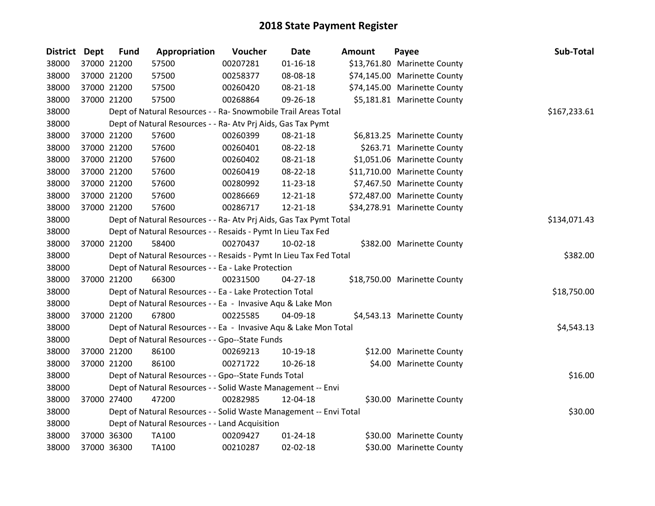| <b>District</b> | <b>Dept</b> | <b>Fund</b> | Appropriation                                                      | Voucher  | <b>Date</b>    | <b>Amount</b> | Payee                        | Sub-Total    |
|-----------------|-------------|-------------|--------------------------------------------------------------------|----------|----------------|---------------|------------------------------|--------------|
| 38000           |             | 37000 21200 | 57500                                                              | 00207281 | $01 - 16 - 18$ |               | \$13,761.80 Marinette County |              |
| 38000           |             | 37000 21200 | 57500                                                              | 00258377 | 08-08-18       |               | \$74,145.00 Marinette County |              |
| 38000           |             | 37000 21200 | 57500                                                              | 00260420 | 08-21-18       |               | \$74,145.00 Marinette County |              |
| 38000           |             | 37000 21200 | 57500                                                              | 00268864 | 09-26-18       |               | \$5,181.81 Marinette County  |              |
| 38000           |             |             | Dept of Natural Resources - - Ra- Snowmobile Trail Areas Total     |          |                |               |                              | \$167,233.61 |
| 38000           |             |             | Dept of Natural Resources - - Ra- Atv Prj Aids, Gas Tax Pymt       |          |                |               |                              |              |
| 38000           |             | 37000 21200 | 57600                                                              | 00260399 | 08-21-18       |               | \$6,813.25 Marinette County  |              |
| 38000           |             | 37000 21200 | 57600                                                              | 00260401 | 08-22-18       |               | \$263.71 Marinette County    |              |
| 38000           |             | 37000 21200 | 57600                                                              | 00260402 | 08-21-18       |               | \$1,051.06 Marinette County  |              |
| 38000           |             | 37000 21200 | 57600                                                              | 00260419 | 08-22-18       |               | \$11,710.00 Marinette County |              |
| 38000           |             | 37000 21200 | 57600                                                              | 00280992 | 11-23-18       |               | \$7,467.50 Marinette County  |              |
| 38000           |             | 37000 21200 | 57600                                                              | 00286669 | 12-21-18       |               | \$72,487.00 Marinette County |              |
| 38000           |             | 37000 21200 | 57600                                                              | 00286717 | 12-21-18       |               | \$34,278.91 Marinette County |              |
| 38000           |             |             | Dept of Natural Resources - - Ra- Atv Prj Aids, Gas Tax Pymt Total |          |                |               |                              | \$134,071.43 |
| 38000           |             |             | Dept of Natural Resources - - Resaids - Pymt In Lieu Tax Fed       |          |                |               |                              |              |
| 38000           |             | 37000 21200 | 58400                                                              | 00270437 | $10-02-18$     |               | \$382.00 Marinette County    |              |
| 38000           |             |             | Dept of Natural Resources - - Resaids - Pymt In Lieu Tax Fed Total |          |                |               |                              | \$382.00     |
| 38000           |             |             | Dept of Natural Resources - - Ea - Lake Protection                 |          |                |               |                              |              |
| 38000           |             | 37000 21200 | 66300                                                              | 00231500 | $04 - 27 - 18$ |               | \$18,750.00 Marinette County |              |
| 38000           |             |             | Dept of Natural Resources - - Ea - Lake Protection Total           |          |                |               |                              | \$18,750.00  |
| 38000           |             |             | Dept of Natural Resources - - Ea - Invasive Aqu & Lake Mon         |          |                |               |                              |              |
| 38000           |             | 37000 21200 | 67800                                                              | 00225585 | 04-09-18       |               | \$4,543.13 Marinette County  |              |
| 38000           |             |             | Dept of Natural Resources - - Ea - Invasive Aqu & Lake Mon Total   |          |                |               |                              | \$4,543.13   |
| 38000           |             |             | Dept of Natural Resources - - Gpo--State Funds                     |          |                |               |                              |              |
| 38000           |             | 37000 21200 | 86100                                                              | 00269213 | 10-19-18       |               | \$12.00 Marinette County     |              |
| 38000           |             | 37000 21200 | 86100                                                              | 00271722 | 10-26-18       |               | \$4.00 Marinette County      |              |
| 38000           |             |             | Dept of Natural Resources - - Gpo--State Funds Total               |          |                |               |                              | \$16.00      |
| 38000           |             |             | Dept of Natural Resources - - Solid Waste Management -- Envi       |          |                |               |                              |              |
| 38000           |             | 37000 27400 | 47200                                                              | 00282985 | 12-04-18       |               | \$30.00 Marinette County     |              |
| 38000           |             |             | Dept of Natural Resources - - Solid Waste Management -- Envi Total |          |                |               |                              | \$30.00      |
| 38000           |             |             | Dept of Natural Resources - - Land Acquisition                     |          |                |               |                              |              |
| 38000           |             | 37000 36300 | TA100                                                              | 00209427 | $01 - 24 - 18$ |               | \$30.00 Marinette County     |              |
| 38000           |             | 37000 36300 | TA100                                                              | 00210287 | $02 - 02 - 18$ |               | \$30.00 Marinette County     |              |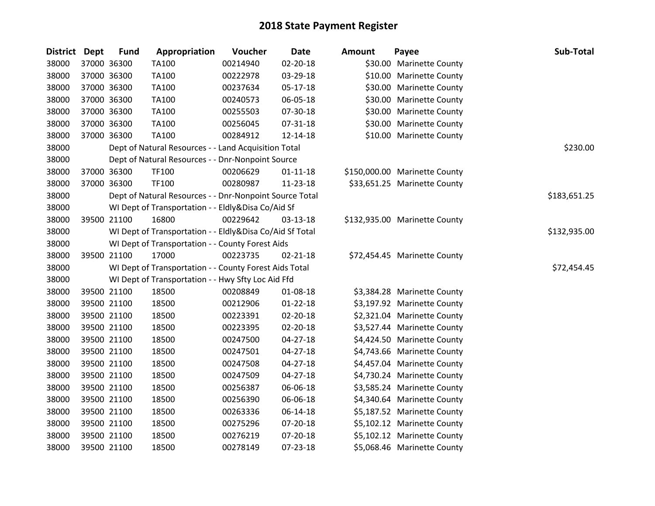| <b>District Dept</b> | <b>Fund</b> | Appropriation                                            | Voucher  | <b>Date</b>    | <b>Amount</b> | Payee                         | Sub-Total    |
|----------------------|-------------|----------------------------------------------------------|----------|----------------|---------------|-------------------------------|--------------|
| 38000                | 37000 36300 | <b>TA100</b>                                             | 00214940 | 02-20-18       |               | \$30.00 Marinette County      |              |
| 38000                | 37000 36300 | <b>TA100</b>                                             | 00222978 | 03-29-18       |               | \$10.00 Marinette County      |              |
| 38000                | 37000 36300 | <b>TA100</b>                                             | 00237634 | 05-17-18       |               | \$30.00 Marinette County      |              |
| 38000                | 37000 36300 | TA100                                                    | 00240573 | 06-05-18       |               | \$30.00 Marinette County      |              |
| 38000                | 37000 36300 | <b>TA100</b>                                             | 00255503 | 07-30-18       |               | \$30.00 Marinette County      |              |
| 38000                | 37000 36300 | <b>TA100</b>                                             | 00256045 | 07-31-18       |               | \$30.00 Marinette County      |              |
| 38000                | 37000 36300 | <b>TA100</b>                                             | 00284912 | 12-14-18       |               | \$10.00 Marinette County      |              |
| 38000                |             | Dept of Natural Resources - - Land Acquisition Total     |          |                |               |                               | \$230.00     |
| 38000                |             | Dept of Natural Resources - - Dnr-Nonpoint Source        |          |                |               |                               |              |
| 38000                | 37000 36300 | <b>TF100</b>                                             | 00206629 | $01 - 11 - 18$ |               | \$150,000.00 Marinette County |              |
| 38000                | 37000 36300 | <b>TF100</b>                                             | 00280987 | 11-23-18       |               | \$33,651.25 Marinette County  |              |
| 38000                |             | Dept of Natural Resources - - Dnr-Nonpoint Source Total  |          |                |               |                               | \$183,651.25 |
| 38000                |             | WI Dept of Transportation - - Eldly&Disa Co/Aid Sf       |          |                |               |                               |              |
| 38000                | 39500 21100 | 16800                                                    | 00229642 | 03-13-18       |               | \$132,935.00 Marinette County |              |
| 38000                |             | WI Dept of Transportation - - Eldly&Disa Co/Aid Sf Total |          |                |               |                               | \$132,935.00 |
| 38000                |             | WI Dept of Transportation - - County Forest Aids         |          |                |               |                               |              |
| 38000                | 39500 21100 | 17000                                                    | 00223735 | $02 - 21 - 18$ |               | \$72,454.45 Marinette County  |              |
| 38000                |             | WI Dept of Transportation - - County Forest Aids Total   |          |                |               |                               | \$72,454.45  |
| 38000                |             | WI Dept of Transportation - - Hwy Sfty Loc Aid Ffd       |          |                |               |                               |              |
| 38000                | 39500 21100 | 18500                                                    | 00208849 | 01-08-18       |               | \$3,384.28 Marinette County   |              |
| 38000                | 39500 21100 | 18500                                                    | 00212906 | $01 - 22 - 18$ |               | \$3,197.92 Marinette County   |              |
| 38000                | 39500 21100 | 18500                                                    | 00223391 | 02-20-18       |               | \$2,321.04 Marinette County   |              |
| 38000                | 39500 21100 | 18500                                                    | 00223395 | 02-20-18       |               | \$3,527.44 Marinette County   |              |
| 38000                | 39500 21100 | 18500                                                    | 00247500 | 04-27-18       |               | \$4,424.50 Marinette County   |              |
| 38000                | 39500 21100 | 18500                                                    | 00247501 | 04-27-18       |               | \$4,743.66 Marinette County   |              |
| 38000                | 39500 21100 | 18500                                                    | 00247508 | $04 - 27 - 18$ |               | \$4,457.04 Marinette County   |              |
| 38000                | 39500 21100 | 18500                                                    | 00247509 | $04 - 27 - 18$ |               | \$4,730.24 Marinette County   |              |
| 38000                | 39500 21100 | 18500                                                    | 00256387 | 06-06-18       |               | \$3,585.24 Marinette County   |              |
| 38000                | 39500 21100 | 18500                                                    | 00256390 | 06-06-18       |               | \$4,340.64 Marinette County   |              |
| 38000                | 39500 21100 | 18500                                                    | 00263336 | 06-14-18       |               | \$5,187.52 Marinette County   |              |
| 38000                | 39500 21100 | 18500                                                    | 00275296 | 07-20-18       |               | \$5,102.12 Marinette County   |              |
| 38000                | 39500 21100 | 18500                                                    | 00276219 | 07-20-18       |               | \$5,102.12 Marinette County   |              |
| 38000                | 39500 21100 | 18500                                                    | 00278149 | 07-23-18       |               | \$5,068.46 Marinette County   |              |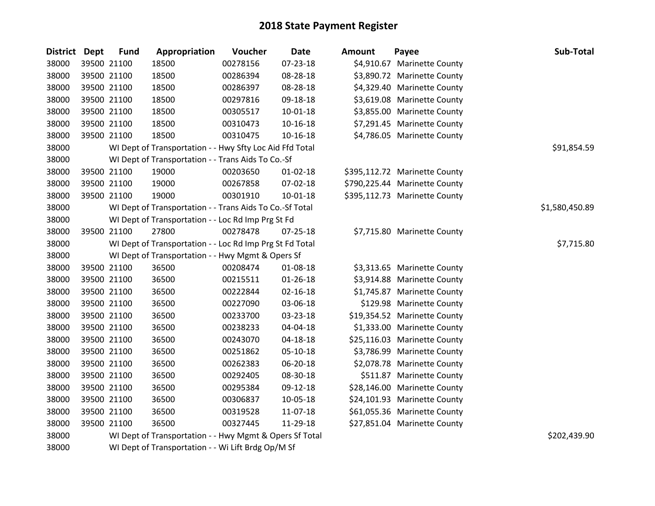| District Dept | <b>Fund</b> | Appropriation                                            | Voucher  | <b>Date</b>    | <b>Amount</b> | Payee                         | Sub-Total      |
|---------------|-------------|----------------------------------------------------------|----------|----------------|---------------|-------------------------------|----------------|
| 38000         | 39500 21100 | 18500                                                    | 00278156 | 07-23-18       |               | \$4,910.67 Marinette County   |                |
| 38000         | 39500 21100 | 18500                                                    | 00286394 | 08-28-18       |               | \$3,890.72 Marinette County   |                |
| 38000         | 39500 21100 | 18500                                                    | 00286397 | 08-28-18       |               | \$4,329.40 Marinette County   |                |
| 38000         | 39500 21100 | 18500                                                    | 00297816 | 09-18-18       |               | \$3,619.08 Marinette County   |                |
| 38000         | 39500 21100 | 18500                                                    | 00305517 | $10 - 01 - 18$ |               | \$3,855.00 Marinette County   |                |
| 38000         | 39500 21100 | 18500                                                    | 00310473 | $10 - 16 - 18$ |               | \$7,291.45 Marinette County   |                |
| 38000         | 39500 21100 | 18500                                                    | 00310475 | $10-16-18$     |               | \$4,786.05 Marinette County   |                |
| 38000         |             | WI Dept of Transportation - - Hwy Sfty Loc Aid Ffd Total |          |                |               |                               | \$91,854.59    |
| 38000         |             | WI Dept of Transportation - - Trans Aids To Co.-Sf       |          |                |               |                               |                |
| 38000         | 39500 21100 | 19000                                                    | 00203650 | $01 - 02 - 18$ |               | \$395,112.72 Marinette County |                |
| 38000         | 39500 21100 | 19000                                                    | 00267858 | 07-02-18       |               | \$790,225.44 Marinette County |                |
| 38000         | 39500 21100 | 19000                                                    | 00301910 | $10 - 01 - 18$ |               | \$395,112.73 Marinette County |                |
| 38000         |             | WI Dept of Transportation - - Trans Aids To Co.-Sf Total |          |                |               |                               | \$1,580,450.89 |
| 38000         |             | WI Dept of Transportation - - Loc Rd Imp Prg St Fd       |          |                |               |                               |                |
| 38000         | 39500 21100 | 27800                                                    | 00278478 | 07-25-18       |               | \$7,715.80 Marinette County   |                |
| 38000         |             | WI Dept of Transportation - - Loc Rd Imp Prg St Fd Total |          |                |               |                               | \$7,715.80     |
| 38000         |             | WI Dept of Transportation - - Hwy Mgmt & Opers Sf        |          |                |               |                               |                |
| 38000         | 39500 21100 | 36500                                                    | 00208474 | 01-08-18       |               | \$3,313.65 Marinette County   |                |
| 38000         | 39500 21100 | 36500                                                    | 00215511 | $01 - 26 - 18$ |               | \$3,914.88 Marinette County   |                |
| 38000         | 39500 21100 | 36500                                                    | 00222844 | $02 - 16 - 18$ |               | \$1,745.87 Marinette County   |                |
| 38000         | 39500 21100 | 36500                                                    | 00227090 | 03-06-18       |               | \$129.98 Marinette County     |                |
| 38000         | 39500 21100 | 36500                                                    | 00233700 | 03-23-18       |               | \$19,354.52 Marinette County  |                |
| 38000         | 39500 21100 | 36500                                                    | 00238233 | 04-04-18       |               | \$1,333.00 Marinette County   |                |
| 38000         | 39500 21100 | 36500                                                    | 00243070 | 04-18-18       |               | \$25,116.03 Marinette County  |                |
| 38000         | 39500 21100 | 36500                                                    | 00251862 | 05-10-18       |               | \$3,786.99 Marinette County   |                |
| 38000         | 39500 21100 | 36500                                                    | 00262383 | 06-20-18       |               | \$2,078.78 Marinette County   |                |
| 38000         | 39500 21100 | 36500                                                    | 00292405 | 08-30-18       |               | \$511.87 Marinette County     |                |
| 38000         | 39500 21100 | 36500                                                    | 00295384 | 09-12-18       |               | \$28,146.00 Marinette County  |                |
| 38000         | 39500 21100 | 36500                                                    | 00306837 | 10-05-18       |               | \$24,101.93 Marinette County  |                |
| 38000         | 39500 21100 | 36500                                                    | 00319528 | 11-07-18       |               | \$61,055.36 Marinette County  |                |
| 38000         | 39500 21100 | 36500                                                    | 00327445 | 11-29-18       |               | \$27,851.04 Marinette County  |                |
| 38000         |             | WI Dept of Transportation - - Hwy Mgmt & Opers Sf Total  |          |                |               |                               | \$202,439.90   |
| 38000         |             | WI Dept of Transportation - - Wi Lift Brdg Op/M Sf       |          |                |               |                               |                |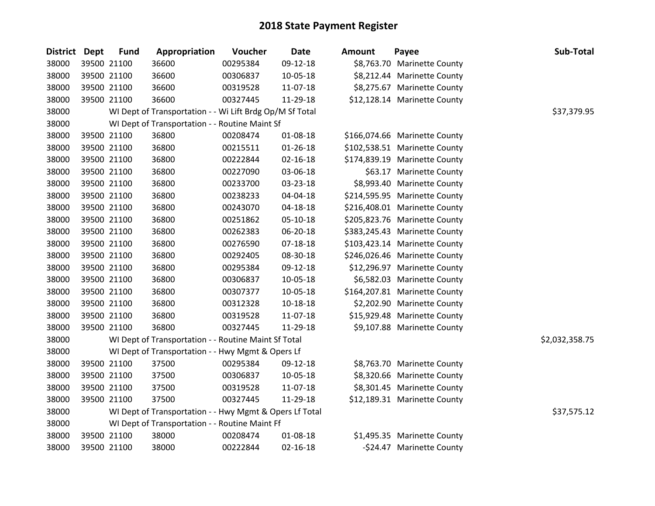| District Dept | <b>Fund</b> | Appropriation                                            | Voucher  | <b>Date</b>    | <b>Amount</b> | Payee                         | Sub-Total      |
|---------------|-------------|----------------------------------------------------------|----------|----------------|---------------|-------------------------------|----------------|
| 38000         | 39500 21100 | 36600                                                    | 00295384 | 09-12-18       |               | \$8,763.70 Marinette County   |                |
| 38000         | 39500 21100 | 36600                                                    | 00306837 | 10-05-18       |               | \$8,212.44 Marinette County   |                |
| 38000         | 39500 21100 | 36600                                                    | 00319528 | 11-07-18       |               | \$8,275.67 Marinette County   |                |
| 38000         | 39500 21100 | 36600                                                    | 00327445 | 11-29-18       |               | \$12,128.14 Marinette County  |                |
| 38000         |             | WI Dept of Transportation - - Wi Lift Brdg Op/M Sf Total |          |                |               |                               | \$37,379.95    |
| 38000         |             | WI Dept of Transportation - - Routine Maint Sf           |          |                |               |                               |                |
| 38000         | 39500 21100 | 36800                                                    | 00208474 | 01-08-18       |               | \$166,074.66 Marinette County |                |
| 38000         | 39500 21100 | 36800                                                    | 00215511 | $01 - 26 - 18$ |               | \$102,538.51 Marinette County |                |
| 38000         | 39500 21100 | 36800                                                    | 00222844 | $02 - 16 - 18$ |               | \$174,839.19 Marinette County |                |
| 38000         | 39500 21100 | 36800                                                    | 00227090 | 03-06-18       |               | \$63.17 Marinette County      |                |
| 38000         | 39500 21100 | 36800                                                    | 00233700 | 03-23-18       |               | \$8,993.40 Marinette County   |                |
| 38000         | 39500 21100 | 36800                                                    | 00238233 | 04-04-18       |               | \$214,595.95 Marinette County |                |
| 38000         | 39500 21100 | 36800                                                    | 00243070 | 04-18-18       |               | \$216,408.01 Marinette County |                |
| 38000         | 39500 21100 | 36800                                                    | 00251862 | $05-10-18$     |               | \$205,823.76 Marinette County |                |
| 38000         | 39500 21100 | 36800                                                    | 00262383 | 06-20-18       |               | \$383,245.43 Marinette County |                |
| 38000         | 39500 21100 | 36800                                                    | 00276590 | 07-18-18       |               | \$103,423.14 Marinette County |                |
| 38000         | 39500 21100 | 36800                                                    | 00292405 | 08-30-18       |               | \$246,026.46 Marinette County |                |
| 38000         | 39500 21100 | 36800                                                    | 00295384 | 09-12-18       |               | \$12,296.97 Marinette County  |                |
| 38000         | 39500 21100 | 36800                                                    | 00306837 | 10-05-18       |               | \$6,582.03 Marinette County   |                |
| 38000         | 39500 21100 | 36800                                                    | 00307377 | 10-05-18       |               | \$164,207.81 Marinette County |                |
| 38000         | 39500 21100 | 36800                                                    | 00312328 | 10-18-18       |               | \$2,202.90 Marinette County   |                |
| 38000         | 39500 21100 | 36800                                                    | 00319528 | 11-07-18       |               | \$15,929.48 Marinette County  |                |
| 38000         | 39500 21100 | 36800                                                    | 00327445 | 11-29-18       |               | \$9,107.88 Marinette County   |                |
| 38000         |             | WI Dept of Transportation - - Routine Maint Sf Total     |          |                |               |                               | \$2,032,358.75 |
| 38000         |             | WI Dept of Transportation - - Hwy Mgmt & Opers Lf        |          |                |               |                               |                |
| 38000         | 39500 21100 | 37500                                                    | 00295384 | 09-12-18       |               | \$8,763.70 Marinette County   |                |
| 38000         | 39500 21100 | 37500                                                    | 00306837 | 10-05-18       |               | \$8,320.66 Marinette County   |                |
| 38000         | 39500 21100 | 37500                                                    | 00319528 | 11-07-18       |               | \$8,301.45 Marinette County   |                |
| 38000         | 39500 21100 | 37500                                                    | 00327445 | 11-29-18       |               | \$12,189.31 Marinette County  |                |
| 38000         |             | WI Dept of Transportation - - Hwy Mgmt & Opers Lf Total  |          |                |               |                               | \$37,575.12    |
| 38000         |             | WI Dept of Transportation - - Routine Maint Ff           |          |                |               |                               |                |
| 38000         | 39500 21100 | 38000                                                    | 00208474 | 01-08-18       |               | \$1,495.35 Marinette County   |                |
| 38000         | 39500 21100 | 38000                                                    | 00222844 | $02 - 16 - 18$ |               | -\$24.47 Marinette County     |                |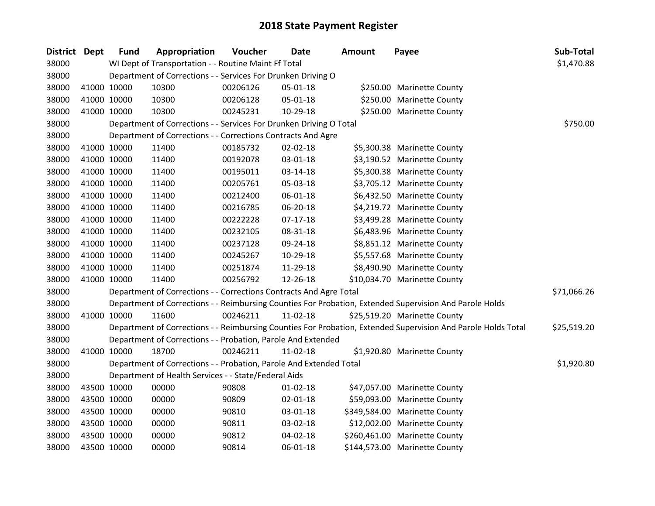| District Dept |             | <b>Fund</b> | Appropriation                                                      | Voucher  | <b>Date</b>    | <b>Amount</b> | Payee                                                                                                         | Sub-Total   |
|---------------|-------------|-------------|--------------------------------------------------------------------|----------|----------------|---------------|---------------------------------------------------------------------------------------------------------------|-------------|
| 38000         |             |             | WI Dept of Transportation - - Routine Maint Ff Total               |          |                |               |                                                                                                               | \$1,470.88  |
| 38000         |             |             | Department of Corrections - - Services For Drunken Driving O       |          |                |               |                                                                                                               |             |
| 38000         | 41000 10000 |             | 10300                                                              | 00206126 | 05-01-18       |               | \$250.00 Marinette County                                                                                     |             |
| 38000         | 41000 10000 |             | 10300                                                              | 00206128 | 05-01-18       |               | \$250.00 Marinette County                                                                                     |             |
| 38000         |             | 41000 10000 | 10300                                                              | 00245231 | 10-29-18       |               | \$250.00 Marinette County                                                                                     |             |
| 38000         |             |             | Department of Corrections - - Services For Drunken Driving O Total |          |                |               |                                                                                                               | \$750.00    |
| 38000         |             |             | Department of Corrections - - Corrections Contracts And Agre       |          |                |               |                                                                                                               |             |
| 38000         | 41000 10000 |             | 11400                                                              | 00185732 | 02-02-18       |               | \$5,300.38 Marinette County                                                                                   |             |
| 38000         | 41000 10000 |             | 11400                                                              | 00192078 | 03-01-18       |               | \$3,190.52 Marinette County                                                                                   |             |
| 38000         | 41000 10000 |             | 11400                                                              | 00195011 | 03-14-18       |               | \$5,300.38 Marinette County                                                                                   |             |
| 38000         |             | 41000 10000 | 11400                                                              | 00205761 | 05-03-18       |               | \$3,705.12 Marinette County                                                                                   |             |
| 38000         |             | 41000 10000 | 11400                                                              | 00212400 | 06-01-18       |               | \$6,432.50 Marinette County                                                                                   |             |
| 38000         | 41000 10000 |             | 11400                                                              | 00216785 | 06-20-18       |               | \$4,219.72 Marinette County                                                                                   |             |
| 38000         | 41000 10000 |             | 11400                                                              | 00222228 | $07-17-18$     |               | \$3,499.28 Marinette County                                                                                   |             |
| 38000         | 41000 10000 |             | 11400                                                              | 00232105 | 08-31-18       |               | \$6,483.96 Marinette County                                                                                   |             |
| 38000         |             | 41000 10000 | 11400                                                              | 00237128 | 09-24-18       |               | \$8,851.12 Marinette County                                                                                   |             |
| 38000         | 41000 10000 |             | 11400                                                              | 00245267 | 10-29-18       |               | \$5,557.68 Marinette County                                                                                   |             |
| 38000         | 41000 10000 |             | 11400                                                              | 00251874 | 11-29-18       |               | \$8,490.90 Marinette County                                                                                   |             |
| 38000         | 41000 10000 |             | 11400                                                              | 00256792 | 12-26-18       |               | \$10,034.70 Marinette County                                                                                  |             |
| 38000         |             |             | Department of Corrections - - Corrections Contracts And Agre Total |          |                |               |                                                                                                               | \$71,066.26 |
| 38000         |             |             |                                                                    |          |                |               | Department of Corrections - - Reimbursing Counties For Probation, Extended Supervision And Parole Holds       |             |
| 38000         |             | 41000 10000 | 11600                                                              | 00246211 | 11-02-18       |               | \$25,519.20 Marinette County                                                                                  |             |
| 38000         |             |             |                                                                    |          |                |               | Department of Corrections - - Reimbursing Counties For Probation, Extended Supervision And Parole Holds Total | \$25,519.20 |
| 38000         |             |             | Department of Corrections - - Probation, Parole And Extended       |          |                |               |                                                                                                               |             |
| 38000         |             | 41000 10000 | 18700                                                              | 00246211 | 11-02-18       |               | \$1,920.80 Marinette County                                                                                   |             |
| 38000         |             |             | Department of Corrections - - Probation, Parole And Extended Total |          |                |               |                                                                                                               | \$1,920.80  |
| 38000         |             |             | Department of Health Services - - State/Federal Aids               |          |                |               |                                                                                                               |             |
| 38000         | 43500 10000 |             | 00000                                                              | 90808    | $01 - 02 - 18$ |               | \$47,057.00 Marinette County                                                                                  |             |
| 38000         | 43500 10000 |             | 00000                                                              | 90809    | 02-01-18       |               | \$59,093.00 Marinette County                                                                                  |             |
| 38000         | 43500 10000 |             | 00000                                                              | 90810    | 03-01-18       |               | \$349,584.00 Marinette County                                                                                 |             |
| 38000         | 43500 10000 |             | 00000                                                              | 90811    | 03-02-18       |               | \$12,002.00 Marinette County                                                                                  |             |
| 38000         | 43500 10000 |             | 00000                                                              | 90812    | 04-02-18       |               | \$260,461.00 Marinette County                                                                                 |             |
| 38000         | 43500 10000 |             | 00000                                                              | 90814    | $06 - 01 - 18$ |               | \$144,573.00 Marinette County                                                                                 |             |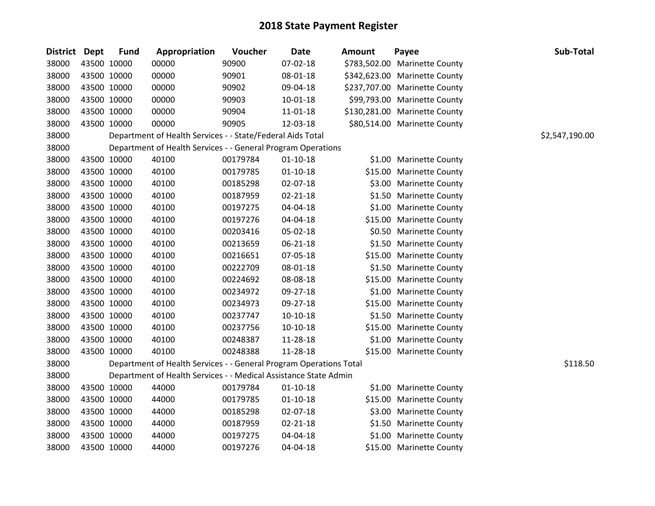| <b>District Dept</b> |             | <b>Fund</b> | Appropriation                                                      | Voucher  | Date           | <b>Amount</b> | Payee                         | Sub-Total      |
|----------------------|-------------|-------------|--------------------------------------------------------------------|----------|----------------|---------------|-------------------------------|----------------|
| 38000                |             | 43500 10000 | 00000                                                              | 90900    | 07-02-18       |               | \$783,502.00 Marinette County |                |
| 38000                |             | 43500 10000 | 00000                                                              | 90901    | 08-01-18       |               | \$342,623.00 Marinette County |                |
| 38000                | 43500 10000 |             | 00000                                                              | 90902    | 09-04-18       |               | \$237,707.00 Marinette County |                |
| 38000                |             | 43500 10000 | 00000                                                              | 90903    | 10-01-18       |               | \$99,793.00 Marinette County  |                |
| 38000                |             | 43500 10000 | 00000                                                              | 90904    | $11 - 01 - 18$ |               | \$130,281.00 Marinette County |                |
| 38000                |             | 43500 10000 | 00000                                                              | 90905    | 12-03-18       |               | \$80,514.00 Marinette County  |                |
| 38000                |             |             | Department of Health Services - - State/Federal Aids Total         |          |                |               |                               | \$2,547,190.00 |
| 38000                |             |             | Department of Health Services - - General Program Operations       |          |                |               |                               |                |
| 38000                |             | 43500 10000 | 40100                                                              | 00179784 | $01 - 10 - 18$ |               | \$1.00 Marinette County       |                |
| 38000                |             | 43500 10000 | 40100                                                              | 00179785 | $01 - 10 - 18$ |               | \$15.00 Marinette County      |                |
| 38000                |             | 43500 10000 | 40100                                                              | 00185298 | 02-07-18       |               | \$3.00 Marinette County       |                |
| 38000                |             | 43500 10000 | 40100                                                              | 00187959 | 02-21-18       |               | \$1.50 Marinette County       |                |
| 38000                |             | 43500 10000 | 40100                                                              | 00197275 | 04-04-18       |               | \$1.00 Marinette County       |                |
| 38000                |             | 43500 10000 | 40100                                                              | 00197276 | 04-04-18       |               | \$15.00 Marinette County      |                |
| 38000                |             | 43500 10000 | 40100                                                              | 00203416 | 05-02-18       |               | \$0.50 Marinette County       |                |
| 38000                |             | 43500 10000 | 40100                                                              | 00213659 | 06-21-18       |               | \$1.50 Marinette County       |                |
| 38000                |             | 43500 10000 | 40100                                                              | 00216651 | 07-05-18       |               | \$15.00 Marinette County      |                |
| 38000                |             | 43500 10000 | 40100                                                              | 00222709 | 08-01-18       |               | \$1.50 Marinette County       |                |
| 38000                |             | 43500 10000 | 40100                                                              | 00224692 | 08-08-18       |               | \$15.00 Marinette County      |                |
| 38000                |             | 43500 10000 | 40100                                                              | 00234972 | 09-27-18       |               | \$1.00 Marinette County       |                |
| 38000                |             | 43500 10000 | 40100                                                              | 00234973 | 09-27-18       |               | \$15.00 Marinette County      |                |
| 38000                |             | 43500 10000 | 40100                                                              | 00237747 | $10-10-18$     |               | \$1.50 Marinette County       |                |
| 38000                |             | 43500 10000 | 40100                                                              | 00237756 | $10-10-18$     |               | \$15.00 Marinette County      |                |
| 38000                |             | 43500 10000 | 40100                                                              | 00248387 | 11-28-18       |               | \$1.00 Marinette County       |                |
| 38000                |             | 43500 10000 | 40100                                                              | 00248388 | 11-28-18       |               | \$15.00 Marinette County      |                |
| 38000                |             |             | Department of Health Services - - General Program Operations Total |          |                |               |                               | \$118.50       |
| 38000                |             |             | Department of Health Services - - Medical Assistance State Admin   |          |                |               |                               |                |
| 38000                |             | 43500 10000 | 44000                                                              | 00179784 | $01 - 10 - 18$ |               | \$1.00 Marinette County       |                |
| 38000                |             | 43500 10000 | 44000                                                              | 00179785 | $01 - 10 - 18$ |               | \$15.00 Marinette County      |                |
| 38000                | 43500 10000 |             | 44000                                                              | 00185298 | 02-07-18       |               | \$3.00 Marinette County       |                |
| 38000                |             | 43500 10000 | 44000                                                              | 00187959 | $02 - 21 - 18$ |               | \$1.50 Marinette County       |                |
| 38000                |             | 43500 10000 | 44000                                                              | 00197275 | 04-04-18       |               | \$1.00 Marinette County       |                |
| 38000                | 43500 10000 |             | 44000                                                              | 00197276 | 04-04-18       |               | \$15.00 Marinette County      |                |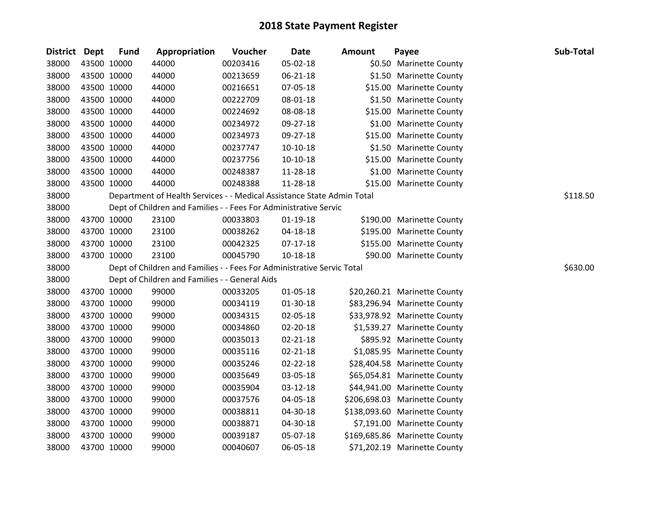| District Dept |             | <b>Fund</b> | Appropriation                                                          | Voucher  | <b>Date</b>    | <b>Amount</b> | Payee                         | Sub-Total |
|---------------|-------------|-------------|------------------------------------------------------------------------|----------|----------------|---------------|-------------------------------|-----------|
| 38000         | 43500 10000 |             | 44000                                                                  | 00203416 | 05-02-18       |               | \$0.50 Marinette County       |           |
| 38000         | 43500 10000 |             | 44000                                                                  | 00213659 | 06-21-18       |               | \$1.50 Marinette County       |           |
| 38000         | 43500 10000 |             | 44000                                                                  | 00216651 | 07-05-18       |               | \$15.00 Marinette County      |           |
| 38000         | 43500 10000 |             | 44000                                                                  | 00222709 | 08-01-18       |               | \$1.50 Marinette County       |           |
| 38000         | 43500 10000 |             | 44000                                                                  | 00224692 | 08-08-18       |               | \$15.00 Marinette County      |           |
| 38000         | 43500 10000 |             | 44000                                                                  | 00234972 | 09-27-18       |               | \$1.00 Marinette County       |           |
| 38000         | 43500 10000 |             | 44000                                                                  | 00234973 | 09-27-18       |               | \$15.00 Marinette County      |           |
| 38000         | 43500 10000 |             | 44000                                                                  | 00237747 | 10-10-18       |               | \$1.50 Marinette County       |           |
| 38000         | 43500 10000 |             | 44000                                                                  | 00237756 | 10-10-18       |               | \$15.00 Marinette County      |           |
| 38000         | 43500 10000 |             | 44000                                                                  | 00248387 | 11-28-18       |               | \$1.00 Marinette County       |           |
| 38000         | 43500 10000 |             | 44000                                                                  | 00248388 | 11-28-18       |               | \$15.00 Marinette County      |           |
| 38000         |             |             | Department of Health Services - - Medical Assistance State Admin Total |          |                |               |                               | \$118.50  |
| 38000         |             |             | Dept of Children and Families - - Fees For Administrative Servic       |          |                |               |                               |           |
| 38000         | 43700 10000 |             | 23100                                                                  | 00033803 | $01-19-18$     |               | \$190.00 Marinette County     |           |
| 38000         | 43700 10000 |             | 23100                                                                  | 00038262 | 04-18-18       |               | \$195.00 Marinette County     |           |
| 38000         | 43700 10000 |             | 23100                                                                  | 00042325 | $07-17-18$     |               | \$155.00 Marinette County     |           |
| 38000         | 43700 10000 |             | 23100                                                                  | 00045790 | 10-18-18       |               | \$90.00 Marinette County      |           |
| 38000         |             |             | Dept of Children and Families - - Fees For Administrative Servic Total |          |                |               |                               | \$630.00  |
| 38000         |             |             | Dept of Children and Families - - General Aids                         |          |                |               |                               |           |
| 38000         | 43700 10000 |             | 99000                                                                  | 00033205 | 01-05-18       |               | \$20,260.21 Marinette County  |           |
| 38000         | 43700 10000 |             | 99000                                                                  | 00034119 | $01-30-18$     |               | \$83,296.94 Marinette County  |           |
| 38000         | 43700 10000 |             | 99000                                                                  | 00034315 | 02-05-18       |               | \$33,978.92 Marinette County  |           |
| 38000         | 43700 10000 |             | 99000                                                                  | 00034860 | 02-20-18       |               | \$1,539.27 Marinette County   |           |
| 38000         | 43700 10000 |             | 99000                                                                  | 00035013 | $02 - 21 - 18$ |               | \$895.92 Marinette County     |           |
| 38000         | 43700 10000 |             | 99000                                                                  | 00035116 | 02-21-18       |               | \$1,085.95 Marinette County   |           |
| 38000         | 43700 10000 |             | 99000                                                                  | 00035246 | 02-22-18       |               | \$28,404.58 Marinette County  |           |
| 38000         | 43700 10000 |             | 99000                                                                  | 00035649 | 03-05-18       |               | \$65,054.81 Marinette County  |           |
| 38000         | 43700 10000 |             | 99000                                                                  | 00035904 | 03-12-18       |               | \$44,941.00 Marinette County  |           |
| 38000         | 43700 10000 |             | 99000                                                                  | 00037576 | 04-05-18       |               | \$206,698.03 Marinette County |           |
| 38000         | 43700 10000 |             | 99000                                                                  | 00038811 | 04-30-18       |               | \$138,093.60 Marinette County |           |
| 38000         | 43700 10000 |             | 99000                                                                  | 00038871 | 04-30-18       |               | \$7,191.00 Marinette County   |           |
| 38000         | 43700 10000 |             | 99000                                                                  | 00039187 | 05-07-18       |               | \$169,685.86 Marinette County |           |
| 38000         | 43700 10000 |             | 99000                                                                  | 00040607 | 06-05-18       |               | \$71,202.19 Marinette County  |           |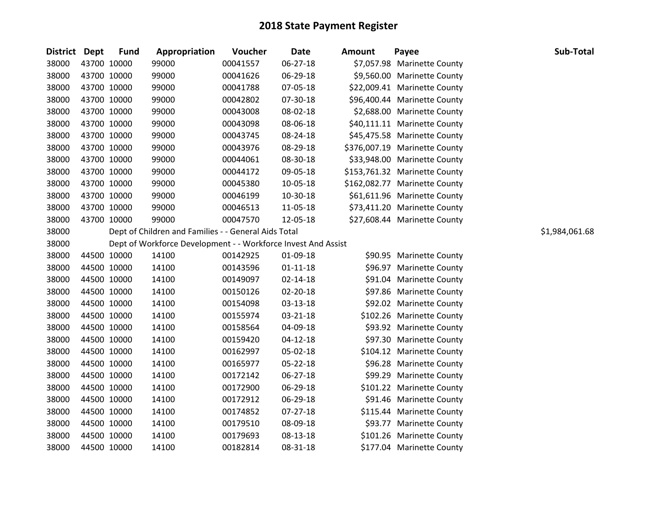| District Dept |             | <b>Fund</b> | Appropriation                                                 | Voucher  | <b>Date</b>    | <b>Amount</b> | Payee                         | Sub-Total      |
|---------------|-------------|-------------|---------------------------------------------------------------|----------|----------------|---------------|-------------------------------|----------------|
| 38000         | 43700 10000 |             | 99000                                                         | 00041557 | 06-27-18       |               | \$7,057.98 Marinette County   |                |
| 38000         | 43700 10000 |             | 99000                                                         | 00041626 | 06-29-18       |               | \$9,560.00 Marinette County   |                |
| 38000         | 43700 10000 |             | 99000                                                         | 00041788 | 07-05-18       |               | \$22,009.41 Marinette County  |                |
| 38000         | 43700 10000 |             | 99000                                                         | 00042802 | 07-30-18       |               | \$96,400.44 Marinette County  |                |
| 38000         | 43700 10000 |             | 99000                                                         | 00043008 | 08-02-18       |               | \$2,688.00 Marinette County   |                |
| 38000         | 43700 10000 |             | 99000                                                         | 00043098 | 08-06-18       |               | \$40,111.11 Marinette County  |                |
| 38000         | 43700 10000 |             | 99000                                                         | 00043745 | 08-24-18       |               | \$45,475.58 Marinette County  |                |
| 38000         | 43700 10000 |             | 99000                                                         | 00043976 | 08-29-18       |               | \$376,007.19 Marinette County |                |
| 38000         | 43700 10000 |             | 99000                                                         | 00044061 | 08-30-18       |               | \$33,948.00 Marinette County  |                |
| 38000         | 43700 10000 |             | 99000                                                         | 00044172 | 09-05-18       |               | \$153,761.32 Marinette County |                |
| 38000         | 43700 10000 |             | 99000                                                         | 00045380 | 10-05-18       |               | \$162,082.77 Marinette County |                |
| 38000         | 43700 10000 |             | 99000                                                         | 00046199 | 10-30-18       |               | \$61,611.96 Marinette County  |                |
| 38000         | 43700 10000 |             | 99000                                                         | 00046513 | 11-05-18       |               | \$73,411.20 Marinette County  |                |
| 38000         | 43700 10000 |             | 99000                                                         | 00047570 | 12-05-18       |               | \$27,608.44 Marinette County  |                |
| 38000         |             |             | Dept of Children and Families - - General Aids Total          |          |                |               |                               | \$1,984,061.68 |
| 38000         |             |             | Dept of Workforce Development - - Workforce Invest And Assist |          |                |               |                               |                |
| 38000         | 44500 10000 |             | 14100                                                         | 00142925 | 01-09-18       |               | \$90.95 Marinette County      |                |
| 38000         | 44500 10000 |             | 14100                                                         | 00143596 | $01 - 11 - 18$ |               | \$96.97 Marinette County      |                |
| 38000         | 44500 10000 |             | 14100                                                         | 00149097 | 02-14-18       |               | \$91.04 Marinette County      |                |
| 38000         | 44500 10000 |             | 14100                                                         | 00150126 | 02-20-18       |               | \$97.86 Marinette County      |                |
| 38000         | 44500 10000 |             | 14100                                                         | 00154098 | 03-13-18       |               | \$92.02 Marinette County      |                |
| 38000         | 44500 10000 |             | 14100                                                         | 00155974 | 03-21-18       |               | \$102.26 Marinette County     |                |
| 38000         | 44500 10000 |             | 14100                                                         | 00158564 | 04-09-18       |               | \$93.92 Marinette County      |                |
| 38000         | 44500 10000 |             | 14100                                                         | 00159420 | $04 - 12 - 18$ |               | \$97.30 Marinette County      |                |
| 38000         | 44500 10000 |             | 14100                                                         | 00162997 | 05-02-18       |               | \$104.12 Marinette County     |                |
| 38000         | 44500 10000 |             | 14100                                                         | 00165977 | 05-22-18       |               | \$96.28 Marinette County      |                |
| 38000         | 44500 10000 |             | 14100                                                         | 00172142 | 06-27-18       |               | \$99.29 Marinette County      |                |
| 38000         | 44500 10000 |             | 14100                                                         | 00172900 | 06-29-18       |               | \$101.22 Marinette County     |                |
| 38000         | 44500 10000 |             | 14100                                                         | 00172912 | 06-29-18       |               | \$91.46 Marinette County      |                |
| 38000         | 44500 10000 |             | 14100                                                         | 00174852 | 07-27-18       |               | \$115.44 Marinette County     |                |
| 38000         | 44500 10000 |             | 14100                                                         | 00179510 | 08-09-18       |               | \$93.77 Marinette County      |                |
| 38000         | 44500 10000 |             | 14100                                                         | 00179693 | 08-13-18       |               | \$101.26 Marinette County     |                |
| 38000         | 44500 10000 |             | 14100                                                         | 00182814 | 08-31-18       |               | \$177.04 Marinette County     |                |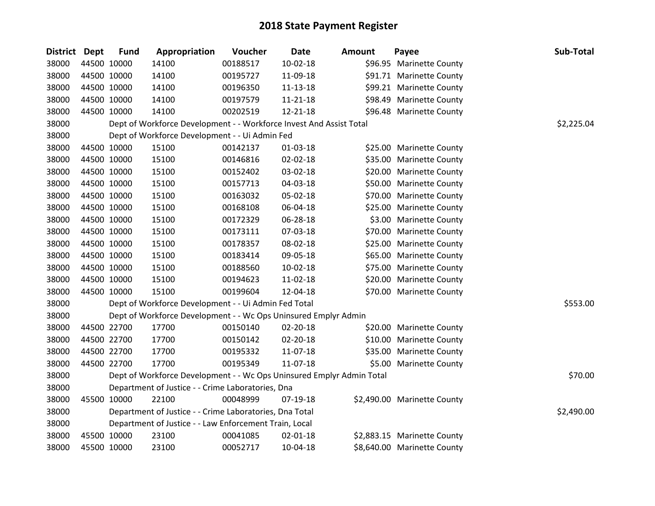| <b>District</b> | Dept | <b>Fund</b> | Appropriation                                                         | Voucher  | Date           | <b>Amount</b> | Payee                       | Sub-Total  |
|-----------------|------|-------------|-----------------------------------------------------------------------|----------|----------------|---------------|-----------------------------|------------|
| 38000           |      | 44500 10000 | 14100                                                                 | 00188517 | $10-02-18$     |               | \$96.95 Marinette County    |            |
| 38000           |      | 44500 10000 | 14100                                                                 | 00195727 | 11-09-18       |               | \$91.71 Marinette County    |            |
| 38000           |      | 44500 10000 | 14100                                                                 | 00196350 | 11-13-18       |               | \$99.21 Marinette County    |            |
| 38000           |      | 44500 10000 | 14100                                                                 | 00197579 | $11 - 21 - 18$ |               | \$98.49 Marinette County    |            |
| 38000           |      | 44500 10000 | 14100                                                                 | 00202519 | 12-21-18       |               | \$96.48 Marinette County    |            |
| 38000           |      |             | Dept of Workforce Development - - Workforce Invest And Assist Total   |          |                |               |                             | \$2,225.04 |
| 38000           |      |             | Dept of Workforce Development - - Ui Admin Fed                        |          |                |               |                             |            |
| 38000           |      | 44500 10000 | 15100                                                                 | 00142137 | 01-03-18       |               | \$25.00 Marinette County    |            |
| 38000           |      | 44500 10000 | 15100                                                                 | 00146816 | 02-02-18       |               | \$35.00 Marinette County    |            |
| 38000           |      | 44500 10000 | 15100                                                                 | 00152402 | 03-02-18       |               | \$20.00 Marinette County    |            |
| 38000           |      | 44500 10000 | 15100                                                                 | 00157713 | 04-03-18       |               | \$50.00 Marinette County    |            |
| 38000           |      | 44500 10000 | 15100                                                                 | 00163032 | 05-02-18       |               | \$70.00 Marinette County    |            |
| 38000           |      | 44500 10000 | 15100                                                                 | 00168108 | 06-04-18       |               | \$25.00 Marinette County    |            |
| 38000           |      | 44500 10000 | 15100                                                                 | 00172329 | 06-28-18       |               | \$3.00 Marinette County     |            |
| 38000           |      | 44500 10000 | 15100                                                                 | 00173111 | 07-03-18       |               | \$70.00 Marinette County    |            |
| 38000           |      | 44500 10000 | 15100                                                                 | 00178357 | 08-02-18       |               | \$25.00 Marinette County    |            |
| 38000           |      | 44500 10000 | 15100                                                                 | 00183414 | 09-05-18       |               | \$65.00 Marinette County    |            |
| 38000           |      | 44500 10000 | 15100                                                                 | 00188560 | $10-02-18$     |               | \$75.00 Marinette County    |            |
| 38000           |      | 44500 10000 | 15100                                                                 | 00194623 | 11-02-18       |               | \$20.00 Marinette County    |            |
| 38000           |      | 44500 10000 | 15100                                                                 | 00199604 | 12-04-18       |               | \$70.00 Marinette County    |            |
| 38000           |      |             | Dept of Workforce Development - - Ui Admin Fed Total                  |          |                |               |                             | \$553.00   |
| 38000           |      |             | Dept of Workforce Development - - Wc Ops Uninsured Emplyr Admin       |          |                |               |                             |            |
| 38000           |      | 44500 22700 | 17700                                                                 | 00150140 | 02-20-18       |               | \$20.00 Marinette County    |            |
| 38000           |      | 44500 22700 | 17700                                                                 | 00150142 | 02-20-18       |               | \$10.00 Marinette County    |            |
| 38000           |      | 44500 22700 | 17700                                                                 | 00195332 | 11-07-18       |               | \$35.00 Marinette County    |            |
| 38000           |      | 44500 22700 | 17700                                                                 | 00195349 | 11-07-18       |               | \$5.00 Marinette County     |            |
| 38000           |      |             | Dept of Workforce Development - - Wc Ops Uninsured Emplyr Admin Total |          |                |               |                             | \$70.00    |
| 38000           |      |             | Department of Justice - - Crime Laboratories, Dna                     |          |                |               |                             |            |
| 38000           |      | 45500 10000 | 22100                                                                 | 00048999 | 07-19-18       |               | \$2,490.00 Marinette County |            |
| 38000           |      |             | Department of Justice - - Crime Laboratories, Dna Total               |          |                |               |                             | \$2,490.00 |
| 38000           |      |             | Department of Justice - - Law Enforcement Train, Local                |          |                |               |                             |            |
| 38000           |      | 45500 10000 | 23100                                                                 | 00041085 | 02-01-18       |               | \$2,883.15 Marinette County |            |
| 38000           |      | 45500 10000 | 23100                                                                 | 00052717 | 10-04-18       |               | \$8,640.00 Marinette County |            |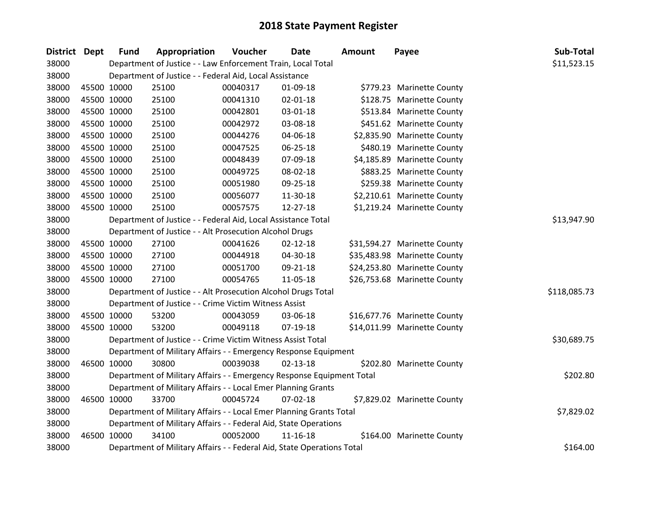| District Dept |             | <b>Fund</b> | Appropriation                                                          | Voucher  | <b>Date</b>    | <b>Amount</b> | Payee                        | Sub-Total    |
|---------------|-------------|-------------|------------------------------------------------------------------------|----------|----------------|---------------|------------------------------|--------------|
| 38000         |             |             | Department of Justice - - Law Enforcement Train, Local Total           |          |                |               |                              | \$11,523.15  |
| 38000         |             |             | Department of Justice - - Federal Aid, Local Assistance                |          |                |               |                              |              |
| 38000         | 45500 10000 |             | 25100                                                                  | 00040317 | 01-09-18       |               | \$779.23 Marinette County    |              |
| 38000         | 45500 10000 |             | 25100                                                                  | 00041310 | 02-01-18       |               | \$128.75 Marinette County    |              |
| 38000         | 45500 10000 |             | 25100                                                                  | 00042801 | 03-01-18       |               | \$513.84 Marinette County    |              |
| 38000         | 45500 10000 |             | 25100                                                                  | 00042972 | 03-08-18       |               | \$451.62 Marinette County    |              |
| 38000         | 45500 10000 |             | 25100                                                                  | 00044276 | 04-06-18       |               | \$2,835.90 Marinette County  |              |
| 38000         | 45500 10000 |             | 25100                                                                  | 00047525 | 06-25-18       |               | \$480.19 Marinette County    |              |
| 38000         | 45500 10000 |             | 25100                                                                  | 00048439 | 07-09-18       |               | \$4,185.89 Marinette County  |              |
| 38000         | 45500 10000 |             | 25100                                                                  | 00049725 | 08-02-18       |               | \$883.25 Marinette County    |              |
| 38000         | 45500 10000 |             | 25100                                                                  | 00051980 | 09-25-18       |               | \$259.38 Marinette County    |              |
| 38000         | 45500 10000 |             | 25100                                                                  | 00056077 | 11-30-18       |               | \$2,210.61 Marinette County  |              |
| 38000         | 45500 10000 |             | 25100                                                                  | 00057575 | 12-27-18       |               | \$1,219.24 Marinette County  |              |
| 38000         |             |             | Department of Justice - - Federal Aid, Local Assistance Total          |          |                |               |                              | \$13,947.90  |
| 38000         |             |             | Department of Justice - - Alt Prosecution Alcohol Drugs                |          |                |               |                              |              |
| 38000         | 45500 10000 |             | 27100                                                                  | 00041626 | $02 - 12 - 18$ |               | \$31,594.27 Marinette County |              |
| 38000         | 45500 10000 |             | 27100                                                                  | 00044918 | 04-30-18       |               | \$35,483.98 Marinette County |              |
| 38000         | 45500 10000 |             | 27100                                                                  | 00051700 | 09-21-18       |               | \$24,253.80 Marinette County |              |
| 38000         | 45500 10000 |             | 27100                                                                  | 00054765 | 11-05-18       |               | \$26,753.68 Marinette County |              |
| 38000         |             |             | Department of Justice - - Alt Prosecution Alcohol Drugs Total          |          |                |               |                              | \$118,085.73 |
| 38000         |             |             | Department of Justice - - Crime Victim Witness Assist                  |          |                |               |                              |              |
| 38000         | 45500 10000 |             | 53200                                                                  | 00043059 | 03-06-18       |               | \$16,677.76 Marinette County |              |
| 38000         | 45500 10000 |             | 53200                                                                  | 00049118 | 07-19-18       |               | \$14,011.99 Marinette County |              |
| 38000         |             |             | Department of Justice - - Crime Victim Witness Assist Total            |          |                |               |                              | \$30,689.75  |
| 38000         |             |             | Department of Military Affairs - - Emergency Response Equipment        |          |                |               |                              |              |
| 38000         | 46500 10000 |             | 30800                                                                  | 00039038 | $02 - 13 - 18$ |               | \$202.80 Marinette County    |              |
| 38000         |             |             | Department of Military Affairs - - Emergency Response Equipment Total  |          |                |               |                              | \$202.80     |
| 38000         |             |             | Department of Military Affairs - - Local Emer Planning Grants          |          |                |               |                              |              |
| 38000         | 46500 10000 |             | 33700                                                                  | 00045724 | 07-02-18       |               | \$7,829.02 Marinette County  |              |
| 38000         |             |             | Department of Military Affairs - - Local Emer Planning Grants Total    |          |                |               |                              | \$7,829.02   |
| 38000         |             |             | Department of Military Affairs - - Federal Aid, State Operations       |          |                |               |                              |              |
| 38000         | 46500 10000 |             | 34100                                                                  | 00052000 | $11 - 16 - 18$ |               | \$164.00 Marinette County    |              |
| 38000         |             |             | Department of Military Affairs - - Federal Aid, State Operations Total |          |                |               |                              | \$164.00     |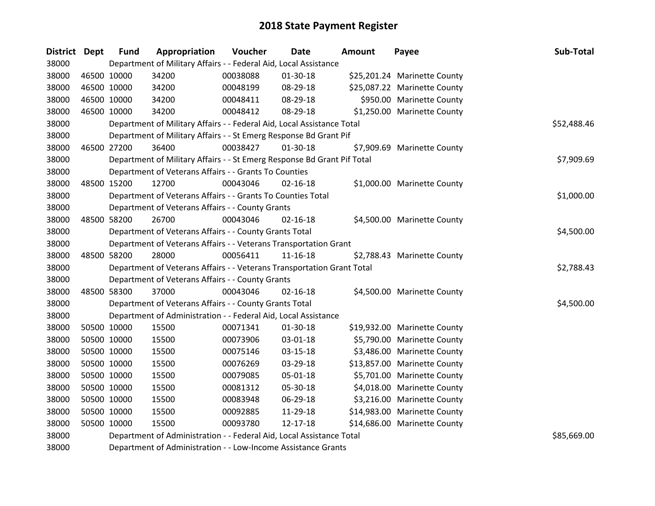| District Dept |             | <b>Fund</b> | Appropriation                                                           | Voucher  | <b>Date</b>    | <b>Amount</b> | Payee                        | Sub-Total   |
|---------------|-------------|-------------|-------------------------------------------------------------------------|----------|----------------|---------------|------------------------------|-------------|
| 38000         |             |             | Department of Military Affairs - - Federal Aid, Local Assistance        |          |                |               |                              |             |
| 38000         | 46500 10000 |             | 34200                                                                   | 00038088 | 01-30-18       |               | \$25,201.24 Marinette County |             |
| 38000         | 46500 10000 |             | 34200                                                                   | 00048199 | 08-29-18       |               | \$25,087.22 Marinette County |             |
| 38000         | 46500 10000 |             | 34200                                                                   | 00048411 | 08-29-18       |               | \$950.00 Marinette County    |             |
| 38000         |             | 46500 10000 | 34200                                                                   | 00048412 | 08-29-18       |               | \$1,250.00 Marinette County  |             |
| 38000         |             |             | Department of Military Affairs - - Federal Aid, Local Assistance Total  |          |                |               |                              | \$52,488.46 |
| 38000         |             |             | Department of Military Affairs - - St Emerg Response Bd Grant Pif       |          |                |               |                              |             |
| 38000         |             | 46500 27200 | 36400                                                                   | 00038427 | $01-30-18$     |               | \$7,909.69 Marinette County  |             |
| 38000         |             |             | Department of Military Affairs - - St Emerg Response Bd Grant Pif Total |          |                |               |                              | \$7,909.69  |
| 38000         |             |             | Department of Veterans Affairs - - Grants To Counties                   |          |                |               |                              |             |
| 38000         |             | 48500 15200 | 12700                                                                   | 00043046 | $02 - 16 - 18$ |               | \$1,000.00 Marinette County  |             |
| 38000         |             |             | Department of Veterans Affairs - - Grants To Counties Total             |          |                |               |                              | \$1,000.00  |
| 38000         |             |             | Department of Veterans Affairs - - County Grants                        |          |                |               |                              |             |
| 38000         |             | 48500 58200 | 26700                                                                   | 00043046 | $02 - 16 - 18$ |               | \$4,500.00 Marinette County  |             |
| 38000         |             |             | Department of Veterans Affairs - - County Grants Total                  |          | \$4,500.00     |               |                              |             |
| 38000         |             |             | Department of Veterans Affairs - - Veterans Transportation Grant        |          |                |               |                              |             |
| 38000         |             | 48500 58200 | 28000                                                                   | 00056411 | $11 - 16 - 18$ |               | \$2,788.43 Marinette County  |             |
| 38000         |             |             | Department of Veterans Affairs - - Veterans Transportation Grant Total  |          |                |               |                              | \$2,788.43  |
| 38000         |             |             | Department of Veterans Affairs - - County Grants                        |          |                |               |                              |             |
| 38000         |             | 48500 58300 | 37000                                                                   | 00043046 | $02 - 16 - 18$ |               | \$4,500.00 Marinette County  |             |
| 38000         |             |             | Department of Veterans Affairs - - County Grants Total                  |          |                |               |                              | \$4,500.00  |
| 38000         |             |             | Department of Administration - - Federal Aid, Local Assistance          |          |                |               |                              |             |
| 38000         |             | 50500 10000 | 15500                                                                   | 00071341 | 01-30-18       |               | \$19,932.00 Marinette County |             |
| 38000         |             | 50500 10000 | 15500                                                                   | 00073906 | 03-01-18       |               | \$5,790.00 Marinette County  |             |
| 38000         |             | 50500 10000 | 15500                                                                   | 00075146 | 03-15-18       |               | \$3,486.00 Marinette County  |             |
| 38000         |             | 50500 10000 | 15500                                                                   | 00076269 | 03-29-18       |               | \$13,857.00 Marinette County |             |
| 38000         |             | 50500 10000 | 15500                                                                   | 00079085 | 05-01-18       |               | \$5,701.00 Marinette County  |             |
| 38000         |             | 50500 10000 | 15500                                                                   | 00081312 | 05-30-18       |               | \$4,018.00 Marinette County  |             |
| 38000         |             | 50500 10000 | 15500                                                                   | 00083948 | 06-29-18       |               | \$3,216.00 Marinette County  |             |
| 38000         |             | 50500 10000 | 15500                                                                   | 00092885 | 11-29-18       |               | \$14,983.00 Marinette County |             |
| 38000         | 50500 10000 |             | 15500                                                                   | 00093780 | 12-17-18       |               | \$14,686.00 Marinette County |             |
| 38000         |             |             | Department of Administration - - Federal Aid, Local Assistance Total    |          |                |               |                              | \$85,669.00 |
| 38000         |             |             | Department of Administration - - Low-Income Assistance Grants           |          |                |               |                              |             |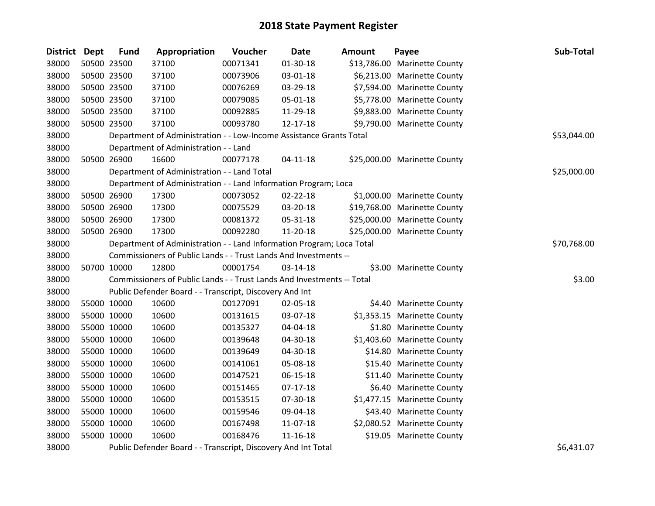| District Dept | <b>Fund</b> | Appropriation                                                          | Voucher  | <b>Date</b>    | <b>Amount</b> | Payee                        | Sub-Total   |
|---------------|-------------|------------------------------------------------------------------------|----------|----------------|---------------|------------------------------|-------------|
| 38000         | 50500 23500 | 37100                                                                  | 00071341 | 01-30-18       |               | \$13,786.00 Marinette County |             |
| 38000         | 50500 23500 | 37100                                                                  | 00073906 | 03-01-18       |               | \$6,213.00 Marinette County  |             |
| 38000         | 50500 23500 | 37100                                                                  | 00076269 | 03-29-18       |               | \$7,594.00 Marinette County  |             |
| 38000         | 50500 23500 | 37100                                                                  | 00079085 | 05-01-18       |               | \$5,778.00 Marinette County  |             |
| 38000         | 50500 23500 | 37100                                                                  | 00092885 | 11-29-18       |               | \$9,883.00 Marinette County  |             |
| 38000         | 50500 23500 | 37100                                                                  | 00093780 | 12-17-18       |               | \$9,790.00 Marinette County  |             |
| 38000         |             | Department of Administration - - Low-Income Assistance Grants Total    |          |                |               |                              | \$53,044.00 |
| 38000         |             | Department of Administration - - Land                                  |          |                |               |                              |             |
| 38000         | 50500 26900 | 16600                                                                  | 00077178 | $04 - 11 - 18$ |               | \$25,000.00 Marinette County |             |
| 38000         |             | Department of Administration - - Land Total                            |          |                |               |                              | \$25,000.00 |
| 38000         |             | Department of Administration - - Land Information Program; Loca        |          |                |               |                              |             |
| 38000         | 50500 26900 | 17300                                                                  | 00073052 | 02-22-18       |               | \$1,000.00 Marinette County  |             |
| 38000         | 50500 26900 | 17300                                                                  | 00075529 | 03-20-18       |               | \$19,768.00 Marinette County |             |
| 38000         | 50500 26900 | 17300                                                                  | 00081372 | 05-31-18       |               | \$25,000.00 Marinette County |             |
| 38000         | 50500 26900 | 17300                                                                  | 00092280 | 11-20-18       |               | \$25,000.00 Marinette County |             |
| 38000         |             | Department of Administration - - Land Information Program; Loca Total  |          | \$70,768.00    |               |                              |             |
| 38000         |             | Commissioners of Public Lands - - Trust Lands And Investments --       |          |                |               |                              |             |
| 38000         | 50700 10000 | 12800                                                                  | 00001754 | 03-14-18       |               | \$3.00 Marinette County      |             |
| 38000         |             | Commissioners of Public Lands - - Trust Lands And Investments -- Total |          |                |               |                              | \$3.00      |
| 38000         |             | Public Defender Board - - Transcript, Discovery And Int                |          |                |               |                              |             |
| 38000         | 55000 10000 | 10600                                                                  | 00127091 | 02-05-18       |               | \$4.40 Marinette County      |             |
| 38000         | 55000 10000 | 10600                                                                  | 00131615 | 03-07-18       |               | \$1,353.15 Marinette County  |             |
| 38000         | 55000 10000 | 10600                                                                  | 00135327 | 04-04-18       |               | \$1.80 Marinette County      |             |
| 38000         | 55000 10000 | 10600                                                                  | 00139648 | 04-30-18       |               | \$1,403.60 Marinette County  |             |
| 38000         | 55000 10000 | 10600                                                                  | 00139649 | 04-30-18       |               | \$14.80 Marinette County     |             |
| 38000         | 55000 10000 | 10600                                                                  | 00141061 | 05-08-18       |               | \$15.40 Marinette County     |             |
| 38000         | 55000 10000 | 10600                                                                  | 00147521 | $06 - 15 - 18$ |               | \$11.40 Marinette County     |             |
| 38000         | 55000 10000 | 10600                                                                  | 00151465 | $07-17-18$     |               | \$6.40 Marinette County      |             |
| 38000         | 55000 10000 | 10600                                                                  | 00153515 | 07-30-18       |               | \$1,477.15 Marinette County  |             |
| 38000         | 55000 10000 | 10600                                                                  | 00159546 | 09-04-18       |               | \$43.40 Marinette County     |             |
| 38000         | 55000 10000 | 10600                                                                  | 00167498 | 11-07-18       |               | \$2,080.52 Marinette County  |             |
| 38000         | 55000 10000 | 10600                                                                  | 00168476 | $11 - 16 - 18$ |               | \$19.05 Marinette County     |             |
| 38000         |             | Public Defender Board - - Transcript, Discovery And Int Total          |          |                |               |                              | \$6,431.07  |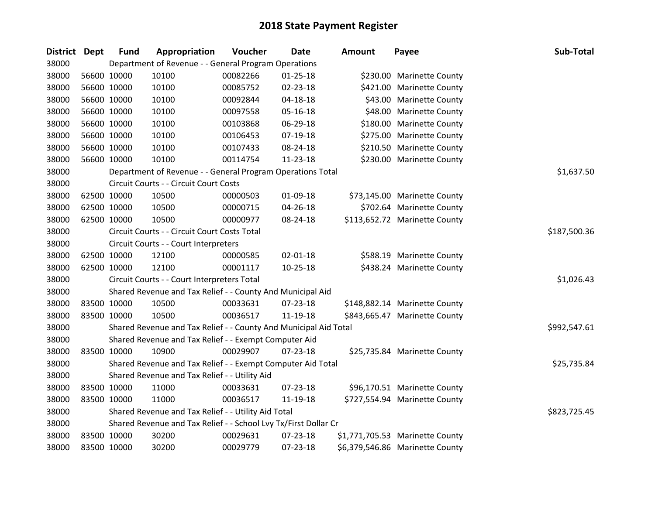| <b>District</b> | <b>Dept</b> | <b>Fund</b> | Appropriation                                                    | Voucher  | Date           | Amount | Payee                           | Sub-Total    |
|-----------------|-------------|-------------|------------------------------------------------------------------|----------|----------------|--------|---------------------------------|--------------|
| 38000           |             |             | Department of Revenue - - General Program Operations             |          |                |        |                                 |              |
| 38000           | 56600 10000 |             | 10100                                                            | 00082266 | $01 - 25 - 18$ |        | \$230.00 Marinette County       |              |
| 38000           | 56600 10000 |             | 10100                                                            | 00085752 | 02-23-18       |        | \$421.00 Marinette County       |              |
| 38000           | 56600 10000 |             | 10100                                                            | 00092844 | 04-18-18       |        | \$43.00 Marinette County        |              |
| 38000           | 56600 10000 |             | 10100                                                            | 00097558 | 05-16-18       |        | \$48.00 Marinette County        |              |
| 38000           | 56600 10000 |             | 10100                                                            | 00103868 | 06-29-18       |        | \$180.00 Marinette County       |              |
| 38000           | 56600 10000 |             | 10100                                                            | 00106453 | 07-19-18       |        | \$275.00 Marinette County       |              |
| 38000           | 56600 10000 |             | 10100                                                            | 00107433 | 08-24-18       |        | \$210.50 Marinette County       |              |
| 38000           | 56600 10000 |             | 10100                                                            | 00114754 | $11 - 23 - 18$ |        | \$230.00 Marinette County       |              |
| 38000           |             |             | Department of Revenue - - General Program Operations Total       |          |                |        |                                 | \$1,637.50   |
| 38000           |             |             | Circuit Courts - - Circuit Court Costs                           |          |                |        |                                 |              |
| 38000           | 62500 10000 |             | 10500                                                            | 00000503 | 01-09-18       |        | \$73,145.00 Marinette County    |              |
| 38000           | 62500 10000 |             | 10500                                                            | 00000715 | 04-26-18       |        | \$702.64 Marinette County       |              |
| 38000           | 62500 10000 |             | 10500                                                            | 00000977 | 08-24-18       |        | \$113,652.72 Marinette County   |              |
| 38000           |             |             | Circuit Courts - - Circuit Court Costs Total                     |          |                |        |                                 | \$187,500.36 |
| 38000           |             |             | Circuit Courts - - Court Interpreters                            |          |                |        |                                 |              |
| 38000           | 62500 10000 |             | 12100                                                            | 00000585 | $02 - 01 - 18$ |        | \$588.19 Marinette County       |              |
| 38000           | 62500 10000 |             | 12100                                                            | 00001117 | $10 - 25 - 18$ |        | \$438.24 Marinette County       |              |
| 38000           |             |             | Circuit Courts - - Court Interpreters Total                      |          |                |        |                                 | \$1,026.43   |
| 38000           |             |             | Shared Revenue and Tax Relief - - County And Municipal Aid       |          |                |        |                                 |              |
| 38000           | 83500 10000 |             | 10500                                                            | 00033631 | $07 - 23 - 18$ |        | \$148,882.14 Marinette County   |              |
| 38000           | 83500 10000 |             | 10500                                                            | 00036517 | 11-19-18       |        | \$843,665.47 Marinette County   |              |
| 38000           |             |             | Shared Revenue and Tax Relief - - County And Municipal Aid Total |          |                |        |                                 | \$992,547.61 |
| 38000           |             |             | Shared Revenue and Tax Relief - - Exempt Computer Aid            |          |                |        |                                 |              |
| 38000           | 83500 10000 |             | 10900                                                            | 00029907 | 07-23-18       |        | \$25,735.84 Marinette County    |              |
| 38000           |             |             | Shared Revenue and Tax Relief - - Exempt Computer Aid Total      |          |                |        |                                 | \$25,735.84  |
| 38000           |             |             | Shared Revenue and Tax Relief - - Utility Aid                    |          |                |        |                                 |              |
| 38000           | 83500 10000 |             | 11000                                                            | 00033631 | 07-23-18       |        | \$96,170.51 Marinette County    |              |
| 38000           | 83500 10000 |             | 11000                                                            | 00036517 | 11-19-18       |        | \$727,554.94 Marinette County   |              |
| 38000           |             |             | Shared Revenue and Tax Relief - - Utility Aid Total              |          |                |        |                                 | \$823,725.45 |
| 38000           |             |             | Shared Revenue and Tax Relief - - School Lvy Tx/First Dollar Cr  |          |                |        |                                 |              |
| 38000           | 83500 10000 |             | 30200                                                            | 00029631 | $07 - 23 - 18$ |        | \$1,771,705.53 Marinette County |              |
| 38000           | 83500 10000 |             | 30200                                                            | 00029779 | 07-23-18       |        | \$6,379,546.86 Marinette County |              |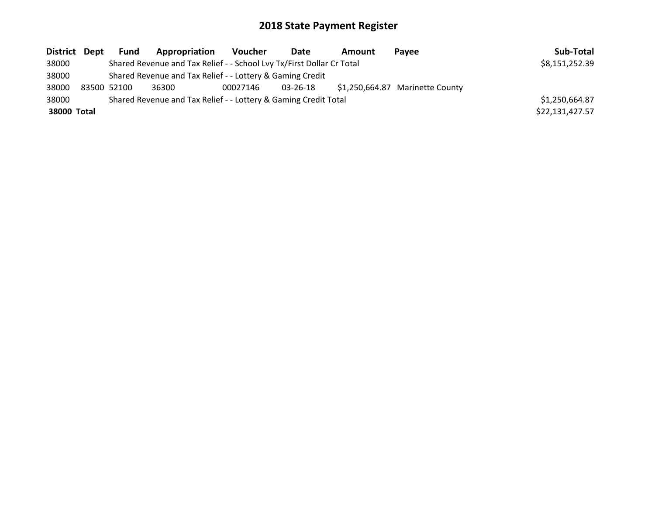| District Dept |                                                           | Fund        | Appropriation                                                         | <b>Voucher</b> | Date     | <b>Amount</b> | Pavee                           | Sub-Total       |
|---------------|-----------------------------------------------------------|-------------|-----------------------------------------------------------------------|----------------|----------|---------------|---------------------------------|-----------------|
| 38000         |                                                           |             | Shared Revenue and Tax Relief - - School Lvy Tx/First Dollar Cr Total |                |          |               |                                 | \$8,151,252.39  |
| 38000         | Shared Revenue and Tax Relief - - Lottery & Gaming Credit |             |                                                                       |                |          |               |                                 |                 |
| 38000         |                                                           | 83500 52100 | 36300                                                                 | 00027146       | 03-26-18 |               | \$1,250,664.87 Marinette County |                 |
| 38000         |                                                           |             | Shared Revenue and Tax Relief - - Lottery & Gaming Credit Total       |                |          |               |                                 | \$1,250,664.87  |
| 38000 Total   |                                                           |             |                                                                       |                |          |               |                                 | \$22,131,427.57 |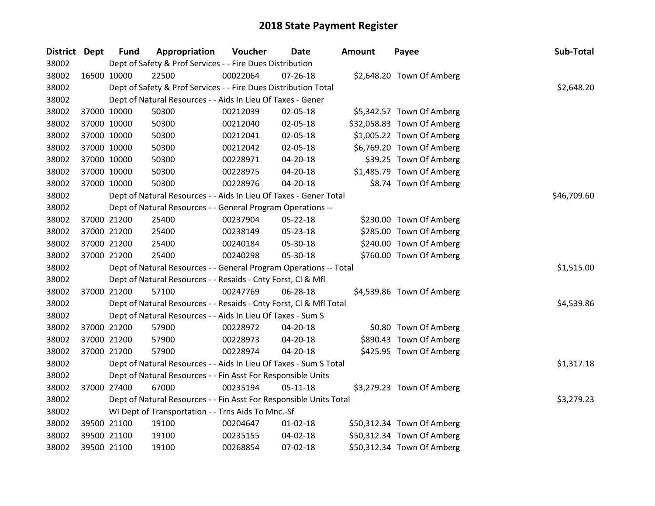| District Dept |             | <b>Fund</b> | Appropriation                                                      | Voucher  | <b>Date</b>    | Amount | Payee                      | Sub-Total   |
|---------------|-------------|-------------|--------------------------------------------------------------------|----------|----------------|--------|----------------------------|-------------|
| 38002         |             |             | Dept of Safety & Prof Services - - Fire Dues Distribution          |          |                |        |                            |             |
| 38002         | 16500 10000 |             | 22500                                                              | 00022064 | $07 - 26 - 18$ |        | \$2,648.20 Town Of Amberg  |             |
| 38002         |             |             | Dept of Safety & Prof Services - - Fire Dues Distribution Total    |          |                |        |                            | \$2,648.20  |
| 38002         |             |             | Dept of Natural Resources - - Aids In Lieu Of Taxes - Gener        |          |                |        |                            |             |
| 38002         |             | 37000 10000 | 50300                                                              | 00212039 | 02-05-18       |        | \$5,342.57 Town Of Amberg  |             |
| 38002         |             | 37000 10000 | 50300                                                              | 00212040 | 02-05-18       |        | \$32,058.83 Town Of Amberg |             |
| 38002         |             | 37000 10000 | 50300                                                              | 00212041 | 02-05-18       |        | \$1,005.22 Town Of Amberg  |             |
| 38002         | 37000 10000 |             | 50300                                                              | 00212042 | 02-05-18       |        | \$6,769.20 Town Of Amberg  |             |
| 38002         | 37000 10000 |             | 50300                                                              | 00228971 | 04-20-18       |        | \$39.25 Town Of Amberg     |             |
| 38002         |             | 37000 10000 | 50300                                                              | 00228975 | 04-20-18       |        | \$1,485.79 Town Of Amberg  |             |
| 38002         |             | 37000 10000 | 50300                                                              | 00228976 | 04-20-18       |        | \$8.74 Town Of Amberg      |             |
| 38002         |             |             | Dept of Natural Resources - - Aids In Lieu Of Taxes - Gener Total  |          |                |        |                            | \$46,709.60 |
| 38002         |             |             | Dept of Natural Resources - - General Program Operations --        |          |                |        |                            |             |
| 38002         |             | 37000 21200 | 25400                                                              | 00237904 | 05-22-18       |        | \$230.00 Town Of Amberg    |             |
| 38002         |             | 37000 21200 | 25400                                                              | 00238149 | 05-23-18       |        | \$285.00 Town Of Amberg    |             |
| 38002         |             | 37000 21200 | 25400                                                              | 00240184 | 05-30-18       |        | \$240.00 Town Of Amberg    |             |
| 38002         |             | 37000 21200 | 25400                                                              | 00240298 | 05-30-18       |        | \$760.00 Town Of Amberg    |             |
| 38002         |             |             | Dept of Natural Resources - - General Program Operations -- Total  |          |                |        |                            | \$1,515.00  |
| 38002         |             |             | Dept of Natural Resources - - Resaids - Cnty Forst, Cl & Mfl       |          |                |        |                            |             |
| 38002         | 37000 21200 |             | 57100                                                              | 00247769 | 06-28-18       |        | \$4,539.86 Town Of Amberg  |             |
| 38002         |             |             | Dept of Natural Resources - - Resaids - Cnty Forst, CI & Mfl Total |          |                |        |                            | \$4,539.86  |
| 38002         |             |             | Dept of Natural Resources - - Aids In Lieu Of Taxes - Sum S        |          |                |        |                            |             |
| 38002         |             | 37000 21200 | 57900                                                              | 00228972 | 04-20-18       |        | \$0.80 Town Of Amberg      |             |
| 38002         |             | 37000 21200 | 57900                                                              | 00228973 | 04-20-18       |        | \$890.43 Town Of Amberg    |             |
| 38002         | 37000 21200 |             | 57900                                                              | 00228974 | 04-20-18       |        | \$425.95 Town Of Amberg    |             |
| 38002         |             |             | Dept of Natural Resources - - Aids In Lieu Of Taxes - Sum S Total  |          |                |        |                            | \$1,317.18  |
| 38002         |             |             | Dept of Natural Resources - - Fin Asst For Responsible Units       |          |                |        |                            |             |
| 38002         |             | 37000 27400 | 67000                                                              | 00235194 | 05-11-18       |        | \$3,279.23 Town Of Amberg  |             |
| 38002         |             |             | Dept of Natural Resources - - Fin Asst For Responsible Units Total |          |                |        |                            | \$3,279.23  |
| 38002         |             |             | WI Dept of Transportation - - Trns Aids To Mnc.-Sf                 |          |                |        |                            |             |
| 38002         | 39500 21100 |             | 19100                                                              | 00204647 | $01 - 02 - 18$ |        | \$50,312.34 Town Of Amberg |             |
| 38002         |             | 39500 21100 | 19100                                                              | 00235155 | 04-02-18       |        | \$50,312.34 Town Of Amberg |             |
| 38002         |             | 39500 21100 | 19100                                                              | 00268854 | 07-02-18       |        | \$50,312.34 Town Of Amberg |             |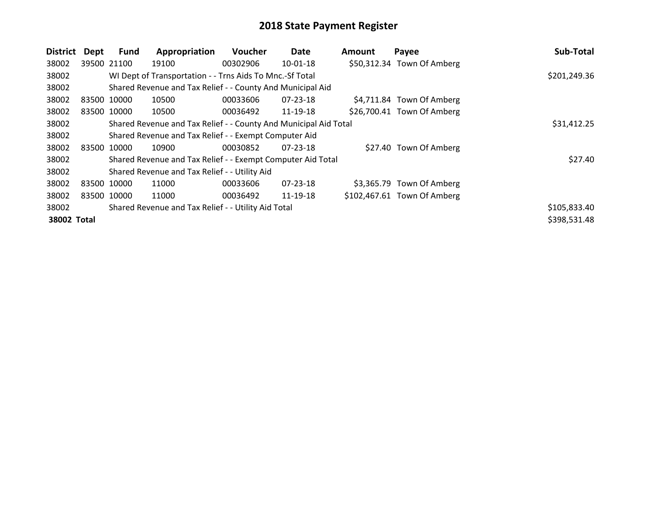| <b>District</b> | Dept  | <b>Fund</b> | Appropriation                                                    | <b>Voucher</b> | Date           | <b>Amount</b> | Payee                       | Sub-Total    |
|-----------------|-------|-------------|------------------------------------------------------------------|----------------|----------------|---------------|-----------------------------|--------------|
| 38002           |       | 39500 21100 | 19100                                                            | 00302906       | $10-01-18$     |               | \$50,312.34 Town Of Amberg  |              |
| 38002           |       |             | WI Dept of Transportation - - Trns Aids To Mnc.-Sf Total         |                |                |               |                             | \$201,249.36 |
| 38002           |       |             | Shared Revenue and Tax Relief - - County And Municipal Aid       |                |                |               |                             |              |
| 38002           | 83500 | 10000       | 10500                                                            | 00033606       | $07 - 23 - 18$ |               | \$4,711.84 Town Of Amberg   |              |
| 38002           |       | 83500 10000 | 10500                                                            | 00036492       | 11-19-18       |               | \$26,700.41 Town Of Amberg  |              |
| 38002           |       |             | Shared Revenue and Tax Relief - - County And Municipal Aid Total | \$31,412.25    |                |               |                             |              |
| 38002           |       |             | Shared Revenue and Tax Relief - - Exempt Computer Aid            |                |                |               |                             |              |
| 38002           | 83500 | 10000       | 10900                                                            | 00030852       | $07 - 23 - 18$ |               | \$27.40 Town Of Amberg      |              |
| 38002           |       |             | Shared Revenue and Tax Relief - - Exempt Computer Aid Total      |                |                |               |                             | \$27.40      |
| 38002           |       |             | Shared Revenue and Tax Relief - - Utility Aid                    |                |                |               |                             |              |
| 38002           |       | 83500 10000 | 11000                                                            | 00033606       | $07 - 23 - 18$ |               | \$3,365.79 Town Of Amberg   |              |
| 38002           |       | 83500 10000 | 11000                                                            | 00036492       | 11-19-18       |               | \$102,467.61 Town Of Amberg |              |
| 38002           |       |             | Shared Revenue and Tax Relief - - Utility Aid Total              |                |                |               |                             | \$105,833.40 |
| 38002 Total     |       |             |                                                                  |                |                |               |                             | \$398,531.48 |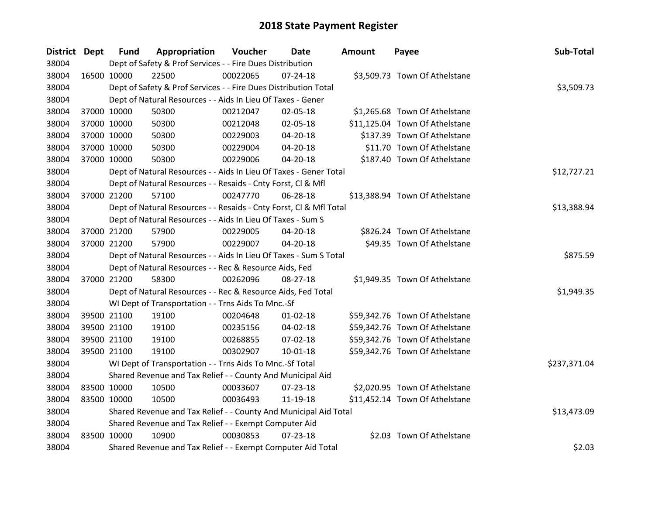| District Dept |             | <b>Fund</b> | Appropriation                                                      | Voucher  | <b>Date</b>    | <b>Amount</b> | Payee                          | Sub-Total    |
|---------------|-------------|-------------|--------------------------------------------------------------------|----------|----------------|---------------|--------------------------------|--------------|
| 38004         |             |             | Dept of Safety & Prof Services - - Fire Dues Distribution          |          |                |               |                                |              |
| 38004         |             | 16500 10000 | 22500                                                              | 00022065 | $07 - 24 - 18$ |               | \$3,509.73 Town Of Athelstane  |              |
| 38004         |             |             | Dept of Safety & Prof Services - - Fire Dues Distribution Total    |          |                |               |                                | \$3,509.73   |
| 38004         |             |             | Dept of Natural Resources - - Aids In Lieu Of Taxes - Gener        |          |                |               |                                |              |
| 38004         |             | 37000 10000 | 50300                                                              | 00212047 | 02-05-18       |               | \$1,265.68 Town Of Athelstane  |              |
| 38004         |             | 37000 10000 | 50300                                                              | 00212048 | 02-05-18       |               | \$11,125.04 Town Of Athelstane |              |
| 38004         |             | 37000 10000 | 50300                                                              | 00229003 | 04-20-18       |               | \$137.39 Town Of Athelstane    |              |
| 38004         |             | 37000 10000 | 50300                                                              | 00229004 | 04-20-18       |               | \$11.70 Town Of Athelstane     |              |
| 38004         |             | 37000 10000 | 50300                                                              | 00229006 | 04-20-18       |               | \$187.40 Town Of Athelstane    |              |
| 38004         |             |             | Dept of Natural Resources - - Aids In Lieu Of Taxes - Gener Total  |          |                |               |                                | \$12,727.21  |
| 38004         |             |             | Dept of Natural Resources - - Resaids - Cnty Forst, Cl & Mfl       |          |                |               |                                |              |
| 38004         |             | 37000 21200 | 57100                                                              | 00247770 | 06-28-18       |               | \$13,388.94 Town Of Athelstane |              |
| 38004         |             |             | Dept of Natural Resources - - Resaids - Cnty Forst, CI & Mfl Total |          |                |               |                                | \$13,388.94  |
| 38004         |             |             | Dept of Natural Resources - - Aids In Lieu Of Taxes - Sum S        |          |                |               |                                |              |
| 38004         |             | 37000 21200 | 57900                                                              | 00229005 | 04-20-18       |               | \$826.24 Town Of Athelstane    |              |
| 38004         |             | 37000 21200 | 57900                                                              | 00229007 | 04-20-18       |               | \$49.35 Town Of Athelstane     |              |
| 38004         |             |             | Dept of Natural Resources - - Aids In Lieu Of Taxes - Sum S Total  |          |                |               |                                | \$875.59     |
| 38004         |             |             | Dept of Natural Resources - - Rec & Resource Aids, Fed             |          |                |               |                                |              |
| 38004         |             | 37000 21200 | 58300                                                              | 00262096 | 08-27-18       |               | \$1,949.35 Town Of Athelstane  |              |
| 38004         |             |             | Dept of Natural Resources - - Rec & Resource Aids, Fed Total       |          |                |               |                                | \$1,949.35   |
| 38004         |             |             | WI Dept of Transportation - - Trns Aids To Mnc.-Sf                 |          |                |               |                                |              |
| 38004         |             | 39500 21100 | 19100                                                              | 00204648 | $01 - 02 - 18$ |               | \$59,342.76 Town Of Athelstane |              |
| 38004         |             | 39500 21100 | 19100                                                              | 00235156 | 04-02-18       |               | \$59,342.76 Town Of Athelstane |              |
| 38004         |             | 39500 21100 | 19100                                                              | 00268855 | 07-02-18       |               | \$59,342.76 Town Of Athelstane |              |
| 38004         |             | 39500 21100 | 19100                                                              | 00302907 | $10 - 01 - 18$ |               | \$59,342.76 Town Of Athelstane |              |
| 38004         |             |             | WI Dept of Transportation - - Trns Aids To Mnc.-Sf Total           |          |                |               |                                | \$237,371.04 |
| 38004         |             |             | Shared Revenue and Tax Relief - - County And Municipal Aid         |          |                |               |                                |              |
| 38004         |             | 83500 10000 | 10500                                                              | 00033607 | 07-23-18       |               | \$2,020.95 Town Of Athelstane  |              |
| 38004         |             | 83500 10000 | 10500                                                              | 00036493 | 11-19-18       |               | \$11,452.14 Town Of Athelstane |              |
| 38004         |             |             | Shared Revenue and Tax Relief - - County And Municipal Aid Total   |          |                |               |                                | \$13,473.09  |
| 38004         |             |             | Shared Revenue and Tax Relief - - Exempt Computer Aid              |          |                |               |                                |              |
| 38004         | 83500 10000 |             | 10900                                                              | 00030853 | 07-23-18       |               | \$2.03 Town Of Athelstane      |              |
| 38004         |             |             | Shared Revenue and Tax Relief - - Exempt Computer Aid Total        |          |                |               |                                | \$2.03       |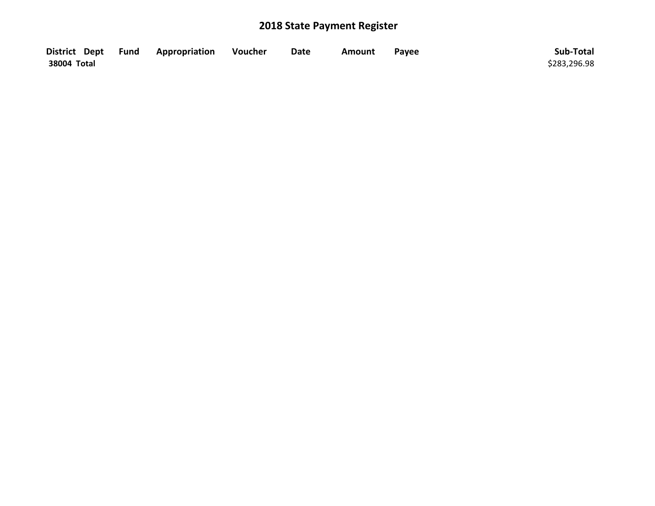| District Dept Fund | <b>Appropriation</b> | Voucher | <b>Date</b> | Amount | Payee | Sub-Total    |
|--------------------|----------------------|---------|-------------|--------|-------|--------------|
| 38004 Total        |                      |         |             |        |       | \$283,296.98 |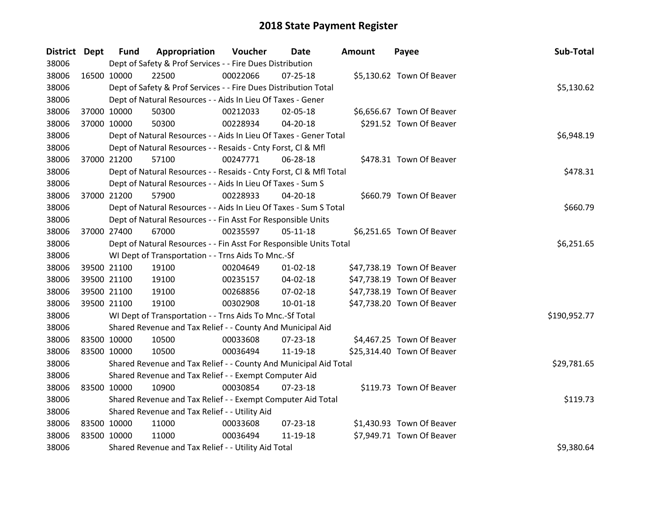| District Dept |             | <b>Fund</b> | Appropriation                                                      | <b>Voucher</b> | Date           | Amount | Payee                      | Sub-Total    |
|---------------|-------------|-------------|--------------------------------------------------------------------|----------------|----------------|--------|----------------------------|--------------|
| 38006         |             |             | Dept of Safety & Prof Services - - Fire Dues Distribution          |                |                |        |                            |              |
| 38006         | 16500 10000 |             | 22500                                                              | 00022066       | 07-25-18       |        | \$5,130.62 Town Of Beaver  |              |
| 38006         |             |             | Dept of Safety & Prof Services - - Fire Dues Distribution Total    |                |                |        |                            | \$5,130.62   |
| 38006         |             |             | Dept of Natural Resources - - Aids In Lieu Of Taxes - Gener        |                |                |        |                            |              |
| 38006         |             | 37000 10000 | 50300                                                              | 00212033       | 02-05-18       |        | \$6,656.67 Town Of Beaver  |              |
| 38006         | 37000 10000 |             | 50300                                                              | 00228934       | 04-20-18       |        | \$291.52 Town Of Beaver    |              |
| 38006         |             |             | Dept of Natural Resources - - Aids In Lieu Of Taxes - Gener Total  |                |                |        |                            | \$6,948.19   |
| 38006         |             |             | Dept of Natural Resources - - Resaids - Cnty Forst, Cl & Mfl       |                |                |        |                            |              |
| 38006         | 37000 21200 |             | 57100                                                              | 00247771       | 06-28-18       |        | \$478.31 Town Of Beaver    |              |
| 38006         |             |             | Dept of Natural Resources - - Resaids - Cnty Forst, CI & Mfl Total |                |                |        |                            | \$478.31     |
| 38006         |             |             | Dept of Natural Resources - - Aids In Lieu Of Taxes - Sum S        |                |                |        |                            |              |
| 38006         | 37000 21200 |             | 57900                                                              | 00228933       | 04-20-18       |        | \$660.79 Town Of Beaver    |              |
| 38006         |             |             | Dept of Natural Resources - - Aids In Lieu Of Taxes - Sum S Total  |                |                |        |                            | \$660.79     |
| 38006         |             |             | Dept of Natural Resources - - Fin Asst For Responsible Units       |                |                |        |                            |              |
| 38006         | 37000 27400 |             | 67000                                                              | 00235597       | 05-11-18       |        | \$6,251.65 Town Of Beaver  |              |
| 38006         |             |             | Dept of Natural Resources - - Fin Asst For Responsible Units Total |                |                |        |                            | \$6,251.65   |
| 38006         |             |             | WI Dept of Transportation - - Trns Aids To Mnc.-Sf                 |                |                |        |                            |              |
| 38006         |             | 39500 21100 | 19100                                                              | 00204649       | $01 - 02 - 18$ |        | \$47,738.19 Town Of Beaver |              |
| 38006         |             | 39500 21100 | 19100                                                              | 00235157       | 04-02-18       |        | \$47,738.19 Town Of Beaver |              |
| 38006         |             | 39500 21100 | 19100                                                              | 00268856       | 07-02-18       |        | \$47,738.19 Town Of Beaver |              |
| 38006         |             | 39500 21100 | 19100                                                              | 00302908       | $10 - 01 - 18$ |        | \$47,738.20 Town Of Beaver |              |
| 38006         |             |             | WI Dept of Transportation - - Trns Aids To Mnc.-Sf Total           |                |                |        |                            | \$190,952.77 |
| 38006         |             |             | Shared Revenue and Tax Relief - - County And Municipal Aid         |                |                |        |                            |              |
| 38006         |             | 83500 10000 | 10500                                                              | 00033608       | 07-23-18       |        | \$4,467.25 Town Of Beaver  |              |
| 38006         | 83500 10000 |             | 10500                                                              | 00036494       | 11-19-18       |        | \$25,314.40 Town Of Beaver |              |
| 38006         |             |             | Shared Revenue and Tax Relief - - County And Municipal Aid Total   |                |                |        |                            | \$29,781.65  |
| 38006         |             |             | Shared Revenue and Tax Relief - - Exempt Computer Aid              |                |                |        |                            |              |
| 38006         | 83500 10000 |             | 10900                                                              | 00030854       | $07 - 23 - 18$ |        | \$119.73 Town Of Beaver    |              |
| 38006         |             |             | Shared Revenue and Tax Relief - - Exempt Computer Aid Total        |                |                |        |                            | \$119.73     |
| 38006         |             |             | Shared Revenue and Tax Relief - - Utility Aid                      |                |                |        |                            |              |
| 38006         | 83500 10000 |             | 11000                                                              | 00033608       | 07-23-18       |        | \$1,430.93 Town Of Beaver  |              |
| 38006         | 83500 10000 |             | 11000                                                              | 00036494       | 11-19-18       |        | \$7,949.71 Town Of Beaver  |              |
| 38006         |             |             | Shared Revenue and Tax Relief - - Utility Aid Total                |                |                |        |                            | \$9,380.64   |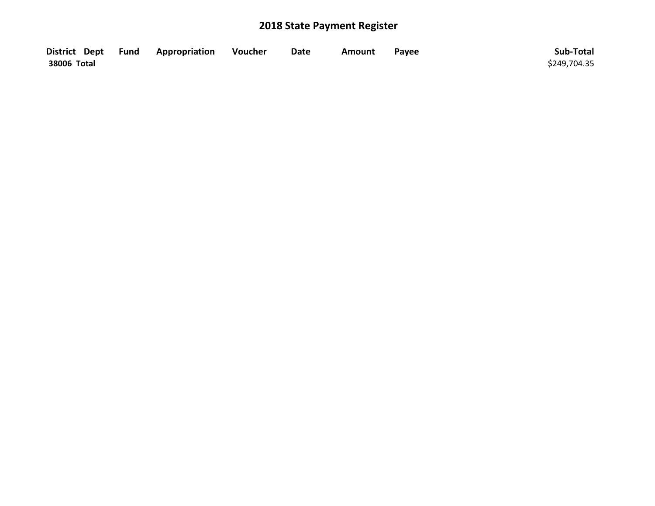|             | District Dept Fund Appropriation | Voucher | <b>Date</b> | Amount | Payee | Sub-Total    |
|-------------|----------------------------------|---------|-------------|--------|-------|--------------|
| 38006 Total |                                  |         |             |        |       | \$249,704.35 |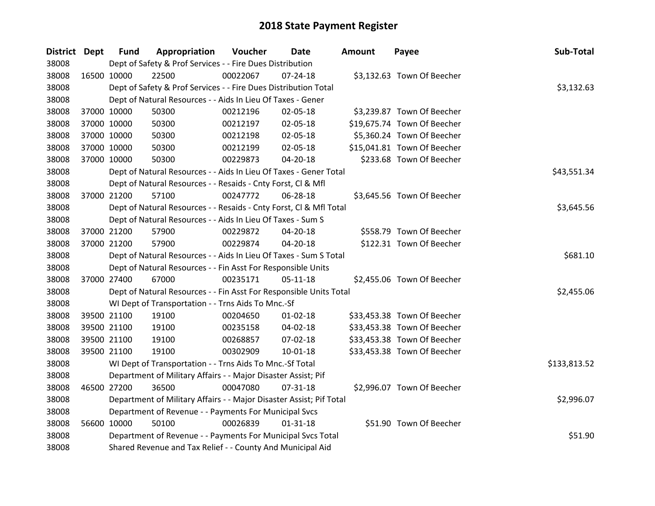| <b>District Dept</b> |             | <b>Fund</b> | Appropriation                                                       | Voucher  | <b>Date</b>    | Amount | Payee                       | Sub-Total    |
|----------------------|-------------|-------------|---------------------------------------------------------------------|----------|----------------|--------|-----------------------------|--------------|
| 38008                |             |             | Dept of Safety & Prof Services - - Fire Dues Distribution           |          |                |        |                             |              |
| 38008                | 16500 10000 |             | 22500                                                               | 00022067 | 07-24-18       |        | \$3,132.63 Town Of Beecher  |              |
| 38008                |             |             | Dept of Safety & Prof Services - - Fire Dues Distribution Total     |          |                |        |                             | \$3,132.63   |
| 38008                |             |             | Dept of Natural Resources - - Aids In Lieu Of Taxes - Gener         |          |                |        |                             |              |
| 38008                |             | 37000 10000 | 50300                                                               | 00212196 | 02-05-18       |        | \$3,239.87 Town Of Beecher  |              |
| 38008                |             | 37000 10000 | 50300                                                               | 00212197 | 02-05-18       |        | \$19,675.74 Town Of Beecher |              |
| 38008                |             | 37000 10000 | 50300                                                               | 00212198 | 02-05-18       |        | \$5,360.24 Town Of Beecher  |              |
| 38008                |             | 37000 10000 | 50300                                                               | 00212199 | 02-05-18       |        | \$15,041.81 Town Of Beecher |              |
| 38008                |             | 37000 10000 | 50300                                                               | 00229873 | 04-20-18       |        | \$233.68 Town Of Beecher    |              |
| 38008                |             |             | Dept of Natural Resources - - Aids In Lieu Of Taxes - Gener Total   |          |                |        |                             | \$43,551.34  |
| 38008                |             |             | Dept of Natural Resources - - Resaids - Cnty Forst, Cl & Mfl        |          |                |        |                             |              |
| 38008                |             | 37000 21200 | 57100                                                               | 00247772 | 06-28-18       |        | \$3,645.56 Town Of Beecher  |              |
| 38008                |             |             | Dept of Natural Resources - - Resaids - Cnty Forst, Cl & Mfl Total  |          |                |        |                             | \$3,645.56   |
| 38008                |             |             | Dept of Natural Resources - - Aids In Lieu Of Taxes - Sum S         |          |                |        |                             |              |
| 38008                |             | 37000 21200 | 57900                                                               | 00229872 | 04-20-18       |        | \$558.79 Town Of Beecher    |              |
| 38008                |             | 37000 21200 | 57900                                                               | 00229874 | 04-20-18       |        | \$122.31 Town Of Beecher    |              |
| 38008                |             |             | Dept of Natural Resources - - Aids In Lieu Of Taxes - Sum S Total   |          |                |        |                             | \$681.10     |
| 38008                |             |             | Dept of Natural Resources - - Fin Asst For Responsible Units        |          |                |        |                             |              |
| 38008                |             | 37000 27400 | 67000                                                               | 00235171 | $05-11-18$     |        | \$2,455.06 Town Of Beecher  |              |
| 38008                |             |             | Dept of Natural Resources - - Fin Asst For Responsible Units Total  |          |                |        |                             | \$2,455.06   |
| 38008                |             |             | WI Dept of Transportation - - Trns Aids To Mnc.-Sf                  |          |                |        |                             |              |
| 38008                |             | 39500 21100 | 19100                                                               | 00204650 | $01 - 02 - 18$ |        | \$33,453.38 Town Of Beecher |              |
| 38008                |             | 39500 21100 | 19100                                                               | 00235158 | 04-02-18       |        | \$33,453.38 Town Of Beecher |              |
| 38008                |             | 39500 21100 | 19100                                                               | 00268857 | 07-02-18       |        | \$33,453.38 Town Of Beecher |              |
| 38008                |             | 39500 21100 | 19100                                                               | 00302909 | 10-01-18       |        | \$33,453.38 Town Of Beecher |              |
| 38008                |             |             | WI Dept of Transportation - - Trns Aids To Mnc.-Sf Total            |          |                |        |                             | \$133,813.52 |
| 38008                |             |             | Department of Military Affairs - - Major Disaster Assist; Pif       |          |                |        |                             |              |
| 38008                |             | 46500 27200 | 36500                                                               | 00047080 | $07 - 31 - 18$ |        | \$2,996.07 Town Of Beecher  |              |
| 38008                |             |             | Department of Military Affairs - - Major Disaster Assist; Pif Total |          |                |        |                             | \$2,996.07   |
| 38008                |             |             | Department of Revenue - - Payments For Municipal Svcs               |          |                |        |                             |              |
| 38008                |             | 56600 10000 | 50100                                                               | 00026839 | $01 - 31 - 18$ |        | \$51.90 Town Of Beecher     |              |
| 38008                |             |             | Department of Revenue - - Payments For Municipal Svcs Total         |          |                |        |                             | \$51.90      |
| 38008                |             |             | Shared Revenue and Tax Relief - - County And Municipal Aid          |          |                |        |                             |              |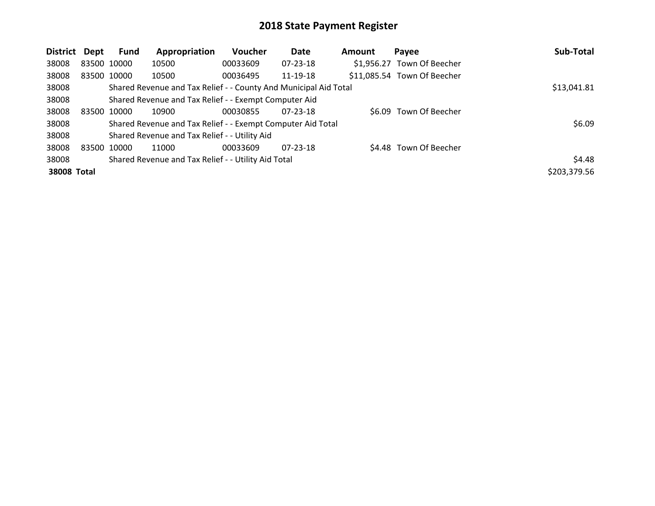| District           | <b>Dept</b> | <b>Fund</b> | Appropriation                                                    | Voucher  | Date           | Amount | Payee                       | Sub-Total    |
|--------------------|-------------|-------------|------------------------------------------------------------------|----------|----------------|--------|-----------------------------|--------------|
| 38008              |             | 83500 10000 | 10500                                                            | 00033609 | $07 - 23 - 18$ |        | \$1,956.27 Town Of Beecher  |              |
| 38008              |             | 83500 10000 | 10500                                                            | 00036495 | 11-19-18       |        | \$11,085.54 Town Of Beecher |              |
| 38008              |             |             | Shared Revenue and Tax Relief - - County And Municipal Aid Total |          |                |        |                             | \$13,041.81  |
| 38008              |             |             | Shared Revenue and Tax Relief - - Exempt Computer Aid            |          |                |        |                             |              |
| 38008              | 83500       | 10000       | 10900                                                            | 00030855 | $07 - 23 - 18$ |        | \$6.09 Town Of Beecher      |              |
| 38008              |             |             | Shared Revenue and Tax Relief - - Exempt Computer Aid Total      |          |                |        |                             | \$6.09       |
| 38008              |             |             | Shared Revenue and Tax Relief - - Utility Aid                    |          |                |        |                             |              |
| 38008              |             | 83500 10000 | 11000                                                            | 00033609 | $07 - 23 - 18$ |        | \$4.48 Town Of Beecher      |              |
| 38008              |             |             | Shared Revenue and Tax Relief - - Utility Aid Total              |          |                |        |                             | \$4.48       |
| <b>38008 Total</b> |             |             |                                                                  |          |                |        |                             | \$203,379.56 |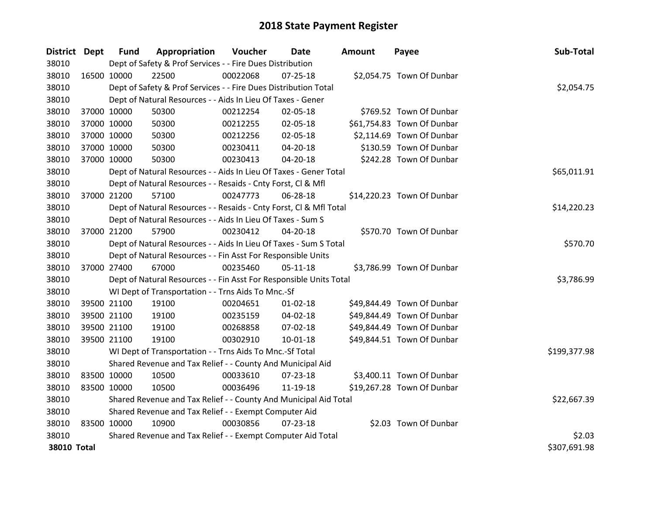| <b>District Dept</b> |             | <b>Fund</b> | Appropriation                                                      | Voucher  | Date           | Amount | Payee                      | Sub-Total    |
|----------------------|-------------|-------------|--------------------------------------------------------------------|----------|----------------|--------|----------------------------|--------------|
| 38010                |             |             | Dept of Safety & Prof Services - - Fire Dues Distribution          |          |                |        |                            |              |
| 38010                |             | 16500 10000 | 22500                                                              | 00022068 | $07 - 25 - 18$ |        | \$2,054.75 Town Of Dunbar  |              |
| 38010                |             |             | Dept of Safety & Prof Services - - Fire Dues Distribution Total    |          |                |        |                            | \$2,054.75   |
| 38010                |             |             | Dept of Natural Resources - - Aids In Lieu Of Taxes - Gener        |          |                |        |                            |              |
| 38010                |             | 37000 10000 | 50300                                                              | 00212254 | 02-05-18       |        | \$769.52 Town Of Dunbar    |              |
| 38010                |             | 37000 10000 | 50300                                                              | 00212255 | 02-05-18       |        | \$61,754.83 Town Of Dunbar |              |
| 38010                |             | 37000 10000 | 50300                                                              | 00212256 | 02-05-18       |        | \$2,114.69 Town Of Dunbar  |              |
| 38010                |             | 37000 10000 | 50300                                                              | 00230411 | 04-20-18       |        | \$130.59 Town Of Dunbar    |              |
| 38010                |             | 37000 10000 | 50300                                                              | 00230413 | 04-20-18       |        | \$242.28 Town Of Dunbar    |              |
| 38010                |             |             | Dept of Natural Resources - - Aids In Lieu Of Taxes - Gener Total  |          |                |        |                            | \$65,011.91  |
| 38010                |             |             | Dept of Natural Resources - - Resaids - Cnty Forst, CI & Mfl       |          |                |        |                            |              |
| 38010                |             | 37000 21200 | 57100                                                              | 00247773 | 06-28-18       |        | \$14,220.23 Town Of Dunbar |              |
| 38010                |             |             | Dept of Natural Resources - - Resaids - Cnty Forst, CI & Mfl Total |          |                |        |                            | \$14,220.23  |
| 38010                |             |             | Dept of Natural Resources - - Aids In Lieu Of Taxes - Sum S        |          |                |        |                            |              |
| 38010                |             | 37000 21200 | 57900                                                              | 00230412 | 04-20-18       |        | \$570.70 Town Of Dunbar    |              |
| 38010                |             |             | Dept of Natural Resources - - Aids In Lieu Of Taxes - Sum S Total  |          |                |        |                            | \$570.70     |
| 38010                |             |             | Dept of Natural Resources - - Fin Asst For Responsible Units       |          |                |        |                            |              |
| 38010                |             | 37000 27400 | 67000                                                              | 00235460 | $05 - 11 - 18$ |        | \$3,786.99 Town Of Dunbar  |              |
| 38010                |             |             | Dept of Natural Resources - - Fin Asst For Responsible Units Total |          |                |        |                            | \$3,786.99   |
| 38010                |             |             | WI Dept of Transportation - - Trns Aids To Mnc.-Sf                 |          |                |        |                            |              |
| 38010                |             | 39500 21100 | 19100                                                              | 00204651 | $01 - 02 - 18$ |        | \$49,844.49 Town Of Dunbar |              |
| 38010                |             | 39500 21100 | 19100                                                              | 00235159 | 04-02-18       |        | \$49,844.49 Town Of Dunbar |              |
| 38010                |             | 39500 21100 | 19100                                                              | 00268858 | 07-02-18       |        | \$49,844.49 Town Of Dunbar |              |
| 38010                |             | 39500 21100 | 19100                                                              | 00302910 | 10-01-18       |        | \$49,844.51 Town Of Dunbar |              |
| 38010                |             |             | WI Dept of Transportation - - Trns Aids To Mnc.-Sf Total           |          |                |        |                            | \$199,377.98 |
| 38010                |             |             | Shared Revenue and Tax Relief - - County And Municipal Aid         |          |                |        |                            |              |
| 38010                | 83500 10000 |             | 10500                                                              | 00033610 | 07-23-18       |        | \$3,400.11 Town Of Dunbar  |              |
| 38010                |             | 83500 10000 | 10500                                                              | 00036496 | 11-19-18       |        | \$19,267.28 Town Of Dunbar |              |
| 38010                |             |             | Shared Revenue and Tax Relief - - County And Municipal Aid Total   |          |                |        |                            | \$22,667.39  |
| 38010                |             |             | Shared Revenue and Tax Relief - - Exempt Computer Aid              |          |                |        |                            |              |
| 38010                | 83500 10000 |             | 10900                                                              | 00030856 | $07 - 23 - 18$ |        | \$2.03 Town Of Dunbar      |              |
| 38010                |             |             | Shared Revenue and Tax Relief - - Exempt Computer Aid Total        |          |                |        |                            | \$2.03       |
| 38010 Total          |             |             |                                                                    |          |                |        |                            | \$307,691.98 |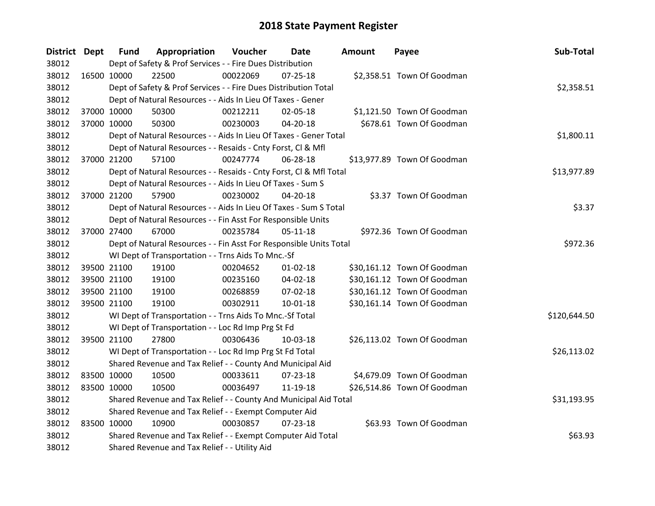| District Dept |             | <b>Fund</b> | Appropriation                                                      | Voucher  | Date           | Amount | Payee                       | Sub-Total    |
|---------------|-------------|-------------|--------------------------------------------------------------------|----------|----------------|--------|-----------------------------|--------------|
| 38012         |             |             | Dept of Safety & Prof Services - - Fire Dues Distribution          |          |                |        |                             |              |
| 38012         | 16500 10000 |             | 22500                                                              | 00022069 | $07 - 25 - 18$ |        | \$2,358.51 Town Of Goodman  |              |
| 38012         |             |             | Dept of Safety & Prof Services - - Fire Dues Distribution Total    |          |                |        |                             | \$2,358.51   |
| 38012         |             |             | Dept of Natural Resources - - Aids In Lieu Of Taxes - Gener        |          |                |        |                             |              |
| 38012         |             | 37000 10000 | 50300                                                              | 00212211 | 02-05-18       |        | \$1,121.50 Town Of Goodman  |              |
| 38012         |             | 37000 10000 | 50300                                                              | 00230003 | 04-20-18       |        | \$678.61 Town Of Goodman    |              |
| 38012         |             |             | Dept of Natural Resources - - Aids In Lieu Of Taxes - Gener Total  |          |                |        |                             | \$1,800.11   |
| 38012         |             |             | Dept of Natural Resources - - Resaids - Cnty Forst, Cl & Mfl       |          |                |        |                             |              |
| 38012         | 37000 21200 |             | 57100                                                              | 00247774 | 06-28-18       |        | \$13,977.89 Town Of Goodman |              |
| 38012         |             |             | Dept of Natural Resources - - Resaids - Cnty Forst, Cl & Mfl Total |          |                |        |                             | \$13,977.89  |
| 38012         |             |             | Dept of Natural Resources - - Aids In Lieu Of Taxes - Sum S        |          |                |        |                             |              |
| 38012         |             | 37000 21200 | 57900                                                              | 00230002 | 04-20-18       |        | \$3.37 Town Of Goodman      |              |
| 38012         |             |             | Dept of Natural Resources - - Aids In Lieu Of Taxes - Sum S Total  |          |                |        |                             | \$3.37       |
| 38012         |             |             | Dept of Natural Resources - - Fin Asst For Responsible Units       |          |                |        |                             |              |
| 38012         | 37000 27400 |             | 67000                                                              | 00235784 | $05 - 11 - 18$ |        | \$972.36 Town Of Goodman    |              |
| 38012         |             |             | Dept of Natural Resources - - Fin Asst For Responsible Units Total |          |                |        |                             | \$972.36     |
| 38012         |             |             | WI Dept of Transportation - - Trns Aids To Mnc.-Sf                 |          |                |        |                             |              |
| 38012         |             | 39500 21100 | 19100                                                              | 00204652 | $01 - 02 - 18$ |        | \$30,161.12 Town Of Goodman |              |
| 38012         |             | 39500 21100 | 19100                                                              | 00235160 | 04-02-18       |        | \$30,161.12 Town Of Goodman |              |
| 38012         |             | 39500 21100 | 19100                                                              | 00268859 | 07-02-18       |        | \$30,161.12 Town Of Goodman |              |
| 38012         | 39500 21100 |             | 19100                                                              | 00302911 | $10 - 01 - 18$ |        | \$30,161.14 Town Of Goodman |              |
| 38012         |             |             | WI Dept of Transportation - - Trns Aids To Mnc.-Sf Total           |          |                |        |                             | \$120,644.50 |
| 38012         |             |             | WI Dept of Transportation - - Loc Rd Imp Prg St Fd                 |          |                |        |                             |              |
| 38012         | 39500 21100 |             | 27800                                                              | 00306436 | 10-03-18       |        | \$26,113.02 Town Of Goodman |              |
| 38012         |             |             | WI Dept of Transportation - - Loc Rd Imp Prg St Fd Total           |          |                |        |                             | \$26,113.02  |
| 38012         |             |             | Shared Revenue and Tax Relief - - County And Municipal Aid         |          |                |        |                             |              |
| 38012         | 83500 10000 |             | 10500                                                              | 00033611 | 07-23-18       |        | \$4,679.09 Town Of Goodman  |              |
| 38012         | 83500 10000 |             | 10500                                                              | 00036497 | 11-19-18       |        | \$26,514.86 Town Of Goodman |              |
| 38012         |             |             | Shared Revenue and Tax Relief - - County And Municipal Aid Total   |          |                |        |                             | \$31,193.95  |
| 38012         |             |             | Shared Revenue and Tax Relief - - Exempt Computer Aid              |          |                |        |                             |              |
| 38012         | 83500 10000 |             | 10900                                                              | 00030857 | $07 - 23 - 18$ |        | \$63.93 Town Of Goodman     |              |
| 38012         |             |             | Shared Revenue and Tax Relief - - Exempt Computer Aid Total        |          |                |        |                             | \$63.93      |
| 38012         |             |             | Shared Revenue and Tax Relief - - Utility Aid                      |          |                |        |                             |              |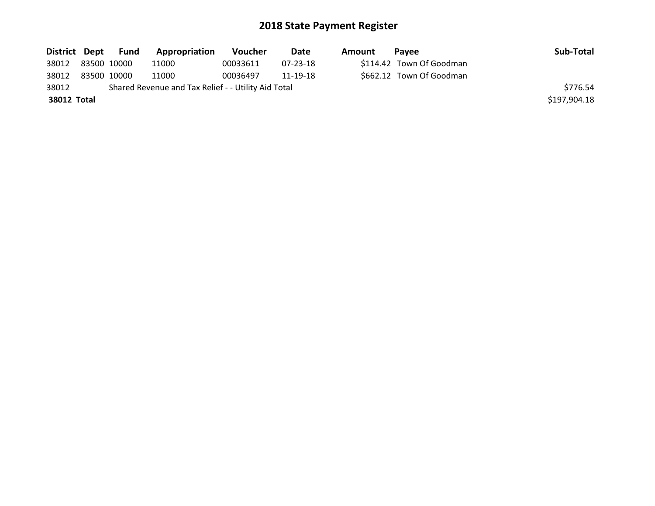|                   | District Dept Fund | <b>Appropriation</b>                                | Voucher  | Date     | Amount | Pavee                    | Sub-Total    |
|-------------------|--------------------|-----------------------------------------------------|----------|----------|--------|--------------------------|--------------|
| 38012 83500 10000 |                    | 11000                                               | 00033611 | 07-23-18 |        | \$114.42 Town Of Goodman |              |
| 38012             | 83500 10000        | 11000                                               | 00036497 | 11-19-18 |        | \$662.12 Town Of Goodman |              |
| 38012             |                    | Shared Revenue and Tax Relief - - Utility Aid Total |          |          |        |                          | \$776.54     |
| 38012 Total       |                    |                                                     |          |          |        |                          | \$197,904.18 |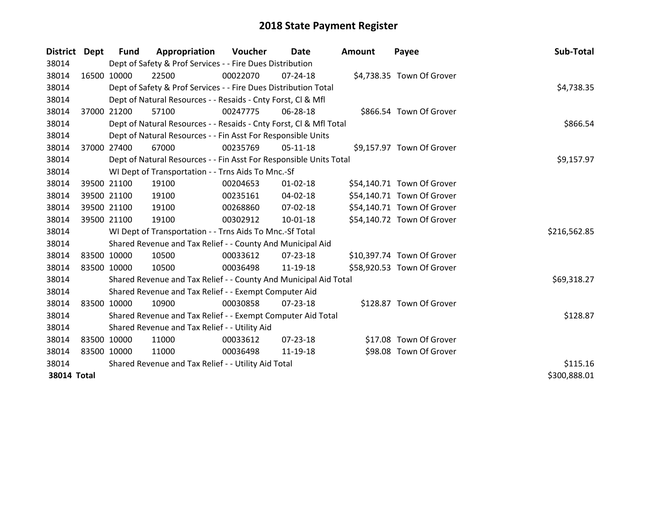| District Dept      |             | <b>Fund</b>                                         | Appropriation                                                      | Voucher  | Date           | <b>Amount</b> | Payee                      | Sub-Total    |
|--------------------|-------------|-----------------------------------------------------|--------------------------------------------------------------------|----------|----------------|---------------|----------------------------|--------------|
| 38014              |             |                                                     | Dept of Safety & Prof Services - - Fire Dues Distribution          |          |                |               |                            |              |
| 38014              |             | 16500 10000                                         | 22500                                                              | 00022070 | $07 - 24 - 18$ |               | \$4,738.35 Town Of Grover  |              |
| 38014              |             |                                                     | Dept of Safety & Prof Services - - Fire Dues Distribution Total    |          |                |               |                            | \$4,738.35   |
| 38014              |             |                                                     | Dept of Natural Resources - - Resaids - Cnty Forst, Cl & Mfl       |          |                |               |                            |              |
| 38014              |             | 37000 21200                                         | 57100                                                              | 00247775 | 06-28-18       |               | \$866.54 Town Of Grover    |              |
| 38014              |             |                                                     | Dept of Natural Resources - - Resaids - Cnty Forst, Cl & Mfl Total |          | \$866.54       |               |                            |              |
| 38014              |             |                                                     | Dept of Natural Resources - - Fin Asst For Responsible Units       |          |                |               |                            |              |
| 38014              |             | 37000 27400                                         | 67000                                                              | 00235769 | $05-11-18$     |               | \$9,157.97 Town Of Grover  |              |
| 38014              |             |                                                     | Dept of Natural Resources - - Fin Asst For Responsible Units Total |          |                |               |                            | \$9,157.97   |
| 38014              |             |                                                     | WI Dept of Transportation - - Trns Aids To Mnc.-Sf                 |          |                |               |                            |              |
| 38014              |             | 39500 21100                                         | 19100                                                              | 00204653 | $01 - 02 - 18$ |               | \$54,140.71 Town Of Grover |              |
| 38014              |             | 39500 21100                                         | 19100                                                              | 00235161 | 04-02-18       |               | \$54,140.71 Town Of Grover |              |
| 38014              |             | 39500 21100                                         | 19100                                                              | 00268860 | 07-02-18       |               | \$54,140.71 Town Of Grover |              |
| 38014              |             | 39500 21100                                         | 19100                                                              | 00302912 | $10-01-18$     |               | \$54,140.72 Town Of Grover |              |
| 38014              |             |                                                     | WI Dept of Transportation - - Trns Aids To Mnc.-Sf Total           |          |                |               |                            | \$216,562.85 |
| 38014              |             |                                                     | Shared Revenue and Tax Relief - - County And Municipal Aid         |          |                |               |                            |              |
| 38014              |             | 83500 10000                                         | 10500                                                              | 00033612 | $07 - 23 - 18$ |               | \$10,397.74 Town Of Grover |              |
| 38014              |             | 83500 10000                                         | 10500                                                              | 00036498 | 11-19-18       |               | \$58,920.53 Town Of Grover |              |
| 38014              |             |                                                     | Shared Revenue and Tax Relief - - County And Municipal Aid Total   |          |                |               |                            | \$69,318.27  |
| 38014              |             |                                                     | Shared Revenue and Tax Relief - - Exempt Computer Aid              |          |                |               |                            |              |
| 38014              |             | 83500 10000                                         | 10900                                                              | 00030858 | 07-23-18       |               | \$128.87 Town Of Grover    |              |
| 38014              |             |                                                     | Shared Revenue and Tax Relief - - Exempt Computer Aid Total        |          |                |               |                            | \$128.87     |
| 38014              |             |                                                     | Shared Revenue and Tax Relief - - Utility Aid                      |          |                |               |                            |              |
| 38014              |             | 83500 10000                                         | 11000                                                              | 00033612 | $07 - 23 - 18$ |               | \$17.08 Town Of Grover     |              |
| 38014              | 83500 10000 |                                                     | 11000                                                              | 00036498 | 11-19-18       |               | \$98.08 Town Of Grover     |              |
| 38014              |             | Shared Revenue and Tax Relief - - Utility Aid Total |                                                                    | \$115.16 |                |               |                            |              |
| <b>38014 Total</b> |             |                                                     |                                                                    |          |                |               |                            | \$300,888.01 |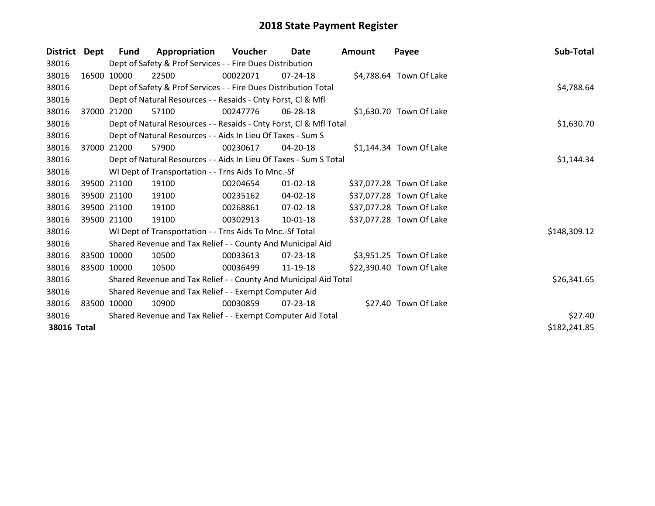| <b>District</b> | Dept  | <b>Fund</b> | Appropriation                                                      | Voucher  | Date           | <b>Amount</b> | Payee                    | Sub-Total    |
|-----------------|-------|-------------|--------------------------------------------------------------------|----------|----------------|---------------|--------------------------|--------------|
| 38016           |       |             | Dept of Safety & Prof Services - - Fire Dues Distribution          |          |                |               |                          |              |
| 38016           | 16500 | 10000       | 22500                                                              | 00022071 | $07 - 24 - 18$ |               | \$4,788.64 Town Of Lake  |              |
| 38016           |       |             | Dept of Safety & Prof Services - - Fire Dues Distribution Total    |          |                |               |                          | \$4,788.64   |
| 38016           |       |             | Dept of Natural Resources - - Resaids - Cnty Forst, CI & Mfl       |          |                |               |                          |              |
| 38016           | 37000 | 21200       | 57100                                                              | 00247776 | 06-28-18       |               | \$1,630.70 Town Of Lake  |              |
| 38016           |       |             | Dept of Natural Resources - - Resaids - Cnty Forst, CI & Mfl Total |          |                |               |                          | \$1,630.70   |
| 38016           |       |             | Dept of Natural Resources - - Aids In Lieu Of Taxes - Sum S        |          |                |               |                          |              |
| 38016           | 37000 | 21200       | 57900                                                              | 00230617 | 04-20-18       |               | \$1,144.34 Town Of Lake  |              |
| 38016           |       |             | Dept of Natural Resources - - Aids In Lieu Of Taxes - Sum S Total  |          |                |               |                          | \$1,144.34   |
| 38016           |       |             | WI Dept of Transportation - - Trns Aids To Mnc.-Sf                 |          |                |               |                          |              |
| 38016           |       | 39500 21100 | 19100                                                              | 00204654 | $01 - 02 - 18$ |               | \$37,077.28 Town Of Lake |              |
| 38016           |       | 39500 21100 | 19100                                                              | 00235162 | 04-02-18       |               | \$37,077.28 Town Of Lake |              |
| 38016           |       | 39500 21100 | 19100                                                              | 00268861 | 07-02-18       |               | \$37,077.28 Town Of Lake |              |
| 38016           |       | 39500 21100 | 19100                                                              | 00302913 | $10 - 01 - 18$ |               | \$37,077.28 Town Of Lake |              |
| 38016           |       |             | WI Dept of Transportation - - Trns Aids To Mnc.-Sf Total           |          |                |               |                          | \$148,309.12 |
| 38016           |       |             | Shared Revenue and Tax Relief - - County And Municipal Aid         |          |                |               |                          |              |
| 38016           |       | 83500 10000 | 10500                                                              | 00033613 | 07-23-18       |               | \$3,951.25 Town Of Lake  |              |
| 38016           |       | 83500 10000 | 10500                                                              | 00036499 | 11-19-18       |               | \$22,390.40 Town Of Lake |              |
| 38016           |       |             | Shared Revenue and Tax Relief - - County And Municipal Aid Total   |          |                |               |                          | \$26,341.65  |
| 38016           |       |             | Shared Revenue and Tax Relief - - Exempt Computer Aid              |          |                |               |                          |              |
| 38016           |       | 83500 10000 | 10900                                                              | 00030859 | $07 - 23 - 18$ |               | \$27.40 Town Of Lake     |              |
| 38016           |       |             | Shared Revenue and Tax Relief - - Exempt Computer Aid Total        |          |                |               |                          | \$27.40      |
| 38016 Total     |       |             |                                                                    |          |                |               |                          | \$182,241.85 |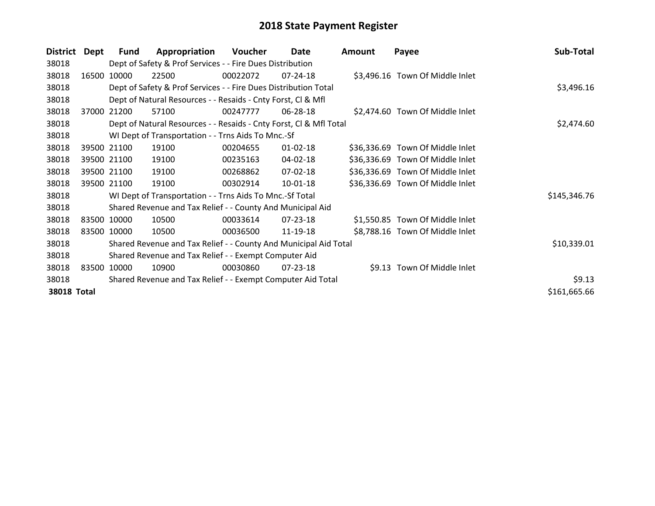| <b>District</b>    | Dept        | Fund                                                        | Appropriation                                                      | Voucher  | Date           | Amount | Payee                            | Sub-Total    |
|--------------------|-------------|-------------------------------------------------------------|--------------------------------------------------------------------|----------|----------------|--------|----------------------------------|--------------|
| 38018              |             |                                                             | Dept of Safety & Prof Services - - Fire Dues Distribution          |          |                |        |                                  |              |
| 38018              | 16500       | 10000                                                       | 22500                                                              | 00022072 | 07-24-18       |        | \$3,496.16 Town Of Middle Inlet  |              |
| 38018              |             |                                                             | Dept of Safety & Prof Services - - Fire Dues Distribution Total    |          | \$3,496.16     |        |                                  |              |
| 38018              |             |                                                             | Dept of Natural Resources - - Resaids - Cnty Forst, CI & Mfl       |          |                |        |                                  |              |
| 38018              | 37000       | 21200                                                       | 57100                                                              | 00247777 | 06-28-18       |        | \$2,474.60 Town Of Middle Inlet  |              |
| 38018              |             |                                                             | Dept of Natural Resources - - Resaids - Cnty Forst, Cl & Mfl Total |          | \$2,474.60     |        |                                  |              |
| 38018              |             |                                                             | WI Dept of Transportation - - Trns Aids To Mnc.-Sf                 |          |                |        |                                  |              |
| 38018              | 39500 21100 |                                                             | 19100                                                              | 00204655 | $01 - 02 - 18$ |        | \$36,336.69 Town Of Middle Inlet |              |
| 38018              | 39500 21100 |                                                             | 19100                                                              | 00235163 | 04-02-18       |        | \$36,336.69 Town Of Middle Inlet |              |
| 38018              | 39500 21100 |                                                             | 19100                                                              | 00268862 | 07-02-18       |        | \$36,336.69 Town Of Middle Inlet |              |
| 38018              | 39500 21100 |                                                             | 19100                                                              | 00302914 | 10-01-18       |        | \$36,336.69 Town Of Middle Inlet |              |
| 38018              |             |                                                             | WI Dept of Transportation - - Trns Aids To Mnc.-Sf Total           |          |                |        |                                  | \$145,346.76 |
| 38018              |             |                                                             | Shared Revenue and Tax Relief - - County And Municipal Aid         |          |                |        |                                  |              |
| 38018              | 83500 10000 |                                                             | 10500                                                              | 00033614 | $07 - 23 - 18$ |        | \$1,550.85 Town Of Middle Inlet  |              |
| 38018              | 83500 10000 |                                                             | 10500                                                              | 00036500 | 11-19-18       |        | \$8,788.16 Town Of Middle Inlet  |              |
| 38018              |             |                                                             | Shared Revenue and Tax Relief - - County And Municipal Aid Total   |          |                |        |                                  | \$10,339.01  |
| 38018              |             |                                                             | Shared Revenue and Tax Relief - - Exempt Computer Aid              |          |                |        |                                  |              |
| 38018              |             | 83500 10000                                                 | 10900                                                              | 00030860 | 07-23-18       |        | \$9.13 Town Of Middle Inlet      |              |
| 38018              |             | Shared Revenue and Tax Relief - - Exempt Computer Aid Total | \$9.13                                                             |          |                |        |                                  |              |
| <b>38018 Total</b> |             |                                                             |                                                                    |          |                |        |                                  | \$161,665.66 |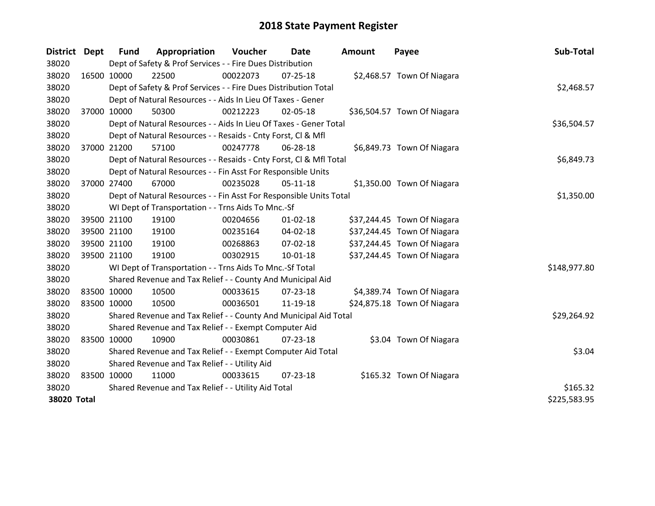| <b>District</b> | Dept | <b>Fund</b>                                   | Appropriation                                                      | Voucher  | Date           | <b>Amount</b> | Payee                       | Sub-Total    |
|-----------------|------|-----------------------------------------------|--------------------------------------------------------------------|----------|----------------|---------------|-----------------------------|--------------|
| 38020           |      |                                               | Dept of Safety & Prof Services - - Fire Dues Distribution          |          |                |               |                             |              |
| 38020           |      | 16500 10000                                   | 22500                                                              | 00022073 | $07 - 25 - 18$ |               | \$2,468.57 Town Of Niagara  |              |
| 38020           |      |                                               | Dept of Safety & Prof Services - - Fire Dues Distribution Total    |          |                |               |                             | \$2,468.57   |
| 38020           |      |                                               | Dept of Natural Resources - - Aids In Lieu Of Taxes - Gener        |          |                |               |                             |              |
| 38020           |      | 37000 10000                                   | 50300                                                              | 00212223 | 02-05-18       |               | \$36,504.57 Town Of Niagara |              |
| 38020           |      |                                               | Dept of Natural Resources - - Aids In Lieu Of Taxes - Gener Total  |          |                |               |                             | \$36,504.57  |
| 38020           |      |                                               | Dept of Natural Resources - - Resaids - Cnty Forst, CI & Mfl       |          |                |               |                             |              |
| 38020           |      | 37000 21200                                   | 57100                                                              | 00247778 | 06-28-18       |               | \$6,849.73 Town Of Niagara  |              |
| 38020           |      |                                               | Dept of Natural Resources - - Resaids - Cnty Forst, CI & Mfl Total |          |                |               |                             | \$6,849.73   |
| 38020           |      |                                               | Dept of Natural Resources - - Fin Asst For Responsible Units       |          |                |               |                             |              |
| 38020           |      | 37000 27400                                   | 67000                                                              | 00235028 | $05-11-18$     |               | \$1,350.00 Town Of Niagara  |              |
| 38020           |      |                                               | Dept of Natural Resources - - Fin Asst For Responsible Units Total |          |                |               |                             | \$1,350.00   |
| 38020           |      |                                               | WI Dept of Transportation - - Trns Aids To Mnc.-Sf                 |          |                |               |                             |              |
| 38020           |      | 39500 21100                                   | 19100                                                              | 00204656 | $01 - 02 - 18$ |               | \$37,244.45 Town Of Niagara |              |
| 38020           |      | 39500 21100                                   | 19100                                                              | 00235164 | 04-02-18       |               | \$37,244.45 Town Of Niagara |              |
| 38020           |      | 39500 21100                                   | 19100                                                              | 00268863 | 07-02-18       |               | \$37,244.45 Town Of Niagara |              |
| 38020           |      | 39500 21100                                   | 19100                                                              | 00302915 | $10 - 01 - 18$ |               | \$37,244.45 Town Of Niagara |              |
| 38020           |      |                                               | WI Dept of Transportation - - Trns Aids To Mnc.-Sf Total           |          |                |               |                             | \$148,977.80 |
| 38020           |      |                                               | Shared Revenue and Tax Relief - - County And Municipal Aid         |          |                |               |                             |              |
| 38020           |      | 83500 10000                                   | 10500                                                              | 00033615 | 07-23-18       |               | \$4,389.74 Town Of Niagara  |              |
| 38020           |      | 83500 10000                                   | 10500                                                              | 00036501 | 11-19-18       |               | \$24,875.18 Town Of Niagara |              |
| 38020           |      |                                               | Shared Revenue and Tax Relief - - County And Municipal Aid Total   |          |                |               |                             | \$29,264.92  |
| 38020           |      |                                               | Shared Revenue and Tax Relief - - Exempt Computer Aid              |          |                |               |                             |              |
| 38020           |      | 83500 10000                                   | 10900                                                              | 00030861 | $07 - 23 - 18$ |               | \$3.04 Town Of Niagara      |              |
| 38020           |      |                                               | Shared Revenue and Tax Relief - - Exempt Computer Aid Total        |          |                |               |                             | \$3.04       |
| 38020           |      | Shared Revenue and Tax Relief - - Utility Aid |                                                                    |          |                |               |                             |              |
| 38020           |      | 83500 10000                                   | 11000                                                              | 00033615 | $07 - 23 - 18$ |               | \$165.32 Town Of Niagara    |              |
| 38020           |      |                                               | Shared Revenue and Tax Relief - - Utility Aid Total                |          |                |               |                             | \$165.32     |
| 38020 Total     |      |                                               |                                                                    |          |                |               |                             | \$225,583.95 |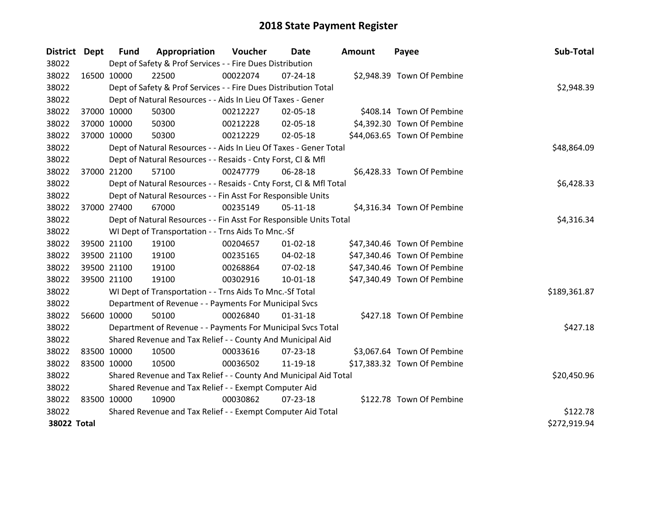| District           | <b>Dept</b> | <b>Fund</b>                                           | Appropriation                                                      | Voucher  | <b>Date</b>    | <b>Amount</b> | Payee                       | Sub-Total    |
|--------------------|-------------|-------------------------------------------------------|--------------------------------------------------------------------|----------|----------------|---------------|-----------------------------|--------------|
| 38022              |             |                                                       | Dept of Safety & Prof Services - - Fire Dues Distribution          |          |                |               |                             |              |
| 38022              | 16500 10000 |                                                       | 22500                                                              | 00022074 | 07-24-18       |               | \$2,948.39 Town Of Pembine  |              |
| 38022              |             |                                                       | Dept of Safety & Prof Services - - Fire Dues Distribution Total    |          |                |               |                             | \$2,948.39   |
| 38022              |             |                                                       | Dept of Natural Resources - - Aids In Lieu Of Taxes - Gener        |          |                |               |                             |              |
| 38022              |             | 37000 10000                                           | 50300                                                              | 00212227 | 02-05-18       |               | \$408.14 Town Of Pembine    |              |
| 38022              |             | 37000 10000                                           | 50300                                                              | 00212228 | 02-05-18       |               | \$4,392.30 Town Of Pembine  |              |
| 38022              |             | 37000 10000                                           | 50300                                                              | 00212229 | 02-05-18       |               | \$44,063.65 Town Of Pembine |              |
| 38022              |             |                                                       | Dept of Natural Resources - - Aids In Lieu Of Taxes - Gener Total  |          | \$48,864.09    |               |                             |              |
| 38022              |             |                                                       | Dept of Natural Resources - - Resaids - Cnty Forst, CI & Mfl       |          |                |               |                             |              |
| 38022              |             | 37000 21200                                           | 57100                                                              | 00247779 | 06-28-18       |               | \$6,428.33 Town Of Pembine  |              |
| 38022              |             |                                                       | Dept of Natural Resources - - Resaids - Cnty Forst, CI & Mfl Total |          |                |               |                             | \$6,428.33   |
| 38022              |             |                                                       | Dept of Natural Resources - - Fin Asst For Responsible Units       |          |                |               |                             |              |
| 38022              |             | 37000 27400                                           | 67000                                                              | 00235149 | $05-11-18$     |               | \$4,316.34 Town Of Pembine  |              |
| 38022              |             |                                                       | Dept of Natural Resources - - Fin Asst For Responsible Units Total |          |                |               |                             | \$4,316.34   |
| 38022              |             |                                                       | WI Dept of Transportation - - Trns Aids To Mnc.-Sf                 |          |                |               |                             |              |
| 38022              |             | 39500 21100                                           | 19100                                                              | 00204657 | $01 - 02 - 18$ |               | \$47,340.46 Town Of Pembine |              |
| 38022              |             | 39500 21100                                           | 19100                                                              | 00235165 | 04-02-18       |               | \$47,340.46 Town Of Pembine |              |
| 38022              |             | 39500 21100                                           | 19100                                                              | 00268864 | 07-02-18       |               | \$47,340.46 Town Of Pembine |              |
| 38022              | 39500 21100 |                                                       | 19100                                                              | 00302916 | $10 - 01 - 18$ |               | \$47,340.49 Town Of Pembine |              |
| 38022              |             |                                                       | WI Dept of Transportation - - Trns Aids To Mnc.-Sf Total           |          |                |               |                             | \$189,361.87 |
| 38022              |             |                                                       | Department of Revenue - - Payments For Municipal Svcs              |          |                |               |                             |              |
| 38022              |             | 56600 10000                                           | 50100                                                              | 00026840 | $01 - 31 - 18$ |               | \$427.18 Town Of Pembine    |              |
| 38022              |             |                                                       | Department of Revenue - - Payments For Municipal Svcs Total        |          |                |               |                             | \$427.18     |
| 38022              |             |                                                       | Shared Revenue and Tax Relief - - County And Municipal Aid         |          |                |               |                             |              |
| 38022              | 83500 10000 |                                                       | 10500                                                              | 00033616 | 07-23-18       |               | \$3,067.64 Town Of Pembine  |              |
| 38022              | 83500 10000 |                                                       | 10500                                                              | 00036502 | 11-19-18       |               | \$17,383.32 Town Of Pembine |              |
| 38022              |             |                                                       | Shared Revenue and Tax Relief - - County And Municipal Aid Total   |          |                |               |                             | \$20,450.96  |
| 38022              |             | Shared Revenue and Tax Relief - - Exempt Computer Aid |                                                                    |          |                |               |                             |              |
| 38022              | 83500 10000 |                                                       | 10900                                                              | 00030862 | $07 - 23 - 18$ |               | \$122.78 Town Of Pembine    |              |
| 38022              |             |                                                       | Shared Revenue and Tax Relief - - Exempt Computer Aid Total        |          |                |               |                             | \$122.78     |
| <b>38022 Total</b> |             |                                                       |                                                                    |          |                |               |                             | \$272,919.94 |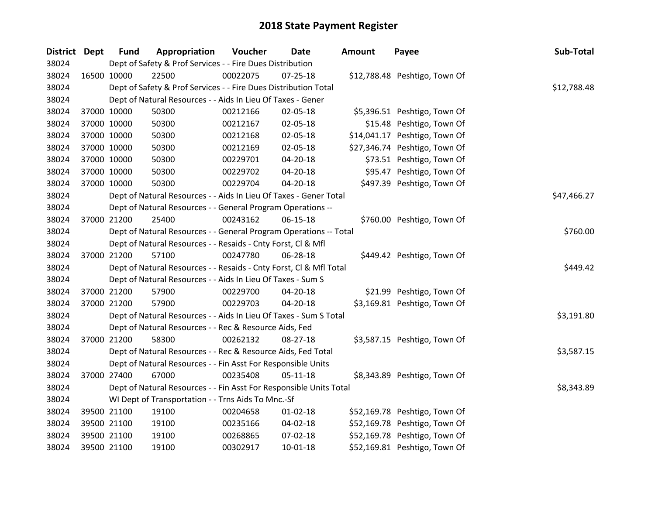| District Dept |             | <b>Fund</b> | Appropriation                                                      | <b>Voucher</b> | <b>Date</b>    | <b>Amount</b> | Payee                         | Sub-Total   |
|---------------|-------------|-------------|--------------------------------------------------------------------|----------------|----------------|---------------|-------------------------------|-------------|
| 38024         |             |             | Dept of Safety & Prof Services - - Fire Dues Distribution          |                |                |               |                               |             |
| 38024         | 16500 10000 |             | 22500                                                              | 00022075       | 07-25-18       |               | \$12,788.48 Peshtigo, Town Of |             |
| 38024         |             |             | Dept of Safety & Prof Services - - Fire Dues Distribution Total    |                |                |               |                               | \$12,788.48 |
| 38024         |             |             | Dept of Natural Resources - - Aids In Lieu Of Taxes - Gener        |                |                |               |                               |             |
| 38024         | 37000 10000 |             | 50300                                                              | 00212166       | 02-05-18       |               | \$5,396.51 Peshtigo, Town Of  |             |
| 38024         | 37000 10000 |             | 50300                                                              | 00212167       | 02-05-18       |               | \$15.48 Peshtigo, Town Of     |             |
| 38024         | 37000 10000 |             | 50300                                                              | 00212168       | 02-05-18       |               | \$14,041.17 Peshtigo, Town Of |             |
| 38024         | 37000 10000 |             | 50300                                                              | 00212169       | 02-05-18       |               | \$27,346.74 Peshtigo, Town Of |             |
| 38024         | 37000 10000 |             | 50300                                                              | 00229701       | 04-20-18       |               | \$73.51 Peshtigo, Town Of     |             |
| 38024         | 37000 10000 |             | 50300                                                              | 00229702       | 04-20-18       |               | \$95.47 Peshtigo, Town Of     |             |
| 38024         | 37000 10000 |             | 50300                                                              | 00229704       | 04-20-18       |               | \$497.39 Peshtigo, Town Of    |             |
| 38024         |             |             | Dept of Natural Resources - - Aids In Lieu Of Taxes - Gener Total  |                |                |               |                               | \$47,466.27 |
| 38024         |             |             | Dept of Natural Resources - - General Program Operations --        |                |                |               |                               |             |
| 38024         | 37000 21200 |             | 25400                                                              | 00243162       | 06-15-18       |               | \$760.00 Peshtigo, Town Of    |             |
| 38024         |             |             | Dept of Natural Resources - - General Program Operations -- Total  |                |                |               |                               | \$760.00    |
| 38024         |             |             | Dept of Natural Resources - - Resaids - Cnty Forst, CI & Mfl       |                |                |               |                               |             |
| 38024         | 37000 21200 |             | 57100                                                              | 00247780       | 06-28-18       |               | \$449.42 Peshtigo, Town Of    |             |
| 38024         |             |             | Dept of Natural Resources - - Resaids - Cnty Forst, Cl & Mfl Total |                |                |               |                               | \$449.42    |
| 38024         |             |             | Dept of Natural Resources - - Aids In Lieu Of Taxes - Sum S        |                |                |               |                               |             |
| 38024         | 37000 21200 |             | 57900                                                              | 00229700       | 04-20-18       |               | \$21.99 Peshtigo, Town Of     |             |
| 38024         |             | 37000 21200 | 57900                                                              | 00229703       | 04-20-18       |               | \$3,169.81 Peshtigo, Town Of  |             |
| 38024         |             |             | Dept of Natural Resources - - Aids In Lieu Of Taxes - Sum S Total  |                |                |               |                               | \$3,191.80  |
| 38024         |             |             | Dept of Natural Resources - - Rec & Resource Aids, Fed             |                |                |               |                               |             |
| 38024         | 37000 21200 |             | 58300                                                              | 00262132       | 08-27-18       |               | \$3,587.15 Peshtigo, Town Of  |             |
| 38024         |             |             | Dept of Natural Resources - - Rec & Resource Aids, Fed Total       |                |                |               |                               | \$3,587.15  |
| 38024         |             |             | Dept of Natural Resources - - Fin Asst For Responsible Units       |                |                |               |                               |             |
| 38024         | 37000 27400 |             | 67000                                                              | 00235408       | $05 - 11 - 18$ |               | \$8,343.89 Peshtigo, Town Of  |             |
| 38024         |             |             | Dept of Natural Resources - - Fin Asst For Responsible Units Total |                |                |               |                               | \$8,343.89  |
| 38024         |             |             | WI Dept of Transportation - - Trns Aids To Mnc.-Sf                 |                |                |               |                               |             |
| 38024         |             | 39500 21100 | 19100                                                              | 00204658       | $01 - 02 - 18$ |               | \$52,169.78 Peshtigo, Town Of |             |
| 38024         | 39500 21100 |             | 19100                                                              | 00235166       | 04-02-18       |               | \$52,169.78 Peshtigo, Town Of |             |
| 38024         | 39500 21100 |             | 19100                                                              | 00268865       | 07-02-18       |               | \$52,169.78 Peshtigo, Town Of |             |
| 38024         | 39500 21100 |             | 19100                                                              | 00302917       | $10 - 01 - 18$ |               | \$52,169.81 Peshtigo, Town Of |             |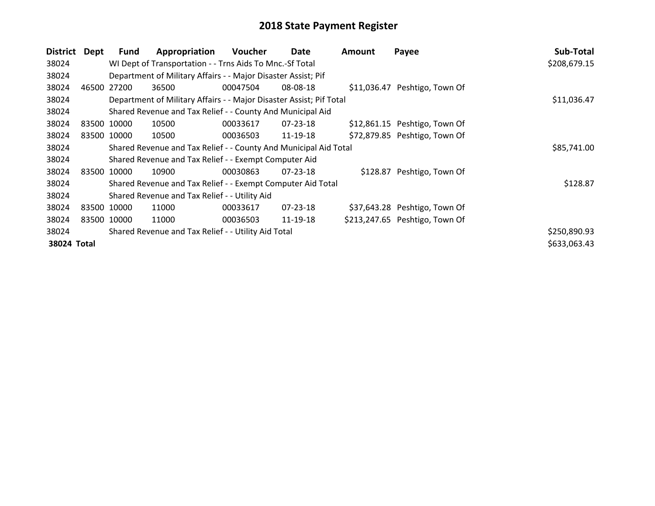| <b>District</b> | Dept        | <b>Fund</b> | Appropriation                                                       | Voucher     | Date           | <b>Amount</b> | Payee                          | Sub-Total    |
|-----------------|-------------|-------------|---------------------------------------------------------------------|-------------|----------------|---------------|--------------------------------|--------------|
| 38024           |             |             | WI Dept of Transportation - - Trns Aids To Mnc.-Sf Total            |             |                |               |                                | \$208,679.15 |
| 38024           |             |             | Department of Military Affairs - - Major Disaster Assist; Pif       |             |                |               |                                |              |
| 38024           | 46500 27200 |             | 36500                                                               | 00047504    | 08-08-18       |               | \$11,036.47 Peshtigo, Town Of  |              |
| 38024           |             |             | Department of Military Affairs - - Major Disaster Assist; Pif Total |             | \$11,036.47    |               |                                |              |
| 38024           |             |             | Shared Revenue and Tax Relief - - County And Municipal Aid          |             |                |               |                                |              |
| 38024           |             | 83500 10000 | 10500                                                               | 00033617    | 07-23-18       |               | \$12,861.15 Peshtigo, Town Of  |              |
| 38024           | 83500 10000 |             | 10500                                                               | 00036503    | 11-19-18       |               | \$72,879.85 Peshtigo, Town Of  |              |
| 38024           |             |             | Shared Revenue and Tax Relief - - County And Municipal Aid Total    | \$85,741.00 |                |               |                                |              |
| 38024           |             |             | Shared Revenue and Tax Relief - - Exempt Computer Aid               |             |                |               |                                |              |
| 38024           | 83500       | 10000       | 10900                                                               | 00030863    | $07 - 23 - 18$ |               | \$128.87 Peshtigo, Town Of     |              |
| 38024           |             |             | Shared Revenue and Tax Relief - - Exempt Computer Aid Total         |             |                |               |                                | \$128.87     |
| 38024           |             |             | Shared Revenue and Tax Relief - - Utility Aid                       |             |                |               |                                |              |
| 38024           | 83500 10000 |             | 11000                                                               | 00033617    | $07 - 23 - 18$ |               | \$37,643.28 Peshtigo, Town Of  |              |
| 38024           | 83500 10000 |             | 11000                                                               | 00036503    | 11-19-18       |               | \$213,247.65 Peshtigo, Town Of |              |
| 38024           |             |             | Shared Revenue and Tax Relief - - Utility Aid Total                 |             |                |               |                                | \$250,890.93 |
| 38024 Total     |             |             |                                                                     |             |                |               |                                | \$633,063.43 |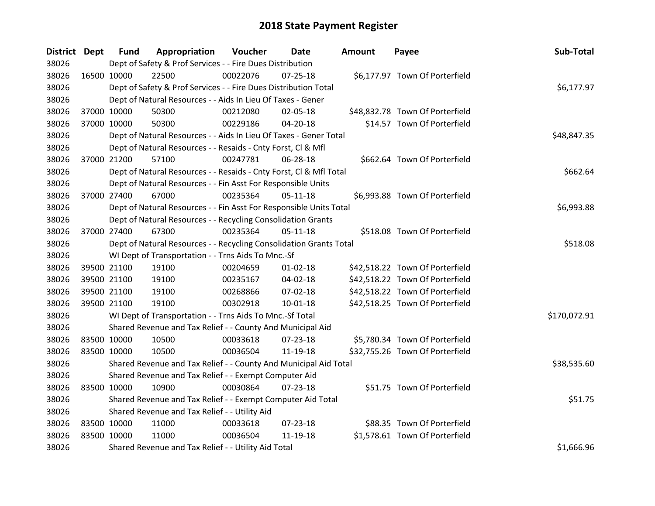| District Dept |             | <b>Fund</b> | Appropriation                                                      | Voucher  | <b>Date</b>    | Amount | Payee                           | Sub-Total    |
|---------------|-------------|-------------|--------------------------------------------------------------------|----------|----------------|--------|---------------------------------|--------------|
| 38026         |             |             | Dept of Safety & Prof Services - - Fire Dues Distribution          |          |                |        |                                 |              |
| 38026         | 16500 10000 |             | 22500                                                              | 00022076 | $07 - 25 - 18$ |        | \$6,177.97 Town Of Porterfield  |              |
| 38026         |             |             | Dept of Safety & Prof Services - - Fire Dues Distribution Total    |          |                |        |                                 | \$6,177.97   |
| 38026         |             |             | Dept of Natural Resources - - Aids In Lieu Of Taxes - Gener        |          |                |        |                                 |              |
| 38026         |             | 37000 10000 | 50300                                                              | 00212080 | 02-05-18       |        | \$48,832.78 Town Of Porterfield |              |
| 38026         |             | 37000 10000 | 50300                                                              | 00229186 | 04-20-18       |        | \$14.57 Town Of Porterfield     |              |
| 38026         |             |             | Dept of Natural Resources - - Aids In Lieu Of Taxes - Gener Total  |          |                |        |                                 | \$48,847.35  |
| 38026         |             |             | Dept of Natural Resources - - Resaids - Cnty Forst, CI & Mfl       |          |                |        |                                 |              |
| 38026         |             | 37000 21200 | 57100                                                              | 00247781 | 06-28-18       |        | \$662.64 Town Of Porterfield    |              |
| 38026         |             |             | Dept of Natural Resources - - Resaids - Cnty Forst, CI & Mfl Total |          |                |        |                                 | \$662.64     |
| 38026         |             |             | Dept of Natural Resources - - Fin Asst For Responsible Units       |          |                |        |                                 |              |
| 38026         |             | 37000 27400 | 67000                                                              | 00235364 | $05-11-18$     |        | \$6,993.88 Town Of Porterfield  |              |
| 38026         |             |             | Dept of Natural Resources - - Fin Asst For Responsible Units Total |          |                |        |                                 | \$6,993.88   |
| 38026         |             |             | Dept of Natural Resources - - Recycling Consolidation Grants       |          |                |        |                                 |              |
| 38026         | 37000 27400 |             | 67300                                                              | 00235364 | $05-11-18$     |        | \$518.08 Town Of Porterfield    |              |
| 38026         |             |             | Dept of Natural Resources - - Recycling Consolidation Grants Total |          |                |        |                                 | \$518.08     |
| 38026         |             |             | WI Dept of Transportation - - Trns Aids To Mnc.-Sf                 |          |                |        |                                 |              |
| 38026         | 39500 21100 |             | 19100                                                              | 00204659 | $01 - 02 - 18$ |        | \$42,518.22 Town Of Porterfield |              |
| 38026         |             | 39500 21100 | 19100                                                              | 00235167 | 04-02-18       |        | \$42,518.22 Town Of Porterfield |              |
| 38026         |             | 39500 21100 | 19100                                                              | 00268866 | 07-02-18       |        | \$42,518.22 Town Of Porterfield |              |
| 38026         |             | 39500 21100 | 19100                                                              | 00302918 | $10 - 01 - 18$ |        | \$42,518.25 Town Of Porterfield |              |
| 38026         |             |             | WI Dept of Transportation - - Trns Aids To Mnc.-Sf Total           |          |                |        |                                 | \$170,072.91 |
| 38026         |             |             | Shared Revenue and Tax Relief - - County And Municipal Aid         |          |                |        |                                 |              |
| 38026         | 83500 10000 |             | 10500                                                              | 00033618 | 07-23-18       |        | \$5,780.34 Town Of Porterfield  |              |
| 38026         | 83500 10000 |             | 10500                                                              | 00036504 | 11-19-18       |        | \$32,755.26 Town Of Porterfield |              |
| 38026         |             |             | Shared Revenue and Tax Relief - - County And Municipal Aid Total   |          |                |        |                                 | \$38,535.60  |
| 38026         |             |             | Shared Revenue and Tax Relief - - Exempt Computer Aid              |          |                |        |                                 |              |
| 38026         | 83500 10000 |             | 10900                                                              | 00030864 | 07-23-18       |        | \$51.75 Town Of Porterfield     |              |
| 38026         |             |             | Shared Revenue and Tax Relief - - Exempt Computer Aid Total        |          |                |        |                                 | \$51.75      |
| 38026         |             |             | Shared Revenue and Tax Relief - - Utility Aid                      |          |                |        |                                 |              |
| 38026         | 83500 10000 |             | 11000                                                              | 00033618 | 07-23-18       |        | \$88.35 Town Of Porterfield     |              |
| 38026         | 83500 10000 |             | 11000                                                              | 00036504 | 11-19-18       |        | \$1,578.61 Town Of Porterfield  |              |
| 38026         |             |             | Shared Revenue and Tax Relief - - Utility Aid Total                |          |                |        |                                 | \$1,666.96   |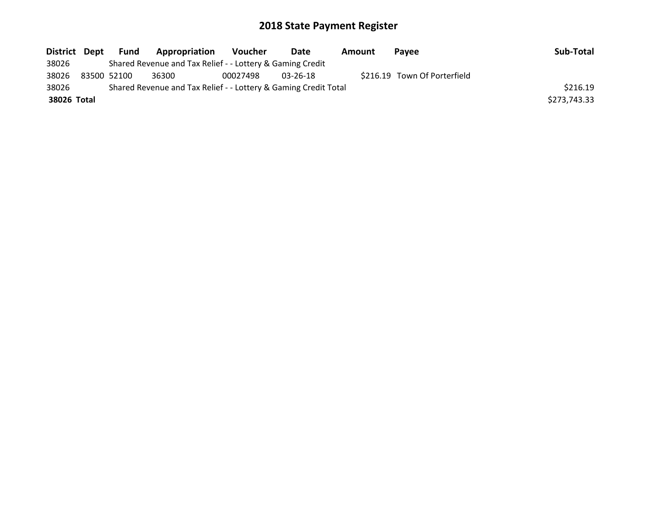| District Dept | Fund        | <b>Appropriation</b>                                            | <b>Voucher</b> | Date     | Amount | Pavee                        | Sub-Total    |
|---------------|-------------|-----------------------------------------------------------------|----------------|----------|--------|------------------------------|--------------|
| 38026         |             | Shared Revenue and Tax Relief - - Lottery & Gaming Credit       |                |          |        |                              |              |
| 38026         | 83500 52100 | 36300                                                           | 00027498       | 03-26-18 |        | \$216.19 Town Of Porterfield |              |
| 38026         |             | Shared Revenue and Tax Relief - - Lottery & Gaming Credit Total |                |          |        |                              | \$216.19     |
| 38026 Total   |             |                                                                 |                |          |        |                              | \$273,743.33 |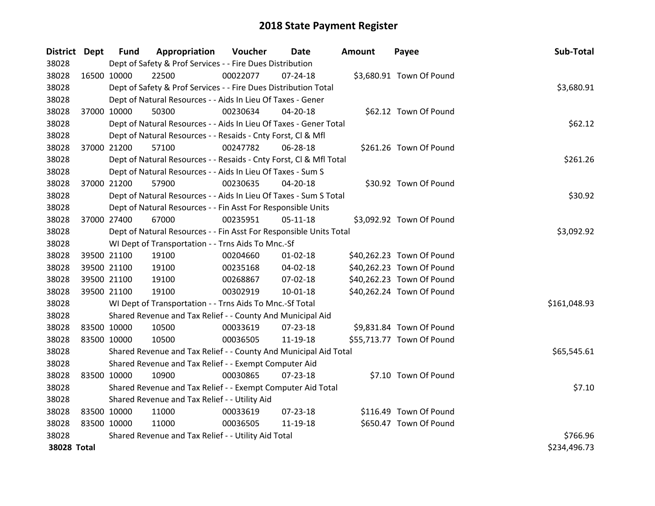| District Dept |             | <b>Fund</b> | Appropriation                                                      | Voucher    | <b>Date</b>    | <b>Amount</b> | Payee                     | Sub-Total    |
|---------------|-------------|-------------|--------------------------------------------------------------------|------------|----------------|---------------|---------------------------|--------------|
| 38028         |             |             | Dept of Safety & Prof Services - - Fire Dues Distribution          |            |                |               |                           |              |
| 38028         | 16500 10000 |             | 22500                                                              | 00022077   | 07-24-18       |               | \$3,680.91 Town Of Pound  |              |
| 38028         |             |             | Dept of Safety & Prof Services - - Fire Dues Distribution Total    |            |                |               |                           | \$3,680.91   |
| 38028         |             |             | Dept of Natural Resources - - Aids In Lieu Of Taxes - Gener        |            |                |               |                           |              |
| 38028         | 37000 10000 |             | 50300                                                              | 00230634   | 04-20-18       |               | \$62.12 Town Of Pound     |              |
| 38028         |             |             | Dept of Natural Resources - - Aids In Lieu Of Taxes - Gener Total  |            |                |               |                           | \$62.12      |
| 38028         |             |             | Dept of Natural Resources - - Resaids - Cnty Forst, Cl & Mfl       |            |                |               |                           |              |
| 38028         | 37000 21200 |             | 57100                                                              | 00247782   | 06-28-18       |               | \$261.26 Town Of Pound    |              |
| 38028         |             |             | Dept of Natural Resources - - Resaids - Cnty Forst, Cl & Mfl Total |            |                |               |                           | \$261.26     |
| 38028         |             |             | Dept of Natural Resources - - Aids In Lieu Of Taxes - Sum S        |            |                |               |                           |              |
| 38028         | 37000 21200 |             | 57900                                                              | 00230635   | 04-20-18       |               | \$30.92 Town Of Pound     |              |
| 38028         |             |             | Dept of Natural Resources - - Aids In Lieu Of Taxes - Sum S Total  |            |                |               |                           | \$30.92      |
| 38028         |             |             | Dept of Natural Resources - - Fin Asst For Responsible Units       |            |                |               |                           |              |
| 38028         | 37000 27400 |             | 67000                                                              | 00235951   | $05-11-18$     |               | \$3,092.92 Town Of Pound  |              |
| 38028         |             |             | Dept of Natural Resources - - Fin Asst For Responsible Units Total | \$3,092.92 |                |               |                           |              |
| 38028         |             |             | WI Dept of Transportation - - Trns Aids To Mnc.-Sf                 |            |                |               |                           |              |
| 38028         | 39500 21100 |             | 19100                                                              | 00204660   | $01 - 02 - 18$ |               | \$40,262.23 Town Of Pound |              |
| 38028         | 39500 21100 |             | 19100                                                              | 00235168   | 04-02-18       |               | \$40,262.23 Town Of Pound |              |
| 38028         | 39500 21100 |             | 19100                                                              | 00268867   | 07-02-18       |               | \$40,262.23 Town Of Pound |              |
| 38028         | 39500 21100 |             | 19100                                                              | 00302919   | $10 - 01 - 18$ |               | \$40,262.24 Town Of Pound |              |
| 38028         |             |             | WI Dept of Transportation - - Trns Aids To Mnc.-Sf Total           |            |                |               |                           | \$161,048.93 |
| 38028         |             |             | Shared Revenue and Tax Relief - - County And Municipal Aid         |            |                |               |                           |              |
| 38028         | 83500 10000 |             | 10500                                                              | 00033619   | 07-23-18       |               | \$9,831.84 Town Of Pound  |              |
| 38028         | 83500 10000 |             | 10500                                                              | 00036505   | 11-19-18       |               | \$55,713.77 Town Of Pound |              |
| 38028         |             |             | Shared Revenue and Tax Relief - - County And Municipal Aid Total   |            |                |               |                           | \$65,545.61  |
| 38028         |             |             | Shared Revenue and Tax Relief - - Exempt Computer Aid              |            |                |               |                           |              |
| 38028         | 83500 10000 |             | 10900                                                              | 00030865   | $07 - 23 - 18$ |               | \$7.10 Town Of Pound      |              |
| 38028         |             |             | Shared Revenue and Tax Relief - - Exempt Computer Aid Total        |            |                |               |                           | \$7.10       |
| 38028         |             |             | Shared Revenue and Tax Relief - - Utility Aid                      |            |                |               |                           |              |
| 38028         | 83500 10000 |             | 11000                                                              | 00033619   | 07-23-18       |               | \$116.49 Town Of Pound    |              |
| 38028         | 83500 10000 |             | 11000                                                              | 00036505   | 11-19-18       |               | \$650.47 Town Of Pound    |              |
| 38028         |             |             | Shared Revenue and Tax Relief - - Utility Aid Total                |            |                |               |                           | \$766.96     |
| 38028 Total   |             |             |                                                                    |            |                |               |                           | \$234,496.73 |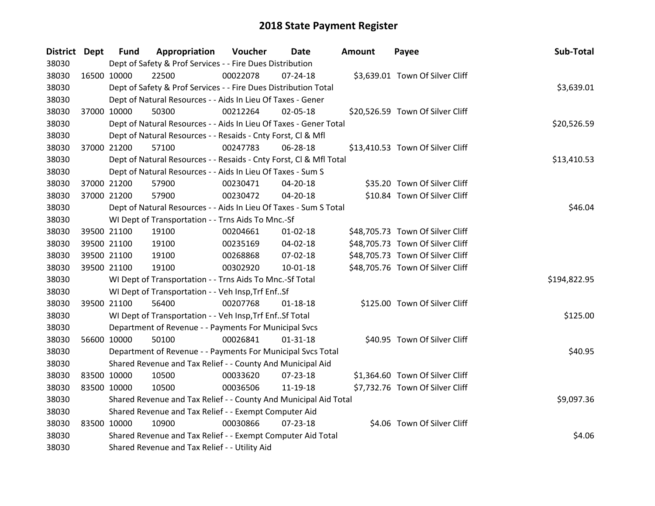| District Dept |             | <b>Fund</b> | Appropriation                                                      | <b>Voucher</b> | Date           | Amount | Payee                            | Sub-Total    |
|---------------|-------------|-------------|--------------------------------------------------------------------|----------------|----------------|--------|----------------------------------|--------------|
| 38030         |             |             | Dept of Safety & Prof Services - - Fire Dues Distribution          |                |                |        |                                  |              |
| 38030         | 16500 10000 |             | 22500                                                              | 00022078       | $07 - 24 - 18$ |        | \$3,639.01 Town Of Silver Cliff  |              |
| 38030         |             |             | Dept of Safety & Prof Services - - Fire Dues Distribution Total    |                |                |        |                                  | \$3,639.01   |
| 38030         |             |             | Dept of Natural Resources - - Aids In Lieu Of Taxes - Gener        |                |                |        |                                  |              |
| 38030         | 37000 10000 |             | 50300                                                              | 00212264       | $02 - 05 - 18$ |        | \$20,526.59 Town Of Silver Cliff |              |
| 38030         |             |             | Dept of Natural Resources - - Aids In Lieu Of Taxes - Gener Total  |                |                |        |                                  | \$20,526.59  |
| 38030         |             |             | Dept of Natural Resources - - Resaids - Cnty Forst, Cl & Mfl       |                |                |        |                                  |              |
| 38030         |             | 37000 21200 | 57100                                                              | 00247783       | 06-28-18       |        | \$13,410.53 Town Of Silver Cliff |              |
| 38030         |             |             | Dept of Natural Resources - - Resaids - Cnty Forst, Cl & Mfl Total |                |                |        |                                  | \$13,410.53  |
| 38030         |             |             | Dept of Natural Resources - - Aids In Lieu Of Taxes - Sum S        |                |                |        |                                  |              |
| 38030         |             | 37000 21200 | 57900                                                              | 00230471       | 04-20-18       |        | \$35.20 Town Of Silver Cliff     |              |
| 38030         | 37000 21200 |             | 57900                                                              | 00230472       | 04-20-18       |        | \$10.84 Town Of Silver Cliff     |              |
| 38030         |             |             | Dept of Natural Resources - - Aids In Lieu Of Taxes - Sum S Total  |                |                |        |                                  | \$46.04      |
| 38030         |             |             | WI Dept of Transportation - - Trns Aids To Mnc.-Sf                 |                |                |        |                                  |              |
| 38030         |             | 39500 21100 | 19100                                                              | 00204661       | 01-02-18       |        | \$48,705.73 Town Of Silver Cliff |              |
| 38030         |             | 39500 21100 | 19100                                                              | 00235169       | 04-02-18       |        | \$48,705.73 Town Of Silver Cliff |              |
| 38030         |             | 39500 21100 | 19100                                                              | 00268868       | 07-02-18       |        | \$48,705.73 Town Of Silver Cliff |              |
| 38030         | 39500 21100 |             | 19100                                                              | 00302920       | $10 - 01 - 18$ |        | \$48,705.76 Town Of Silver Cliff |              |
| 38030         |             |             | WI Dept of Transportation - - Trns Aids To Mnc.-Sf Total           |                |                |        |                                  | \$194,822.95 |
| 38030         |             |             | WI Dept of Transportation - - Veh Insp, Trf EnfSf                  |                |                |        |                                  |              |
| 38030         | 39500 21100 |             | 56400                                                              | 00207768       | $01 - 18 - 18$ |        | \$125.00 Town Of Silver Cliff    |              |
| 38030         |             |             | WI Dept of Transportation - - Veh Insp, Trf Enf Sf Total           |                |                |        |                                  | \$125.00     |
| 38030         |             |             | Department of Revenue - - Payments For Municipal Svcs              |                |                |        |                                  |              |
| 38030         | 56600 10000 |             | 50100                                                              | 00026841       | $01 - 31 - 18$ |        | \$40.95 Town Of Silver Cliff     |              |
| 38030         |             |             | Department of Revenue - - Payments For Municipal Svcs Total        |                |                |        |                                  | \$40.95      |
| 38030         |             |             | Shared Revenue and Tax Relief - - County And Municipal Aid         |                |                |        |                                  |              |
| 38030         | 83500 10000 |             | 10500                                                              | 00033620       | 07-23-18       |        | \$1,364.60 Town Of Silver Cliff  |              |
| 38030         | 83500 10000 |             | 10500                                                              | 00036506       | 11-19-18       |        | \$7,732.76 Town Of Silver Cliff  |              |
| 38030         |             |             | Shared Revenue and Tax Relief - - County And Municipal Aid Total   |                |                |        |                                  | \$9,097.36   |
| 38030         |             |             | Shared Revenue and Tax Relief - - Exempt Computer Aid              |                |                |        |                                  |              |
| 38030         | 83500 10000 |             | 10900                                                              | 00030866       | $07 - 23 - 18$ |        | \$4.06 Town Of Silver Cliff      |              |
| 38030         |             |             | Shared Revenue and Tax Relief - - Exempt Computer Aid Total        |                |                |        |                                  | \$4.06       |
| 38030         |             |             | Shared Revenue and Tax Relief - - Utility Aid                      |                |                |        |                                  |              |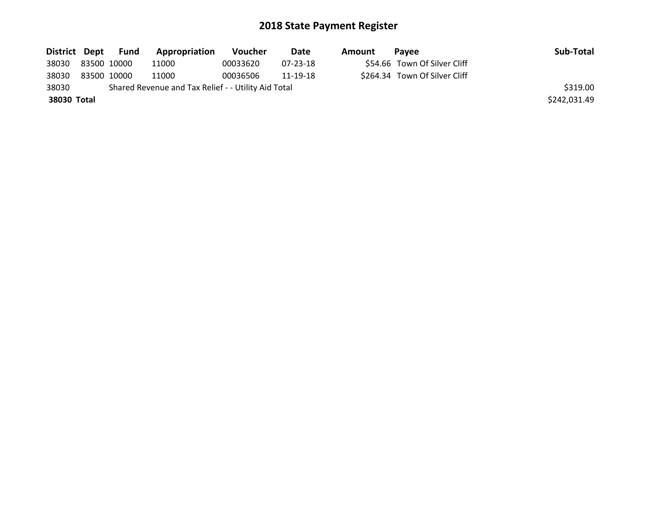|             |             | District Dept Fund | Appropriation                                       | <b>Voucher</b> | Date     | Amount | <b>Pavee</b>                  | Sub-Total    |
|-------------|-------------|--------------------|-----------------------------------------------------|----------------|----------|--------|-------------------------------|--------------|
| 38030       | 83500 10000 |                    | 11000                                               | 00033620       | 07-23-18 |        | \$54.66 Town Of Silver Cliff  |              |
| 38030       | 83500 10000 |                    | 11000                                               | 00036506       | 11-19-18 |        | \$264.34 Town Of Silver Cliff |              |
| 38030       |             |                    | Shared Revenue and Tax Relief - - Utility Aid Total |                |          |        |                               | \$319.00     |
| 38030 Total |             |                    |                                                     |                |          |        |                               | \$242,031.49 |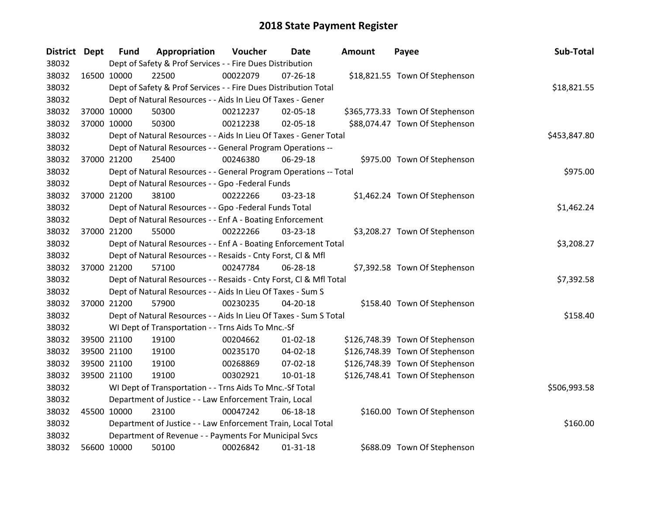| District Dept |             | <b>Fund</b> | Appropriation                                                      | Voucher  | <b>Date</b>    | <b>Amount</b> | Payee                           | Sub-Total    |
|---------------|-------------|-------------|--------------------------------------------------------------------|----------|----------------|---------------|---------------------------------|--------------|
| 38032         |             |             | Dept of Safety & Prof Services - - Fire Dues Distribution          |          |                |               |                                 |              |
| 38032         | 16500 10000 |             | 22500                                                              | 00022079 | $07 - 26 - 18$ |               | \$18,821.55 Town Of Stephenson  |              |
| 38032         |             |             | Dept of Safety & Prof Services - - Fire Dues Distribution Total    |          |                |               |                                 | \$18,821.55  |
| 38032         |             |             | Dept of Natural Resources - - Aids In Lieu Of Taxes - Gener        |          |                |               |                                 |              |
| 38032         | 37000 10000 |             | 50300                                                              | 00212237 | 02-05-18       |               | \$365,773.33 Town Of Stephenson |              |
| 38032         |             | 37000 10000 | 50300                                                              | 00212238 | 02-05-18       |               | \$88,074.47 Town Of Stephenson  |              |
| 38032         |             |             | Dept of Natural Resources - - Aids In Lieu Of Taxes - Gener Total  |          |                |               |                                 | \$453,847.80 |
| 38032         |             |             | Dept of Natural Resources - - General Program Operations --        |          |                |               |                                 |              |
| 38032         |             | 37000 21200 | 25400                                                              | 00246380 | 06-29-18       |               | \$975.00 Town Of Stephenson     |              |
| 38032         |             |             | Dept of Natural Resources - - General Program Operations -- Total  |          |                |               |                                 | \$975.00     |
| 38032         |             |             | Dept of Natural Resources - - Gpo -Federal Funds                   |          |                |               |                                 |              |
| 38032         |             | 37000 21200 | 38100                                                              | 00222266 | 03-23-18       |               | \$1,462.24 Town Of Stephenson   |              |
| 38032         |             |             | Dept of Natural Resources - - Gpo -Federal Funds Total             |          |                |               |                                 | \$1,462.24   |
| 38032         |             |             | Dept of Natural Resources - - Enf A - Boating Enforcement          |          |                |               |                                 |              |
| 38032         | 37000 21200 |             | 55000                                                              | 00222266 | 03-23-18       |               | \$3,208.27 Town Of Stephenson   |              |
| 38032         |             |             | Dept of Natural Resources - - Enf A - Boating Enforcement Total    |          |                |               |                                 | \$3,208.27   |
| 38032         |             |             | Dept of Natural Resources - - Resaids - Cnty Forst, Cl & Mfl       |          |                |               |                                 |              |
| 38032         |             | 37000 21200 | 57100                                                              | 00247784 | 06-28-18       |               | \$7,392.58 Town Of Stephenson   |              |
| 38032         |             |             | Dept of Natural Resources - - Resaids - Cnty Forst, Cl & Mfl Total |          |                |               |                                 | \$7,392.58   |
| 38032         |             |             | Dept of Natural Resources - - Aids In Lieu Of Taxes - Sum S        |          |                |               |                                 |              |
| 38032         |             | 37000 21200 | 57900                                                              | 00230235 | 04-20-18       |               | \$158.40 Town Of Stephenson     |              |
| 38032         |             |             | Dept of Natural Resources - - Aids In Lieu Of Taxes - Sum S Total  |          |                |               |                                 | \$158.40     |
| 38032         |             |             | WI Dept of Transportation - - Trns Aids To Mnc.-Sf                 |          |                |               |                                 |              |
| 38032         |             | 39500 21100 | 19100                                                              | 00204662 | $01 - 02 - 18$ |               | \$126,748.39 Town Of Stephenson |              |
| 38032         |             | 39500 21100 | 19100                                                              | 00235170 | 04-02-18       |               | \$126,748.39 Town Of Stephenson |              |
| 38032         |             | 39500 21100 | 19100                                                              | 00268869 | 07-02-18       |               | \$126,748.39 Town Of Stephenson |              |
| 38032         |             | 39500 21100 | 19100                                                              | 00302921 | $10 - 01 - 18$ |               | \$126,748.41 Town Of Stephenson |              |
| 38032         |             |             | WI Dept of Transportation - - Trns Aids To Mnc.-Sf Total           |          |                |               |                                 | \$506,993.58 |
| 38032         |             |             | Department of Justice - - Law Enforcement Train, Local             |          |                |               |                                 |              |
| 38032         | 45500 10000 |             | 23100                                                              | 00047242 | 06-18-18       |               | \$160.00 Town Of Stephenson     |              |
| 38032         |             |             | Department of Justice - - Law Enforcement Train, Local Total       |          |                |               |                                 | \$160.00     |
| 38032         |             |             | Department of Revenue - - Payments For Municipal Svcs              |          |                |               |                                 |              |
| 38032         | 56600 10000 |             | 50100                                                              | 00026842 | $01 - 31 - 18$ |               | \$688.09 Town Of Stephenson     |              |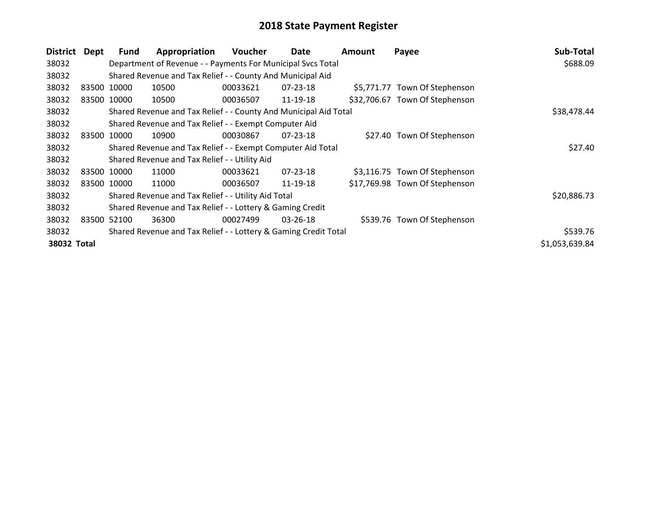| <b>District</b> | Dept | <b>Fund</b> | Appropriation                                                    | Voucher     | Date           | Amount | Payee                          | Sub-Total      |
|-----------------|------|-------------|------------------------------------------------------------------|-------------|----------------|--------|--------------------------------|----------------|
| 38032           |      |             | Department of Revenue - - Payments For Municipal Svcs Total      |             |                |        |                                | \$688.09       |
| 38032           |      |             | Shared Revenue and Tax Relief - - County And Municipal Aid       |             |                |        |                                |                |
| 38032           |      | 83500 10000 | 10500                                                            | 00033621    | $07 - 23 - 18$ |        | \$5,771.77 Town Of Stephenson  |                |
| 38032           |      | 83500 10000 | 10500                                                            | 00036507    | 11-19-18       |        | \$32,706.67 Town Of Stephenson |                |
| 38032           |      |             | Shared Revenue and Tax Relief - - County And Municipal Aid Total | \$38,478.44 |                |        |                                |                |
| 38032           |      |             | Shared Revenue and Tax Relief - - Exempt Computer Aid            |             |                |        |                                |                |
| 38032           |      | 83500 10000 | 10900                                                            | 00030867    | $07 - 23 - 18$ |        | \$27.40 Town Of Stephenson     |                |
| 38032           |      |             | Shared Revenue and Tax Relief - - Exempt Computer Aid Total      |             |                |        |                                | \$27.40        |
| 38032           |      |             | Shared Revenue and Tax Relief - - Utility Aid                    |             |                |        |                                |                |
| 38032           |      | 83500 10000 | 11000                                                            | 00033621    | $07 - 23 - 18$ |        | \$3,116.75 Town Of Stephenson  |                |
| 38032           |      | 83500 10000 | 11000                                                            | 00036507    | 11-19-18       |        | \$17,769.98 Town Of Stephenson |                |
| 38032           |      |             | Shared Revenue and Tax Relief - - Utility Aid Total              |             |                |        |                                | \$20,886.73    |
| 38032           |      |             | Shared Revenue and Tax Relief - - Lottery & Gaming Credit        |             |                |        |                                |                |
| 38032           |      | 83500 52100 | 36300                                                            | 00027499    | $03 - 26 - 18$ |        | \$539.76 Town Of Stephenson    |                |
| 38032           |      |             | Shared Revenue and Tax Relief - - Lottery & Gaming Credit Total  |             |                |        |                                | \$539.76       |
| 38032 Total     |      |             |                                                                  |             |                |        |                                | \$1,053,639.84 |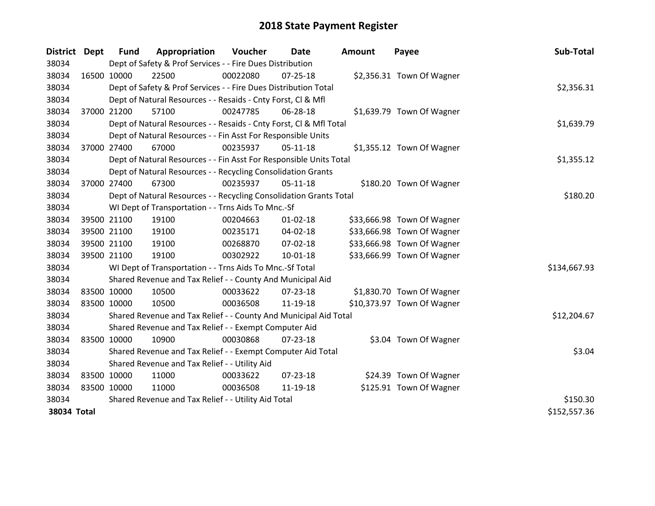| District Dept |             | <b>Fund</b> | Appropriation                                                      | Voucher  | Date           | <b>Amount</b> | Payee                      | Sub-Total    |
|---------------|-------------|-------------|--------------------------------------------------------------------|----------|----------------|---------------|----------------------------|--------------|
| 38034         |             |             | Dept of Safety & Prof Services - - Fire Dues Distribution          |          |                |               |                            |              |
| 38034         | 16500 10000 |             | 22500                                                              | 00022080 | $07 - 25 - 18$ |               | \$2,356.31 Town Of Wagner  |              |
| 38034         |             |             | Dept of Safety & Prof Services - - Fire Dues Distribution Total    |          | \$2,356.31     |               |                            |              |
| 38034         |             |             | Dept of Natural Resources - - Resaids - Cnty Forst, CI & Mfl       |          |                |               |                            |              |
| 38034         | 37000 21200 |             | 57100                                                              | 00247785 | 06-28-18       |               | \$1,639.79 Town Of Wagner  |              |
| 38034         |             |             | Dept of Natural Resources - - Resaids - Cnty Forst, CI & Mfl Total |          |                |               |                            | \$1,639.79   |
| 38034         |             |             | Dept of Natural Resources - - Fin Asst For Responsible Units       |          |                |               |                            |              |
| 38034         | 37000 27400 |             | 67000                                                              | 00235937 | $05-11-18$     |               | \$1,355.12 Town Of Wagner  |              |
| 38034         |             |             | Dept of Natural Resources - - Fin Asst For Responsible Units Total |          |                |               |                            | \$1,355.12   |
| 38034         |             |             | Dept of Natural Resources - - Recycling Consolidation Grants       |          |                |               |                            |              |
| 38034         | 37000 27400 |             | 67300                                                              | 00235937 | $05-11-18$     |               | \$180.20 Town Of Wagner    |              |
| 38034         |             |             | Dept of Natural Resources - - Recycling Consolidation Grants Total |          |                |               |                            | \$180.20     |
| 38034         |             |             | WI Dept of Transportation - - Trns Aids To Mnc.-Sf                 |          |                |               |                            |              |
| 38034         | 39500 21100 |             | 19100                                                              | 00204663 | $01 - 02 - 18$ |               | \$33,666.98 Town Of Wagner |              |
| 38034         |             | 39500 21100 | 19100                                                              | 00235171 | 04-02-18       |               | \$33,666.98 Town Of Wagner |              |
| 38034         |             | 39500 21100 | 19100                                                              | 00268870 | 07-02-18       |               | \$33,666.98 Town Of Wagner |              |
| 38034         | 39500 21100 |             | 19100                                                              | 00302922 | $10 - 01 - 18$ |               | \$33,666.99 Town Of Wagner |              |
| 38034         |             |             | WI Dept of Transportation - - Trns Aids To Mnc.-Sf Total           |          |                |               |                            | \$134,667.93 |
| 38034         |             |             | Shared Revenue and Tax Relief - - County And Municipal Aid         |          |                |               |                            |              |
| 38034         | 83500 10000 |             | 10500                                                              | 00033622 | 07-23-18       |               | \$1,830.70 Town Of Wagner  |              |
| 38034         | 83500 10000 |             | 10500                                                              | 00036508 | 11-19-18       |               | \$10,373.97 Town Of Wagner |              |
| 38034         |             |             | Shared Revenue and Tax Relief - - County And Municipal Aid Total   |          |                |               |                            | \$12,204.67  |
| 38034         |             |             | Shared Revenue and Tax Relief - - Exempt Computer Aid              |          |                |               |                            |              |
| 38034         | 83500 10000 |             | 10900                                                              | 00030868 | $07 - 23 - 18$ |               | \$3.04 Town Of Wagner      |              |
| 38034         |             |             | Shared Revenue and Tax Relief - - Exempt Computer Aid Total        |          |                |               |                            | \$3.04       |
| 38034         |             |             | Shared Revenue and Tax Relief - - Utility Aid                      |          |                |               |                            |              |
| 38034         | 83500 10000 |             | 11000                                                              | 00033622 | 07-23-18       |               | \$24.39 Town Of Wagner     |              |
| 38034         | 83500 10000 |             | 11000                                                              | 00036508 | 11-19-18       |               | \$125.91 Town Of Wagner    |              |
| 38034         |             |             | Shared Revenue and Tax Relief - - Utility Aid Total                |          |                |               |                            | \$150.30     |
| 38034 Total   |             |             |                                                                    |          |                |               |                            | \$152,557.36 |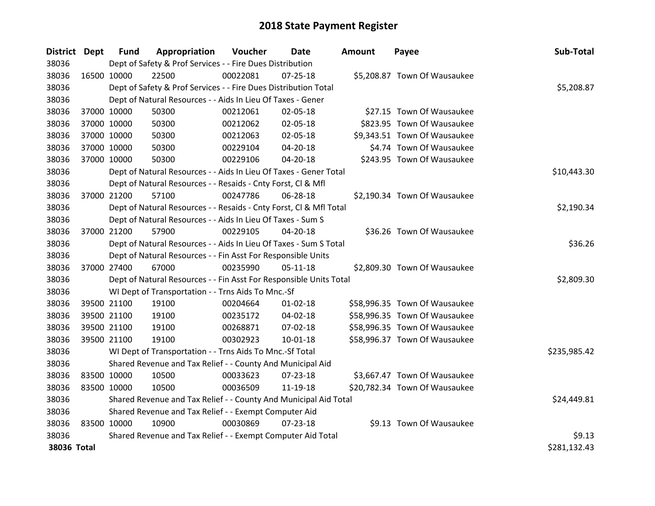| <b>District Dept</b> |             | <b>Fund</b> | Appropriation                                                      | Voucher  | <b>Date</b>    | <b>Amount</b> | Payee                         | Sub-Total    |
|----------------------|-------------|-------------|--------------------------------------------------------------------|----------|----------------|---------------|-------------------------------|--------------|
| 38036                |             |             | Dept of Safety & Prof Services - - Fire Dues Distribution          |          |                |               |                               |              |
| 38036                | 16500 10000 |             | 22500                                                              | 00022081 | $07 - 25 - 18$ |               | \$5,208.87 Town Of Wausaukee  |              |
| 38036                |             |             | Dept of Safety & Prof Services - - Fire Dues Distribution Total    |          |                |               |                               | \$5,208.87   |
| 38036                |             |             | Dept of Natural Resources - - Aids In Lieu Of Taxes - Gener        |          |                |               |                               |              |
| 38036                |             | 37000 10000 | 50300                                                              | 00212061 | 02-05-18       |               | \$27.15 Town Of Wausaukee     |              |
| 38036                |             | 37000 10000 | 50300                                                              | 00212062 | 02-05-18       |               | \$823.95 Town Of Wausaukee    |              |
| 38036                |             | 37000 10000 | 50300                                                              | 00212063 | 02-05-18       |               | \$9,343.51 Town Of Wausaukee  |              |
| 38036                | 37000 10000 |             | 50300                                                              | 00229104 | 04-20-18       |               | \$4.74 Town Of Wausaukee      |              |
| 38036                | 37000 10000 |             | 50300                                                              | 00229106 | $04 - 20 - 18$ |               | \$243.95 Town Of Wausaukee    |              |
| 38036                |             |             | Dept of Natural Resources - - Aids In Lieu Of Taxes - Gener Total  |          |                |               |                               | \$10,443.30  |
| 38036                |             |             | Dept of Natural Resources - - Resaids - Cnty Forst, Cl & Mfl       |          |                |               |                               |              |
| 38036                |             | 37000 21200 | 57100                                                              | 00247786 | 06-28-18       |               | \$2,190.34 Town Of Wausaukee  |              |
| 38036                |             |             | Dept of Natural Resources - - Resaids - Cnty Forst, CI & Mfl Total |          |                |               |                               | \$2,190.34   |
| 38036                |             |             | Dept of Natural Resources - - Aids In Lieu Of Taxes - Sum S        |          |                |               |                               |              |
| 38036                | 37000 21200 |             | 57900                                                              | 00229105 | 04-20-18       |               | \$36.26 Town Of Wausaukee     |              |
| 38036                |             |             | Dept of Natural Resources - - Aids In Lieu Of Taxes - Sum S Total  |          |                |               |                               | \$36.26      |
| 38036                |             |             | Dept of Natural Resources - - Fin Asst For Responsible Units       |          |                |               |                               |              |
| 38036                | 37000 27400 |             | 67000                                                              | 00235990 | $05 - 11 - 18$ |               | \$2,809.30 Town Of Wausaukee  |              |
| 38036                |             |             | Dept of Natural Resources - - Fin Asst For Responsible Units Total |          |                |               |                               | \$2,809.30   |
| 38036                |             |             | WI Dept of Transportation - - Trns Aids To Mnc.-Sf                 |          |                |               |                               |              |
| 38036                |             | 39500 21100 | 19100                                                              | 00204664 | $01 - 02 - 18$ |               | \$58,996.35 Town Of Wausaukee |              |
| 38036                | 39500 21100 |             | 19100                                                              | 00235172 | 04-02-18       |               | \$58,996.35 Town Of Wausaukee |              |
| 38036                | 39500 21100 |             | 19100                                                              | 00268871 | 07-02-18       |               | \$58,996.35 Town Of Wausaukee |              |
| 38036                | 39500 21100 |             | 19100                                                              | 00302923 | $10 - 01 - 18$ |               | \$58,996.37 Town Of Wausaukee |              |
| 38036                |             |             | WI Dept of Transportation - - Trns Aids To Mnc.-Sf Total           |          |                |               |                               | \$235,985.42 |
| 38036                |             |             | Shared Revenue and Tax Relief - - County And Municipal Aid         |          |                |               |                               |              |
| 38036                | 83500 10000 |             | 10500                                                              | 00033623 | 07-23-18       |               | \$3,667.47 Town Of Wausaukee  |              |
| 38036                | 83500 10000 |             | 10500                                                              | 00036509 | 11-19-18       |               | \$20,782.34 Town Of Wausaukee |              |
| 38036                |             |             | Shared Revenue and Tax Relief - - County And Municipal Aid Total   |          |                |               |                               | \$24,449.81  |
| 38036                |             |             | Shared Revenue and Tax Relief - - Exempt Computer Aid              |          |                |               |                               |              |
| 38036                | 83500 10000 |             | 10900                                                              | 00030869 | $07 - 23 - 18$ |               | \$9.13 Town Of Wausaukee      |              |
| 38036                |             |             | Shared Revenue and Tax Relief - - Exempt Computer Aid Total        |          |                |               |                               | \$9.13       |
| 38036 Total          |             |             |                                                                    |          |                |               |                               | \$281,132.43 |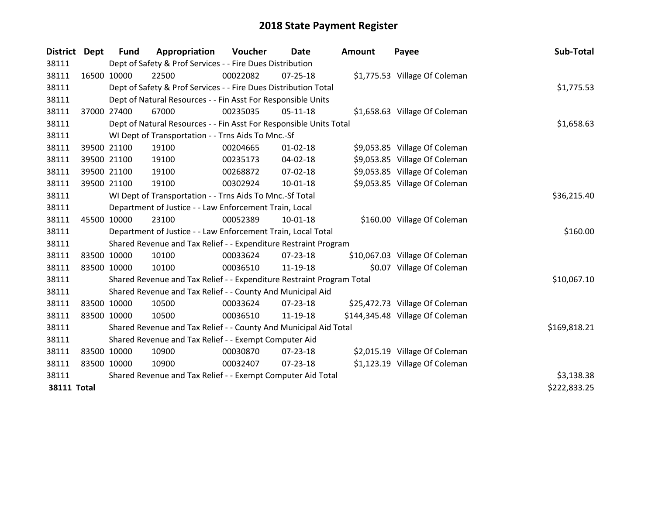| District Dept      |             | Fund                                                        | Appropriation                                                         | <b>Voucher</b> | Date           | <b>Amount</b> | Payee                           | Sub-Total    |
|--------------------|-------------|-------------------------------------------------------------|-----------------------------------------------------------------------|----------------|----------------|---------------|---------------------------------|--------------|
| 38111              |             |                                                             | Dept of Safety & Prof Services - - Fire Dues Distribution             |                |                |               |                                 |              |
| 38111              | 16500 10000 |                                                             | 22500                                                                 | 00022082       | 07-25-18       |               | \$1,775.53 Village Of Coleman   |              |
| 38111              |             |                                                             | Dept of Safety & Prof Services - - Fire Dues Distribution Total       |                |                |               |                                 | \$1,775.53   |
| 38111              |             |                                                             | Dept of Natural Resources - - Fin Asst For Responsible Units          |                |                |               |                                 |              |
| 38111              |             | 37000 27400                                                 | 67000                                                                 | 00235035       | $05-11-18$     |               | \$1,658.63 Village Of Coleman   |              |
| 38111              |             |                                                             | Dept of Natural Resources - - Fin Asst For Responsible Units Total    |                |                |               |                                 | \$1,658.63   |
| 38111              |             |                                                             | WI Dept of Transportation - - Trns Aids To Mnc.-Sf                    |                |                |               |                                 |              |
| 38111              |             | 39500 21100                                                 | 19100                                                                 | 00204665       | $01 - 02 - 18$ |               | \$9,053.85 Village Of Coleman   |              |
| 38111              |             | 39500 21100                                                 | 19100                                                                 | 00235173       | 04-02-18       |               | \$9,053.85 Village Of Coleman   |              |
| 38111              |             | 39500 21100                                                 | 19100                                                                 | 00268872       | $07 - 02 - 18$ |               | \$9,053.85 Village Of Coleman   |              |
| 38111              |             | 39500 21100                                                 | 19100                                                                 | 00302924       | 10-01-18       |               | \$9,053.85 Village Of Coleman   |              |
| 38111              |             |                                                             | WI Dept of Transportation - - Trns Aids To Mnc.-Sf Total              |                |                |               |                                 | \$36,215.40  |
| 38111              |             |                                                             | Department of Justice - - Law Enforcement Train, Local                |                |                |               |                                 |              |
| 38111              | 45500 10000 |                                                             | 23100                                                                 | 00052389       | $10 - 01 - 18$ |               | \$160.00 Village Of Coleman     |              |
| 38111              |             |                                                             | Department of Justice - - Law Enforcement Train, Local Total          |                |                |               |                                 | \$160.00     |
| 38111              |             |                                                             | Shared Revenue and Tax Relief - - Expenditure Restraint Program       |                |                |               |                                 |              |
| 38111              |             | 83500 10000                                                 | 10100                                                                 | 00033624       | $07 - 23 - 18$ |               | \$10,067.03 Village Of Coleman  |              |
| 38111              | 83500 10000 |                                                             | 10100                                                                 | 00036510       | 11-19-18       |               | \$0.07 Village Of Coleman       |              |
| 38111              |             |                                                             | Shared Revenue and Tax Relief - - Expenditure Restraint Program Total |                |                |               |                                 | \$10,067.10  |
| 38111              |             |                                                             | Shared Revenue and Tax Relief - - County And Municipal Aid            |                |                |               |                                 |              |
| 38111              | 83500 10000 |                                                             | 10500                                                                 | 00033624       | 07-23-18       |               | \$25,472.73 Village Of Coleman  |              |
| 38111              | 83500 10000 |                                                             | 10500                                                                 | 00036510       | 11-19-18       |               | \$144,345.48 Village Of Coleman |              |
| 38111              |             |                                                             | Shared Revenue and Tax Relief - - County And Municipal Aid Total      |                |                |               |                                 | \$169,818.21 |
| 38111              |             |                                                             | Shared Revenue and Tax Relief - - Exempt Computer Aid                 |                |                |               |                                 |              |
| 38111              | 83500 10000 |                                                             | 10900                                                                 | 00030870       | 07-23-18       |               | \$2,015.19 Village Of Coleman   |              |
| 38111              | 83500 10000 |                                                             | 10900                                                                 | 00032407       | $07 - 23 - 18$ |               | \$1,123.19 Village Of Coleman   |              |
| 38111              |             | Shared Revenue and Tax Relief - - Exempt Computer Aid Total | \$3,138.38                                                            |                |                |               |                                 |              |
| <b>38111 Total</b> |             |                                                             |                                                                       |                |                |               |                                 | \$222,833.25 |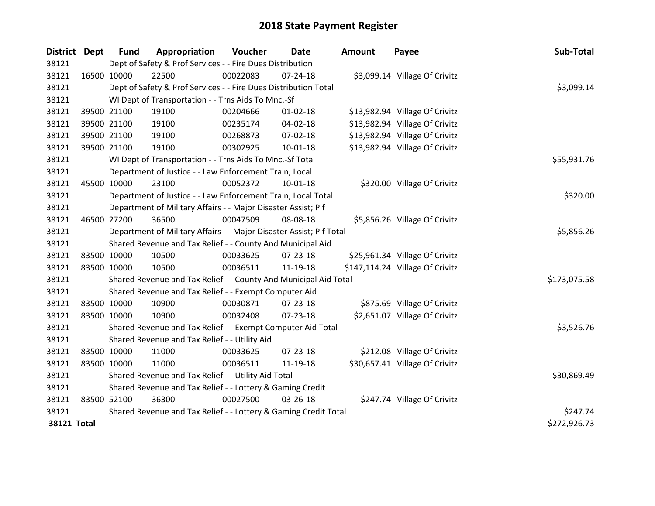| District Dept      | <b>Fund</b> | Appropriation                                                       | Voucher    | <b>Date</b>    | <b>Amount</b> | Payee                           | Sub-Total    |
|--------------------|-------------|---------------------------------------------------------------------|------------|----------------|---------------|---------------------------------|--------------|
| 38121              |             | Dept of Safety & Prof Services - - Fire Dues Distribution           |            |                |               |                                 |              |
| 38121              | 16500 10000 | 22500                                                               | 00022083   | 07-24-18       |               | \$3,099.14 Village Of Crivitz   |              |
| 38121              |             | Dept of Safety & Prof Services - - Fire Dues Distribution Total     |            |                |               |                                 | \$3,099.14   |
| 38121              |             | WI Dept of Transportation - - Trns Aids To Mnc.-Sf                  |            |                |               |                                 |              |
| 38121              | 39500 21100 | 19100                                                               | 00204666   | $01 - 02 - 18$ |               | \$13,982.94 Village Of Crivitz  |              |
| 38121              | 39500 21100 | 19100                                                               | 00235174   | 04-02-18       |               | \$13,982.94 Village Of Crivitz  |              |
| 38121              | 39500 21100 | 19100                                                               | 00268873   | 07-02-18       |               | \$13,982.94 Village Of Crivitz  |              |
| 38121              | 39500 21100 | 19100                                                               | 00302925   | $10-01-18$     |               | \$13,982.94 Village Of Crivitz  |              |
| 38121              |             | WI Dept of Transportation - - Trns Aids To Mnc.-Sf Total            |            | \$55,931.76    |               |                                 |              |
| 38121              |             | Department of Justice - - Law Enforcement Train, Local              |            |                |               |                                 |              |
| 38121              | 45500 10000 | 23100                                                               | 00052372   | 10-01-18       |               | \$320.00 Village Of Crivitz     |              |
| 38121              |             | Department of Justice - - Law Enforcement Train, Local Total        |            |                |               |                                 | \$320.00     |
| 38121              |             | Department of Military Affairs - - Major Disaster Assist; Pif       |            |                |               |                                 |              |
| 38121              | 46500 27200 | 36500                                                               | 00047509   | 08-08-18       |               | \$5,856.26 Village Of Crivitz   |              |
| 38121              |             | Department of Military Affairs - - Major Disaster Assist; Pif Total | \$5,856.26 |                |               |                                 |              |
| 38121              |             | Shared Revenue and Tax Relief - - County And Municipal Aid          |            |                |               |                                 |              |
| 38121              | 83500 10000 | 10500                                                               | 00033625   | $07 - 23 - 18$ |               | \$25,961.34 Village Of Crivitz  |              |
| 38121              | 83500 10000 | 10500                                                               | 00036511   | 11-19-18       |               | \$147,114.24 Village Of Crivitz |              |
| 38121              |             | Shared Revenue and Tax Relief - - County And Municipal Aid Total    |            |                |               |                                 | \$173,075.58 |
| 38121              |             | Shared Revenue and Tax Relief - - Exempt Computer Aid               |            |                |               |                                 |              |
| 38121              | 83500 10000 | 10900                                                               | 00030871   | 07-23-18       |               | \$875.69 Village Of Crivitz     |              |
| 38121              | 83500 10000 | 10900                                                               | 00032408   | $07 - 23 - 18$ |               | \$2,651.07 Village Of Crivitz   |              |
| 38121              |             | Shared Revenue and Tax Relief - - Exempt Computer Aid Total         |            |                |               |                                 | \$3,526.76   |
| 38121              |             | Shared Revenue and Tax Relief - - Utility Aid                       |            |                |               |                                 |              |
| 38121              | 83500 10000 | 11000                                                               | 00033625   | 07-23-18       |               | \$212.08 Village Of Crivitz     |              |
| 38121              | 83500 10000 | 11000                                                               | 00036511   | 11-19-18       |               | \$30,657.41 Village Of Crivitz  |              |
| 38121              |             | Shared Revenue and Tax Relief - - Utility Aid Total                 |            |                |               |                                 | \$30,869.49  |
| 38121              |             | Shared Revenue and Tax Relief - - Lottery & Gaming Credit           |            |                |               |                                 |              |
| 38121              | 83500 52100 | 36300                                                               | 00027500   | 03-26-18       |               | \$247.74 Village Of Crivitz     |              |
| 38121              |             | Shared Revenue and Tax Relief - - Lottery & Gaming Credit Total     |            |                |               |                                 | \$247.74     |
| <b>38121 Total</b> |             |                                                                     |            |                |               |                                 | \$272,926.73 |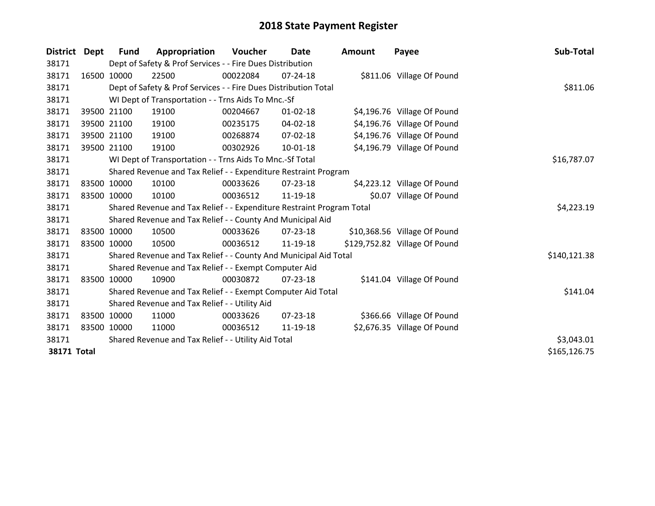| District Dept      |             | Fund        | Appropriation                                                         | Voucher     | Date           | <b>Amount</b> | Payee                         | Sub-Total    |
|--------------------|-------------|-------------|-----------------------------------------------------------------------|-------------|----------------|---------------|-------------------------------|--------------|
| 38171              |             |             | Dept of Safety & Prof Services - - Fire Dues Distribution             |             |                |               |                               |              |
| 38171              |             | 16500 10000 | 22500                                                                 | 00022084    | 07-24-18       |               | \$811.06 Village Of Pound     |              |
| 38171              |             |             | Dept of Safety & Prof Services - - Fire Dues Distribution Total       |             |                |               |                               | \$811.06     |
| 38171              |             |             | WI Dept of Transportation - - Trns Aids To Mnc.-Sf                    |             |                |               |                               |              |
| 38171              |             | 39500 21100 | 19100                                                                 | 00204667    | $01 - 02 - 18$ |               | \$4,196.76 Village Of Pound   |              |
| 38171              |             | 39500 21100 | 19100                                                                 | 00235175    | 04-02-18       |               | \$4,196.76 Village Of Pound   |              |
| 38171              |             | 39500 21100 | 19100                                                                 | 00268874    | 07-02-18       |               | \$4,196.76 Village Of Pound   |              |
| 38171              |             | 39500 21100 | 19100                                                                 | 00302926    | $10 - 01 - 18$ |               | \$4,196.79 Village Of Pound   |              |
| 38171              |             |             | WI Dept of Transportation - - Trns Aids To Mnc.-Sf Total              | \$16,787.07 |                |               |                               |              |
| 38171              |             |             | Shared Revenue and Tax Relief - - Expenditure Restraint Program       |             |                |               |                               |              |
| 38171              |             | 83500 10000 | 10100                                                                 | 00033626    | $07 - 23 - 18$ |               | \$4,223.12 Village Of Pound   |              |
| 38171              | 83500 10000 |             | 10100                                                                 | 00036512    | 11-19-18       |               | \$0.07 Village Of Pound       |              |
| 38171              |             |             | Shared Revenue and Tax Relief - - Expenditure Restraint Program Total |             |                |               |                               | \$4,223.19   |
| 38171              |             |             | Shared Revenue and Tax Relief - - County And Municipal Aid            |             |                |               |                               |              |
| 38171              | 83500 10000 |             | 10500                                                                 | 00033626    | 07-23-18       |               | \$10,368.56 Village Of Pound  |              |
| 38171              | 83500 10000 |             | 10500                                                                 | 00036512    | 11-19-18       |               | \$129,752.82 Village Of Pound |              |
| 38171              |             |             | Shared Revenue and Tax Relief - - County And Municipal Aid Total      |             |                |               |                               | \$140,121.38 |
| 38171              |             |             | Shared Revenue and Tax Relief - - Exempt Computer Aid                 |             |                |               |                               |              |
| 38171              |             | 83500 10000 | 10900                                                                 | 00030872    | 07-23-18       |               | \$141.04 Village Of Pound     |              |
| 38171              |             |             | Shared Revenue and Tax Relief - - Exempt Computer Aid Total           |             |                |               |                               | \$141.04     |
| 38171              |             |             | Shared Revenue and Tax Relief - - Utility Aid                         |             |                |               |                               |              |
| 38171              | 83500 10000 |             | 11000                                                                 | 00033626    | $07 - 23 - 18$ |               | \$366.66 Village Of Pound     |              |
| 38171              | 83500 10000 |             | 11000                                                                 | 00036512    | 11-19-18       |               | \$2,676.35 Village Of Pound   |              |
| 38171              |             |             | Shared Revenue and Tax Relief - - Utility Aid Total                   |             |                |               |                               | \$3,043.01   |
| <b>38171 Total</b> |             |             |                                                                       |             |                |               |                               | \$165,126.75 |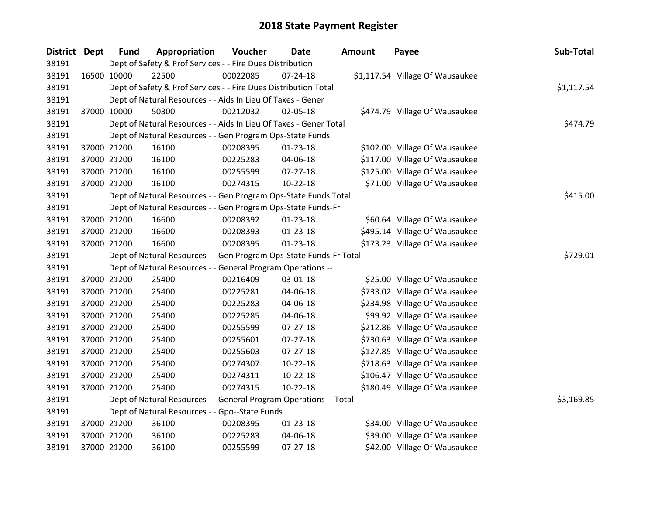| District Dept | <b>Fund</b> | Appropriation                                                      | Voucher  | <b>Date</b>    | <b>Amount</b> | Payee                           | Sub-Total  |
|---------------|-------------|--------------------------------------------------------------------|----------|----------------|---------------|---------------------------------|------------|
| 38191         |             | Dept of Safety & Prof Services - - Fire Dues Distribution          |          |                |               |                                 |            |
| 38191         | 16500 10000 | 22500                                                              | 00022085 | 07-24-18       |               | \$1,117.54 Village Of Wausaukee |            |
| 38191         |             | Dept of Safety & Prof Services - - Fire Dues Distribution Total    |          |                |               |                                 | \$1,117.54 |
| 38191         |             | Dept of Natural Resources - - Aids In Lieu Of Taxes - Gener        |          |                |               |                                 |            |
| 38191         | 37000 10000 | 50300                                                              | 00212032 | 02-05-18       |               | \$474.79 Village Of Wausaukee   |            |
| 38191         |             | Dept of Natural Resources - - Aids In Lieu Of Taxes - Gener Total  |          |                |               |                                 | \$474.79   |
| 38191         |             | Dept of Natural Resources - - Gen Program Ops-State Funds          |          |                |               |                                 |            |
| 38191         | 37000 21200 | 16100                                                              | 00208395 | $01 - 23 - 18$ |               | \$102.00 Village Of Wausaukee   |            |
| 38191         | 37000 21200 | 16100                                                              | 00225283 | 04-06-18       |               | \$117.00 Village Of Wausaukee   |            |
| 38191         | 37000 21200 | 16100                                                              | 00255599 | $07 - 27 - 18$ |               | \$125.00 Village Of Wausaukee   |            |
| 38191         | 37000 21200 | 16100                                                              | 00274315 | $10-22-18$     |               | \$71.00 Village Of Wausaukee    |            |
| 38191         |             | Dept of Natural Resources - - Gen Program Ops-State Funds Total    |          |                |               |                                 | \$415.00   |
| 38191         |             | Dept of Natural Resources - - Gen Program Ops-State Funds-Fr       |          |                |               |                                 |            |
| 38191         | 37000 21200 | 16600                                                              | 00208392 | $01-23-18$     |               | \$60.64 Village Of Wausaukee    |            |
| 38191         | 37000 21200 | 16600                                                              | 00208393 | $01 - 23 - 18$ |               | \$495.14 Village Of Wausaukee   |            |
| 38191         | 37000 21200 | 16600                                                              | 00208395 | $01 - 23 - 18$ |               | \$173.23 Village Of Wausaukee   |            |
| 38191         |             | Dept of Natural Resources - - Gen Program Ops-State Funds-Fr Total |          |                |               |                                 | \$729.01   |
| 38191         |             | Dept of Natural Resources - - General Program Operations --        |          |                |               |                                 |            |
| 38191         | 37000 21200 | 25400                                                              | 00216409 | 03-01-18       |               | \$25.00 Village Of Wausaukee    |            |
| 38191         | 37000 21200 | 25400                                                              | 00225281 | 04-06-18       |               | \$733.02 Village Of Wausaukee   |            |
| 38191         | 37000 21200 | 25400                                                              | 00225283 | 04-06-18       |               | \$234.98 Village Of Wausaukee   |            |
| 38191         | 37000 21200 | 25400                                                              | 00225285 | 04-06-18       |               | \$99.92 Village Of Wausaukee    |            |
| 38191         | 37000 21200 | 25400                                                              | 00255599 | $07 - 27 - 18$ |               | \$212.86 Village Of Wausaukee   |            |
| 38191         | 37000 21200 | 25400                                                              | 00255601 | 07-27-18       |               | \$730.63 Village Of Wausaukee   |            |
| 38191         | 37000 21200 | 25400                                                              | 00255603 | $07 - 27 - 18$ |               | \$127.85 Village Of Wausaukee   |            |
| 38191         | 37000 21200 | 25400                                                              | 00274307 | $10-22-18$     |               | \$718.63 Village Of Wausaukee   |            |
| 38191         | 37000 21200 | 25400                                                              | 00274311 | $10-22-18$     |               | \$106.47 Village Of Wausaukee   |            |
| 38191         | 37000 21200 | 25400                                                              | 00274315 | $10-22-18$     |               | \$180.49 Village Of Wausaukee   |            |
| 38191         |             | Dept of Natural Resources - - General Program Operations -- Total  |          |                |               |                                 | \$3,169.85 |
| 38191         |             | Dept of Natural Resources - - Gpo--State Funds                     |          |                |               |                                 |            |
| 38191         | 37000 21200 | 36100                                                              | 00208395 | $01 - 23 - 18$ |               | \$34.00 Village Of Wausaukee    |            |
| 38191         | 37000 21200 | 36100                                                              | 00225283 | 04-06-18       |               | \$39.00 Village Of Wausaukee    |            |
| 38191         | 37000 21200 | 36100                                                              | 00255599 | $07 - 27 - 18$ |               | \$42.00 Village Of Wausaukee    |            |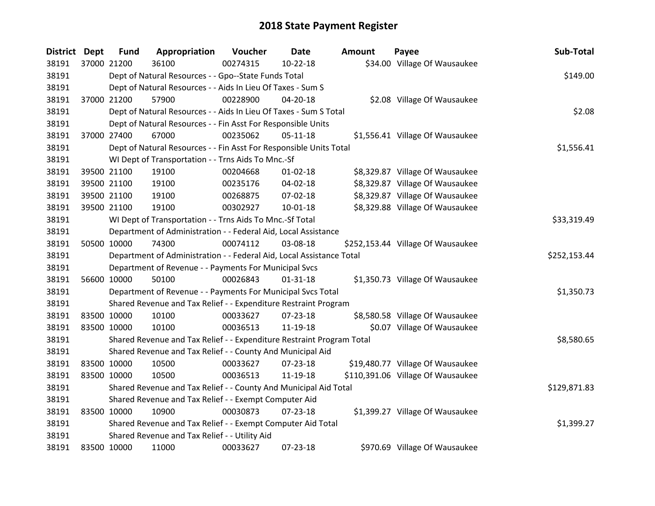| <b>District</b> | <b>Dept</b> | <b>Fund</b> | Appropriation                                                         | Voucher  | <b>Date</b>    | <b>Amount</b> | Payee                             | Sub-Total    |
|-----------------|-------------|-------------|-----------------------------------------------------------------------|----------|----------------|---------------|-----------------------------------|--------------|
| 38191           |             | 37000 21200 | 36100                                                                 | 00274315 | 10-22-18       |               | \$34.00 Village Of Wausaukee      |              |
| 38191           |             |             | Dept of Natural Resources - - Gpo--State Funds Total                  |          |                |               |                                   | \$149.00     |
| 38191           |             |             | Dept of Natural Resources - - Aids In Lieu Of Taxes - Sum S           |          |                |               |                                   |              |
| 38191           |             | 37000 21200 | 57900                                                                 | 00228900 | $04 - 20 - 18$ |               | \$2.08 Village Of Wausaukee       |              |
| 38191           |             |             | Dept of Natural Resources - - Aids In Lieu Of Taxes - Sum S Total     |          |                |               |                                   | \$2.08       |
| 38191           |             |             | Dept of Natural Resources - - Fin Asst For Responsible Units          |          |                |               |                                   |              |
| 38191           | 37000 27400 |             | 67000                                                                 | 00235062 | $05 - 11 - 18$ |               | \$1,556.41 Village Of Wausaukee   |              |
| 38191           |             |             | Dept of Natural Resources - - Fin Asst For Responsible Units Total    |          |                |               |                                   | \$1,556.41   |
| 38191           |             |             | WI Dept of Transportation - - Trns Aids To Mnc.-Sf                    |          |                |               |                                   |              |
| 38191           |             | 39500 21100 | 19100                                                                 | 00204668 | $01 - 02 - 18$ |               | \$8,329.87 Village Of Wausaukee   |              |
| 38191           |             | 39500 21100 | 19100                                                                 | 00235176 | 04-02-18       |               | \$8,329.87 Village Of Wausaukee   |              |
| 38191           |             | 39500 21100 | 19100                                                                 | 00268875 | 07-02-18       |               | \$8,329.87 Village Of Wausaukee   |              |
| 38191           | 39500 21100 |             | 19100                                                                 | 00302927 | $10-01-18$     |               | \$8,329.88 Village Of Wausaukee   |              |
| 38191           |             |             | WI Dept of Transportation - - Trns Aids To Mnc.-Sf Total              |          |                |               |                                   | \$33,319.49  |
| 38191           |             |             | Department of Administration - - Federal Aid, Local Assistance        |          |                |               |                                   |              |
| 38191           | 50500 10000 |             | 74300                                                                 | 00074112 | 03-08-18       |               | \$252,153.44 Village Of Wausaukee |              |
| 38191           |             |             | Department of Administration - - Federal Aid, Local Assistance Total  |          |                |               |                                   | \$252,153.44 |
| 38191           |             |             | Department of Revenue - - Payments For Municipal Svcs                 |          |                |               |                                   |              |
| 38191           |             | 56600 10000 | 50100                                                                 | 00026843 | $01 - 31 - 18$ |               | \$1,350.73 Village Of Wausaukee   |              |
| 38191           |             |             | Department of Revenue - - Payments For Municipal Svcs Total           |          |                |               |                                   | \$1,350.73   |
| 38191           |             |             | Shared Revenue and Tax Relief - - Expenditure Restraint Program       |          |                |               |                                   |              |
| 38191           | 83500 10000 |             | 10100                                                                 | 00033627 | 07-23-18       |               | \$8,580.58 Village Of Wausaukee   |              |
| 38191           | 83500 10000 |             | 10100                                                                 | 00036513 | 11-19-18       |               | \$0.07 Village Of Wausaukee       |              |
| 38191           |             |             | Shared Revenue and Tax Relief - - Expenditure Restraint Program Total |          |                |               |                                   | \$8,580.65   |
| 38191           |             |             | Shared Revenue and Tax Relief - - County And Municipal Aid            |          |                |               |                                   |              |
| 38191           | 83500 10000 |             | 10500                                                                 | 00033627 | 07-23-18       |               | \$19,480.77 Village Of Wausaukee  |              |
| 38191           | 83500 10000 |             | 10500                                                                 | 00036513 | 11-19-18       |               | \$110,391.06 Village Of Wausaukee |              |
| 38191           |             |             | Shared Revenue and Tax Relief - - County And Municipal Aid Total      |          |                |               |                                   | \$129,871.83 |
| 38191           |             |             | Shared Revenue and Tax Relief - - Exempt Computer Aid                 |          |                |               |                                   |              |
| 38191           | 83500 10000 |             | 10900                                                                 | 00030873 | 07-23-18       |               | \$1,399.27 Village Of Wausaukee   |              |
| 38191           |             |             | Shared Revenue and Tax Relief - - Exempt Computer Aid Total           |          |                |               |                                   | \$1,399.27   |
| 38191           |             |             | Shared Revenue and Tax Relief - - Utility Aid                         |          |                |               |                                   |              |
| 38191           | 83500 10000 |             | 11000                                                                 | 00033627 | 07-23-18       |               | \$970.69 Village Of Wausaukee     |              |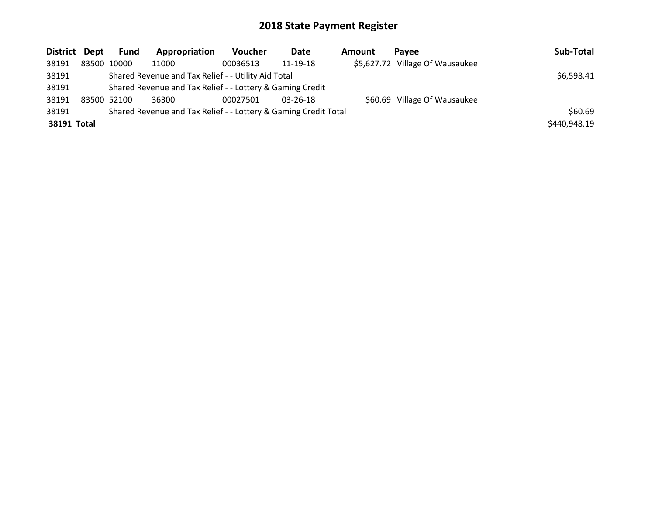| District Dept |  | Fund                                                | Appropriation                                             | <b>Voucher</b> | Date           | <b>Amount</b> | <b>Pavee</b>                    | Sub-Total    |
|---------------|--|-----------------------------------------------------|-----------------------------------------------------------|----------------|----------------|---------------|---------------------------------|--------------|
| 38191         |  | 83500 10000                                         | 11000                                                     | 00036513       | 11-19-18       |               | \$5,627.72 Village Of Wausaukee |              |
| 38191         |  | Shared Revenue and Tax Relief - - Utility Aid Total | \$6,598.41                                                |                |                |               |                                 |              |
| 38191         |  |                                                     | Shared Revenue and Tax Relief - - Lottery & Gaming Credit |                |                |               |                                 |              |
| 38191         |  | 83500 52100                                         | 36300                                                     | 00027501       | $03 - 26 - 18$ |               | \$60.69 Village Of Wausaukee    |              |
| 38191         |  | \$60.69                                             |                                                           |                |                |               |                                 |              |
| 38191 Total   |  |                                                     |                                                           |                |                |               |                                 | \$440,948.19 |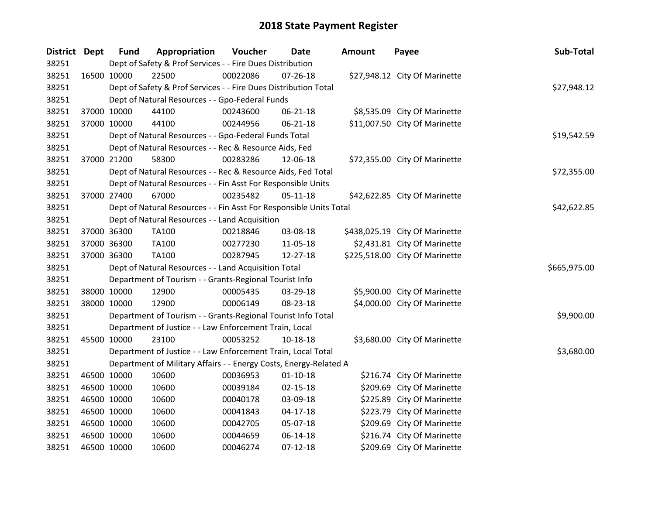| District Dept |             | <b>Fund</b> | Appropriation                                                      | Voucher  | Date           | <b>Amount</b> | Payee                          | Sub-Total    |
|---------------|-------------|-------------|--------------------------------------------------------------------|----------|----------------|---------------|--------------------------------|--------------|
| 38251         |             |             | Dept of Safety & Prof Services - - Fire Dues Distribution          |          |                |               |                                |              |
| 38251         | 16500 10000 |             | 22500                                                              | 00022086 | 07-26-18       |               | \$27,948.12 City Of Marinette  |              |
| 38251         |             |             | Dept of Safety & Prof Services - - Fire Dues Distribution Total    |          |                |               |                                | \$27,948.12  |
| 38251         |             |             | Dept of Natural Resources - - Gpo-Federal Funds                    |          |                |               |                                |              |
| 38251         | 37000 10000 |             | 44100                                                              | 00243600 | 06-21-18       |               | \$8,535.09 City Of Marinette   |              |
| 38251         | 37000 10000 |             | 44100                                                              | 00244956 | $06 - 21 - 18$ |               | \$11,007.50 City Of Marinette  |              |
| 38251         |             |             | Dept of Natural Resources - - Gpo-Federal Funds Total              |          |                |               |                                | \$19,542.59  |
| 38251         |             |             | Dept of Natural Resources - - Rec & Resource Aids, Fed             |          |                |               |                                |              |
| 38251         | 37000 21200 |             | 58300                                                              | 00283286 | 12-06-18       |               | \$72,355.00 City Of Marinette  |              |
| 38251         |             |             | Dept of Natural Resources - - Rec & Resource Aids, Fed Total       |          |                |               |                                | \$72,355.00  |
| 38251         |             |             | Dept of Natural Resources - - Fin Asst For Responsible Units       |          |                |               |                                |              |
| 38251         | 37000 27400 |             | 67000                                                              | 00235482 | $05-11-18$     |               | \$42,622.85 City Of Marinette  |              |
| 38251         |             |             | Dept of Natural Resources - - Fin Asst For Responsible Units Total |          |                |               |                                | \$42,622.85  |
| 38251         |             |             | Dept of Natural Resources - - Land Acquisition                     |          |                |               |                                |              |
| 38251         | 37000 36300 |             | TA100                                                              | 00218846 | 03-08-18       |               | \$438,025.19 City Of Marinette |              |
| 38251         | 37000 36300 |             | TA100                                                              | 00277230 | 11-05-18       |               | \$2,431.81 City Of Marinette   |              |
| 38251         | 37000 36300 |             | TA100                                                              | 00287945 | 12-27-18       |               | \$225,518.00 City Of Marinette |              |
| 38251         |             |             | Dept of Natural Resources - - Land Acquisition Total               |          |                |               |                                | \$665,975.00 |
| 38251         |             |             | Department of Tourism - - Grants-Regional Tourist Info             |          |                |               |                                |              |
| 38251         | 38000 10000 |             | 12900                                                              | 00005435 | 03-29-18       |               | \$5,900.00 City Of Marinette   |              |
| 38251         | 38000 10000 |             | 12900                                                              | 00006149 | 08-23-18       |               | \$4,000.00 City Of Marinette   |              |
| 38251         |             |             | Department of Tourism - - Grants-Regional Tourist Info Total       |          |                |               |                                | \$9,900.00   |
| 38251         |             |             | Department of Justice - - Law Enforcement Train, Local             |          |                |               |                                |              |
| 38251         | 45500 10000 |             | 23100                                                              | 00053252 | 10-18-18       |               | \$3,680.00 City Of Marinette   |              |
| 38251         |             |             | Department of Justice - - Law Enforcement Train, Local Total       |          |                |               |                                | \$3,680.00   |
| 38251         |             |             | Department of Military Affairs - - Energy Costs, Energy-Related A  |          |                |               |                                |              |
| 38251         | 46500 10000 |             | 10600                                                              | 00036953 | $01 - 10 - 18$ |               | \$216.74 City Of Marinette     |              |
| 38251         | 46500 10000 |             | 10600                                                              | 00039184 | $02 - 15 - 18$ |               | \$209.69 City Of Marinette     |              |
| 38251         | 46500 10000 |             | 10600                                                              | 00040178 | 03-09-18       |               | \$225.89 City Of Marinette     |              |
| 38251         | 46500 10000 |             | 10600                                                              | 00041843 | $04 - 17 - 18$ |               | \$223.79 City Of Marinette     |              |
| 38251         | 46500 10000 |             | 10600                                                              | 00042705 | 05-07-18       |               | \$209.69 City Of Marinette     |              |
| 38251         | 46500 10000 |             | 10600                                                              | 00044659 | 06-14-18       |               | \$216.74 City Of Marinette     |              |
| 38251         | 46500 10000 |             | 10600                                                              | 00046274 | $07 - 12 - 18$ |               | \$209.69 City Of Marinette     |              |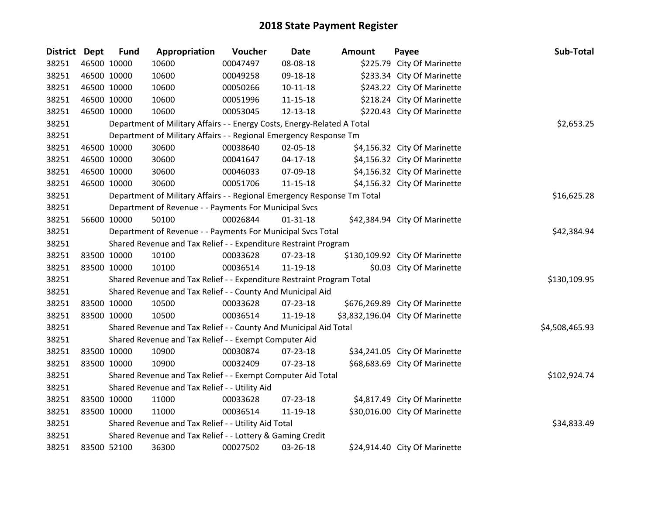| <b>District Dept</b> |             | <b>Fund</b> | Appropriation                                                           | Voucher  | <b>Date</b>    | <b>Amount</b> | Payee                            | Sub-Total      |
|----------------------|-------------|-------------|-------------------------------------------------------------------------|----------|----------------|---------------|----------------------------------|----------------|
| 38251                |             | 46500 10000 | 10600                                                                   | 00047497 | 08-08-18       |               | \$225.79 City Of Marinette       |                |
| 38251                |             | 46500 10000 | 10600                                                                   | 00049258 | 09-18-18       |               | \$233.34 City Of Marinette       |                |
| 38251                | 46500 10000 |             | 10600                                                                   | 00050266 | $10 - 11 - 18$ |               | \$243.22 City Of Marinette       |                |
| 38251                | 46500 10000 |             | 10600                                                                   | 00051996 | $11 - 15 - 18$ |               | \$218.24 City Of Marinette       |                |
| 38251                | 46500 10000 |             | 10600                                                                   | 00053045 | 12-13-18       |               | \$220.43 City Of Marinette       |                |
| 38251                |             |             | Department of Military Affairs - - Energy Costs, Energy-Related A Total |          |                |               |                                  | \$2,653.25     |
| 38251                |             |             | Department of Military Affairs - - Regional Emergency Response Tm       |          |                |               |                                  |                |
| 38251                |             | 46500 10000 | 30600                                                                   | 00038640 | 02-05-18       |               | \$4,156.32 City Of Marinette     |                |
| 38251                |             | 46500 10000 | 30600                                                                   | 00041647 | $04 - 17 - 18$ |               | \$4,156.32 City Of Marinette     |                |
| 38251                |             | 46500 10000 | 30600                                                                   | 00046033 | 07-09-18       |               | \$4,156.32 City Of Marinette     |                |
| 38251                |             | 46500 10000 | 30600                                                                   | 00051706 | $11 - 15 - 18$ |               | \$4,156.32 City Of Marinette     |                |
| 38251                |             |             | Department of Military Affairs - - Regional Emergency Response Tm Total |          |                |               |                                  | \$16,625.28    |
| 38251                |             |             | Department of Revenue - - Payments For Municipal Svcs                   |          |                |               |                                  |                |
| 38251                |             | 56600 10000 | 50100                                                                   | 00026844 | $01 - 31 - 18$ |               | \$42,384.94 City Of Marinette    |                |
| 38251                |             |             | Department of Revenue - - Payments For Municipal Svcs Total             |          | \$42,384.94    |               |                                  |                |
| 38251                |             |             | Shared Revenue and Tax Relief - - Expenditure Restraint Program         |          |                |               |                                  |                |
| 38251                | 83500 10000 |             | 10100                                                                   | 00033628 | 07-23-18       |               | \$130,109.92 City Of Marinette   |                |
| 38251                | 83500 10000 |             | 10100                                                                   | 00036514 | 11-19-18       |               | \$0.03 City Of Marinette         |                |
| 38251                |             |             | Shared Revenue and Tax Relief - - Expenditure Restraint Program Total   |          |                |               |                                  | \$130,109.95   |
| 38251                |             |             | Shared Revenue and Tax Relief - - County And Municipal Aid              |          |                |               |                                  |                |
| 38251                | 83500 10000 |             | 10500                                                                   | 00033628 | 07-23-18       |               | \$676,269.89 City Of Marinette   |                |
| 38251                |             | 83500 10000 | 10500                                                                   | 00036514 | 11-19-18       |               | \$3,832,196.04 City Of Marinette |                |
| 38251                |             |             | Shared Revenue and Tax Relief - - County And Municipal Aid Total        |          |                |               |                                  | \$4,508,465.93 |
| 38251                |             |             | Shared Revenue and Tax Relief - - Exempt Computer Aid                   |          |                |               |                                  |                |
| 38251                | 83500 10000 |             | 10900                                                                   | 00030874 | 07-23-18       |               | \$34,241.05 City Of Marinette    |                |
| 38251                |             | 83500 10000 | 10900                                                                   | 00032409 | 07-23-18       |               | \$68,683.69 City Of Marinette    |                |
| 38251                |             |             | Shared Revenue and Tax Relief - - Exempt Computer Aid Total             |          | \$102,924.74   |               |                                  |                |
| 38251                |             |             | Shared Revenue and Tax Relief - - Utility Aid                           |          |                |               |                                  |                |
| 38251                |             | 83500 10000 | 11000                                                                   | 00033628 | 07-23-18       |               | \$4,817.49 City Of Marinette     |                |
| 38251                |             | 83500 10000 | 11000                                                                   | 00036514 | 11-19-18       |               | \$30,016.00 City Of Marinette    |                |
| 38251                |             |             | Shared Revenue and Tax Relief - - Utility Aid Total                     |          |                |               |                                  | \$34,833.49    |
| 38251                |             |             | Shared Revenue and Tax Relief - - Lottery & Gaming Credit               |          |                |               |                                  |                |
| 38251                | 83500 52100 |             | 36300                                                                   | 00027502 | 03-26-18       |               | \$24,914.40 City Of Marinette    |                |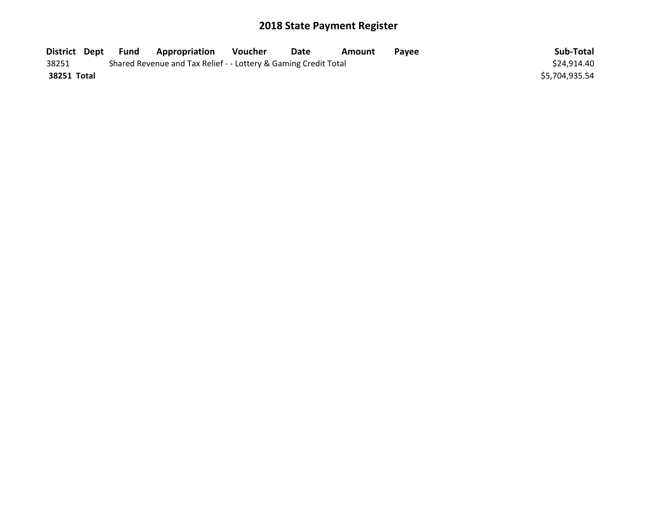| District Dept | Fund | <b>Appropriation</b>                                            | Voucher | Date | Amount | Pavee | Sub-Total      |
|---------------|------|-----------------------------------------------------------------|---------|------|--------|-------|----------------|
| 38251         |      | Shared Revenue and Tax Relief - - Lottery & Gaming Credit Total |         |      |        |       | \$24,914.40    |
| 38251 Total   |      |                                                                 |         |      |        |       | \$5,704,935.54 |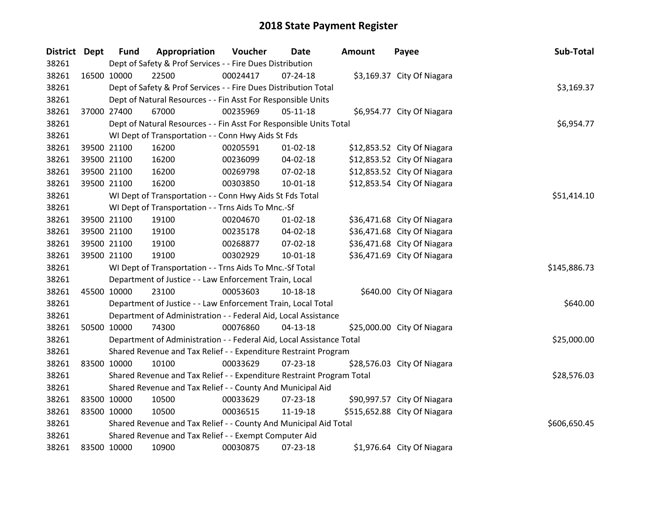| District Dept |             | <b>Fund</b> | Appropriation                                                         | Voucher  | <b>Date</b>    | Amount | Payee                        | Sub-Total    |
|---------------|-------------|-------------|-----------------------------------------------------------------------|----------|----------------|--------|------------------------------|--------------|
| 38261         |             |             | Dept of Safety & Prof Services - - Fire Dues Distribution             |          |                |        |                              |              |
| 38261         | 16500 10000 |             | 22500                                                                 | 00024417 | $07 - 24 - 18$ |        | \$3,169.37 City Of Niagara   |              |
| 38261         |             |             | Dept of Safety & Prof Services - - Fire Dues Distribution Total       |          |                |        |                              | \$3,169.37   |
| 38261         |             |             | Dept of Natural Resources - - Fin Asst For Responsible Units          |          |                |        |                              |              |
| 38261         |             | 37000 27400 | 67000                                                                 | 00235969 | $05-11-18$     |        | \$6,954.77 City Of Niagara   |              |
| 38261         |             |             | Dept of Natural Resources - - Fin Asst For Responsible Units Total    |          |                |        |                              | \$6,954.77   |
| 38261         |             |             | WI Dept of Transportation - - Conn Hwy Aids St Fds                    |          |                |        |                              |              |
| 38261         |             | 39500 21100 | 16200                                                                 | 00205591 | $01 - 02 - 18$ |        | \$12,853.52 City Of Niagara  |              |
| 38261         |             | 39500 21100 | 16200                                                                 | 00236099 | 04-02-18       |        | \$12,853.52 City Of Niagara  |              |
| 38261         |             | 39500 21100 | 16200                                                                 | 00269798 | 07-02-18       |        | \$12,853.52 City Of Niagara  |              |
| 38261         |             | 39500 21100 | 16200                                                                 | 00303850 | $10 - 01 - 18$ |        | \$12,853.54 City Of Niagara  |              |
| 38261         |             |             | WI Dept of Transportation - - Conn Hwy Aids St Fds Total              |          |                |        |                              | \$51,414.10  |
| 38261         |             |             | WI Dept of Transportation - - Trns Aids To Mnc.-Sf                    |          |                |        |                              |              |
| 38261         |             | 39500 21100 | 19100                                                                 | 00204670 | $01 - 02 - 18$ |        | \$36,471.68 City Of Niagara  |              |
| 38261         |             | 39500 21100 | 19100                                                                 | 00235178 | 04-02-18       |        | \$36,471.68 City Of Niagara  |              |
| 38261         |             | 39500 21100 | 19100                                                                 | 00268877 | 07-02-18       |        | \$36,471.68 City Of Niagara  |              |
| 38261         |             | 39500 21100 | 19100                                                                 | 00302929 | 10-01-18       |        | \$36,471.69 City Of Niagara  |              |
| 38261         |             |             | WI Dept of Transportation - - Trns Aids To Mnc.-Sf Total              |          |                |        |                              | \$145,886.73 |
| 38261         |             |             | Department of Justice - - Law Enforcement Train, Local                |          |                |        |                              |              |
| 38261         |             | 45500 10000 | 23100                                                                 | 00053603 | 10-18-18       |        | \$640.00 City Of Niagara     |              |
| 38261         |             |             | Department of Justice - - Law Enforcement Train, Local Total          |          |                |        |                              | \$640.00     |
| 38261         |             |             | Department of Administration - - Federal Aid, Local Assistance        |          |                |        |                              |              |
| 38261         |             | 50500 10000 | 74300                                                                 | 00076860 | 04-13-18       |        | \$25,000.00 City Of Niagara  |              |
| 38261         |             |             | Department of Administration - - Federal Aid, Local Assistance Total  |          |                |        |                              | \$25,000.00  |
| 38261         |             |             | Shared Revenue and Tax Relief - - Expenditure Restraint Program       |          |                |        |                              |              |
| 38261         |             | 83500 10000 | 10100                                                                 | 00033629 | 07-23-18       |        | \$28,576.03 City Of Niagara  |              |
| 38261         |             |             | Shared Revenue and Tax Relief - - Expenditure Restraint Program Total |          |                |        |                              | \$28,576.03  |
| 38261         |             |             | Shared Revenue and Tax Relief - - County And Municipal Aid            |          |                |        |                              |              |
| 38261         |             | 83500 10000 | 10500                                                                 | 00033629 | 07-23-18       |        | \$90,997.57 City Of Niagara  |              |
| 38261         |             | 83500 10000 | 10500                                                                 | 00036515 | 11-19-18       |        | \$515,652.88 City Of Niagara |              |
| 38261         |             |             | Shared Revenue and Tax Relief - - County And Municipal Aid Total      |          |                |        |                              | \$606,650.45 |
| 38261         |             |             | Shared Revenue and Tax Relief - - Exempt Computer Aid                 |          |                |        |                              |              |
| 38261         | 83500 10000 |             | 10900                                                                 | 00030875 | 07-23-18       |        | \$1,976.64 City Of Niagara   |              |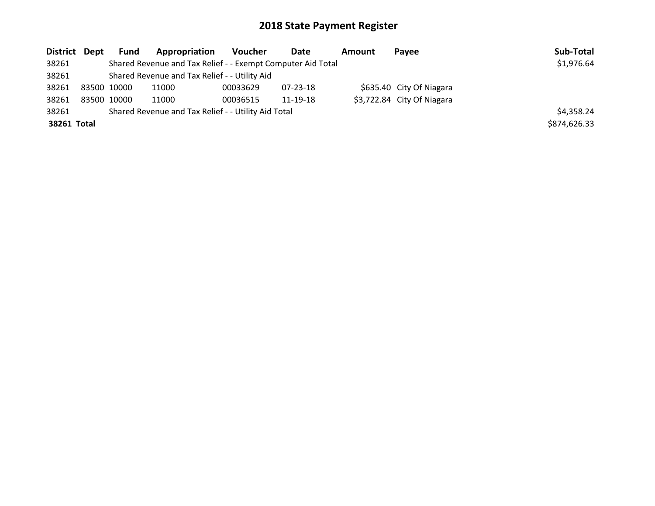| District Dept |             | Fund       | Appropriation                                               | Voucher  | Date     | Amount | <b>Pavee</b>               | Sub-Total    |
|---------------|-------------|------------|-------------------------------------------------------------|----------|----------|--------|----------------------------|--------------|
| 38261         |             |            | Shared Revenue and Tax Relief - - Exempt Computer Aid Total |          |          |        |                            | \$1,976.64   |
| 38261         |             |            | Shared Revenue and Tax Relief - - Utility Aid               |          |          |        |                            |              |
| 38261         | 83500 10000 |            | 11000                                                       | 00033629 | 07-23-18 |        | \$635.40 City Of Niagara   |              |
| 38261         | 83500 10000 |            | 11000                                                       | 00036515 | 11-19-18 |        | \$3,722.84 City Of Niagara |              |
| 38261         |             | \$4,358.24 |                                                             |          |          |        |                            |              |
| 38261 Total   |             |            |                                                             |          |          |        |                            | \$874,626.33 |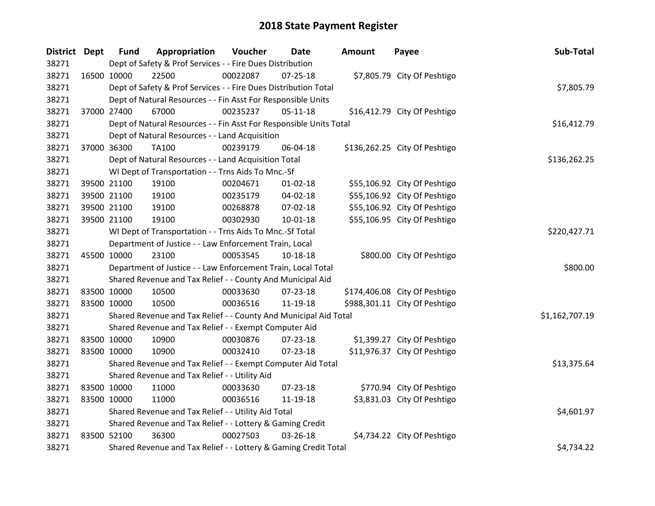| District Dept |             | <b>Fund</b> | Appropriation                                                      | Voucher  | <b>Date</b>    | <b>Amount</b> | Payee                         | Sub-Total      |
|---------------|-------------|-------------|--------------------------------------------------------------------|----------|----------------|---------------|-------------------------------|----------------|
| 38271         |             |             | Dept of Safety & Prof Services - - Fire Dues Distribution          |          |                |               |                               |                |
| 38271         | 16500 10000 |             | 22500                                                              | 00022087 | $07 - 25 - 18$ |               | \$7,805.79 City Of Peshtigo   |                |
| 38271         |             |             | Dept of Safety & Prof Services - - Fire Dues Distribution Total    |          |                |               |                               | \$7,805.79     |
| 38271         |             |             | Dept of Natural Resources - - Fin Asst For Responsible Units       |          |                |               |                               |                |
| 38271         | 37000 27400 |             | 67000                                                              | 00235237 | $05 - 11 - 18$ |               | \$16,412.79 City Of Peshtigo  |                |
| 38271         |             |             | Dept of Natural Resources - - Fin Asst For Responsible Units Total |          |                |               |                               | \$16,412.79    |
| 38271         |             |             | Dept of Natural Resources - - Land Acquisition                     |          |                |               |                               |                |
| 38271         | 37000 36300 |             | TA100                                                              | 00239179 | 06-04-18       |               | \$136,262.25 City Of Peshtigo |                |
| 38271         |             |             | Dept of Natural Resources - - Land Acquisition Total               |          |                |               |                               | \$136,262.25   |
| 38271         |             |             | WI Dept of Transportation - - Trns Aids To Mnc.-Sf                 |          |                |               |                               |                |
| 38271         |             | 39500 21100 | 19100                                                              | 00204671 | $01 - 02 - 18$ |               | \$55,106.92 City Of Peshtigo  |                |
| 38271         |             | 39500 21100 | 19100                                                              | 00235179 | 04-02-18       |               | \$55,106.92 City Of Peshtigo  |                |
| 38271         | 39500 21100 |             | 19100                                                              | 00268878 | 07-02-18       |               | \$55,106.92 City Of Peshtigo  |                |
| 38271         |             | 39500 21100 | 19100                                                              | 00302930 | 10-01-18       |               | \$55,106.95 City Of Peshtigo  |                |
| 38271         |             |             | WI Dept of Transportation - - Trns Aids To Mnc.-Sf Total           |          |                |               |                               | \$220,427.71   |
| 38271         |             |             | Department of Justice - - Law Enforcement Train, Local             |          |                |               |                               |                |
| 38271         | 45500 10000 |             | 23100                                                              | 00053545 | 10-18-18       |               | \$800.00 City Of Peshtigo     |                |
| 38271         |             |             | Department of Justice - - Law Enforcement Train, Local Total       |          |                |               |                               | \$800.00       |
| 38271         |             |             | Shared Revenue and Tax Relief - - County And Municipal Aid         |          |                |               |                               |                |
| 38271         | 83500 10000 |             | 10500                                                              | 00033630 | $07 - 23 - 18$ |               | \$174,406.08 City Of Peshtigo |                |
| 38271         | 83500 10000 |             | 10500                                                              | 00036516 | 11-19-18       |               | \$988,301.11 City Of Peshtigo |                |
| 38271         |             |             | Shared Revenue and Tax Relief - - County And Municipal Aid Total   |          |                |               |                               | \$1,162,707.19 |
| 38271         |             |             | Shared Revenue and Tax Relief - - Exempt Computer Aid              |          |                |               |                               |                |
| 38271         |             | 83500 10000 | 10900                                                              | 00030876 | 07-23-18       |               | \$1,399.27 City Of Peshtigo   |                |
| 38271         | 83500 10000 |             | 10900                                                              | 00032410 | 07-23-18       |               | \$11,976.37 City Of Peshtigo  |                |
| 38271         |             |             | Shared Revenue and Tax Relief - - Exempt Computer Aid Total        |          |                |               |                               | \$13,375.64    |
| 38271         |             |             | Shared Revenue and Tax Relief - - Utility Aid                      |          |                |               |                               |                |
| 38271         | 83500 10000 |             | 11000                                                              | 00033630 | 07-23-18       |               | \$770.94 City Of Peshtigo     |                |
| 38271         | 83500 10000 |             | 11000                                                              | 00036516 | 11-19-18       |               | \$3,831.03 City Of Peshtigo   |                |
| 38271         |             |             | Shared Revenue and Tax Relief - - Utility Aid Total                |          |                |               |                               | \$4,601.97     |
| 38271         |             |             | Shared Revenue and Tax Relief - - Lottery & Gaming Credit          |          |                |               |                               |                |
| 38271         | 83500 52100 |             | 36300                                                              | 00027503 | 03-26-18       |               | \$4,734.22 City Of Peshtigo   |                |
| 38271         |             |             | Shared Revenue and Tax Relief - - Lottery & Gaming Credit Total    |          |                |               |                               | \$4,734.22     |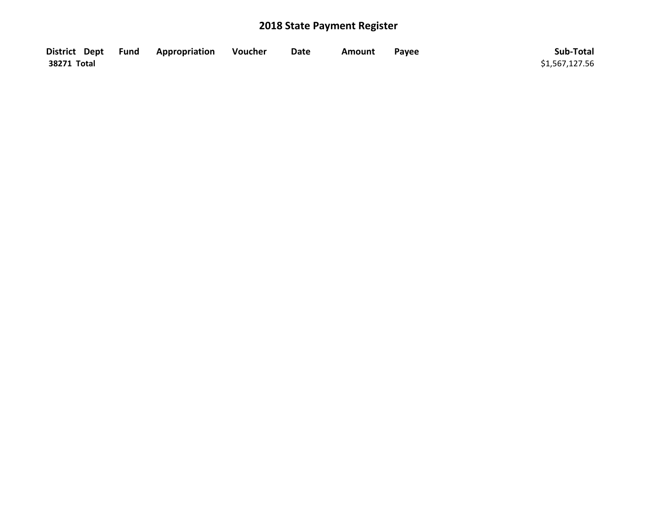|             | District Dept Fund Appropriation | Voucher | <b>Date</b> | Amount | Payee | Sub-Total      |
|-------------|----------------------------------|---------|-------------|--------|-------|----------------|
| 38271 Total |                                  |         |             |        |       | \$1,567,127.56 |